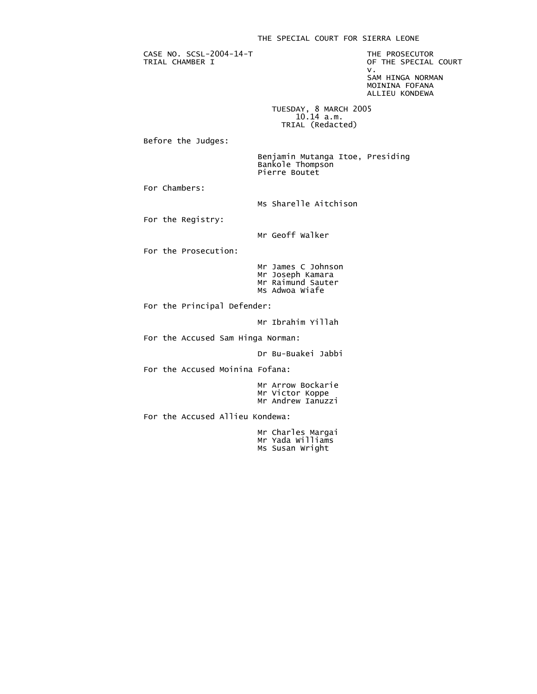## THE SPECIAL COURT FOR SIERRA LEONE

CASE NO. SCSL-2004-14-T<br>
TRIAL CHAMBER I TRIAL CHAMBER I

OF THE SPECIAL COURT<br>V. v. New York and the contract of the contract of the contract of the contract of the contract of the contract o SAM HINGA NORMAN

 MOININA FOFANA ALLIEU KONDEWA

 TUESDAY, 8 MARCH 2005  $10.14$  a.m. TRIAL (Redacted)

Before the Judges:

 Benjamin Mutanga Itoe, Presiding Bankole Thompson Pierre Boutet

For Chambers:

Ms Sharelle Aitchison

For the Registry:

Mr Geoff Walker

For the Prosecution:

 Mr James C Johnson Mr Joseph Kamara Mr Raimund Sauter Ms Adwoa Wiafe

For the Principal Defender:

Mr Ibrahim Yillah

For the Accused Sam Hinga Norman:

Dr Bu-Buakei Jabbi

For the Accused Moinina Fofana:

 Mr Arrow Bockarie Mr Victor Koppe Mr Andrew Ianuzzi

For the Accused Allieu Kondewa:

 Mr Charles Margai Mr Yada Williams Ms Susan Wright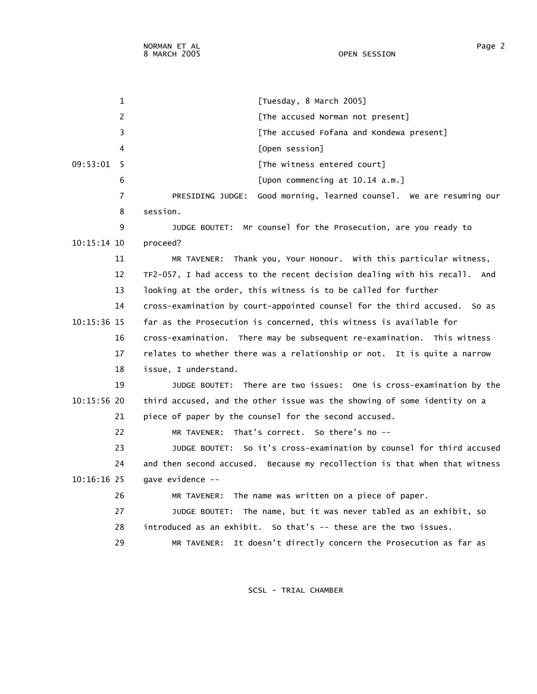1 [Tuesday, 8 March 2005] 2 **Example 2** [The accused Norman not present] 3 [The accused Fofana and Kondewa present] 4 [Open session] 09:53:01 5 [The witness entered court] 6 [Upon commencing at 10.14 a.m.] 7 PRESIDING JUDGE: Good morning, learned counsel. We are resuming our 8 session. 9 JUDGE BOUTET: Mr counsel for the Prosecution, are you ready to 10:15:14 10 proceed? 11 MR TAVENER: Thank you, Your Honour. With this particular witness, 12 TF2-057, I had access to the recent decision dealing with his recall. And 13 looking at the order, this witness is to be called for further 14 cross-examination by court-appointed counsel for the third accused. So as 10:15:36 15 far as the Prosecution is concerned, this witness is available for 16 cross-examination. There may be subsequent re-examination. This witness 17 relates to whether there was a relationship or not. It is quite a narrow 18 issue, I understand. 19 JUDGE BOUTET: There are two issues: One is cross-examination by the 10:15:56 20 third accused, and the other issue was the showing of some identity on a 21 piece of paper by the counsel for the second accused. 22 MR TAVENER: That's correct. So there's no -- 23 JUDGE BOUTET: So it's cross-examination by counsel for third accused 24 and then second accused. Because my recollection is that when that witness 10:16:16 25 gave evidence -- 26 MR TAVENER: The name was written on a piece of paper. 27 JUDGE BOUTET: The name, but it was never tabled as an exhibit, so 28 introduced as an exhibit. So that's -- these are the two issues. 29 MR TAVENER: It doesn't directly concern the Prosecution as far as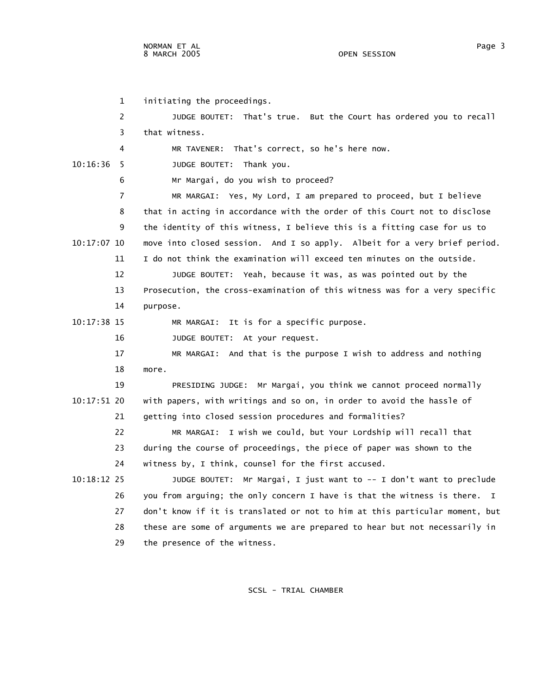1 initiating the proceedings. 2 JUDGE BOUTET: That's true. But the Court has ordered you to recall 3 that witness. 4 MR TAVENER: That's correct, so he's here now. 10:16:36 5 JUDGE BOUTET: Thank you. 6 Mr Margai, do you wish to proceed? 7 MR MARGAI: Yes, My Lord, I am prepared to proceed, but I believe 8 that in acting in accordance with the order of this Court not to disclose 9 the identity of this witness, I believe this is a fitting case for us to 10:17:07 10 move into closed session. And I so apply. Albeit for a very brief period. 11 I do not think the examination will exceed ten minutes on the outside. 12 JUDGE BOUTET: Yeah, because it was, as was pointed out by the 13 Prosecution, the cross-examination of this witness was for a very specific 14 purpose. 10:17:38 15 MR MARGAI: It is for a specific purpose. 16 JUDGE BOUTET: At your request. 17 MR MARGAI: And that is the purpose I wish to address and nothing 18 more. 19 PRESIDING JUDGE: Mr Margai, you think we cannot proceed normally 10:17:51 20 with papers, with writings and so on, in order to avoid the hassle of 21 getting into closed session procedures and formalities? 22 MR MARGAI: I wish we could, but Your Lordship will recall that 23 during the course of proceedings, the piece of paper was shown to the 24 witness by, I think, counsel for the first accused. 10:18:12 25 JUDGE BOUTET: Mr Margai, I just want to -- I don't want to preclude 26 you from arguing; the only concern I have is that the witness is there. I 27 don't know if it is translated or not to him at this particular moment, but 28 these are some of arguments we are prepared to hear but not necessarily in 29 the presence of the witness.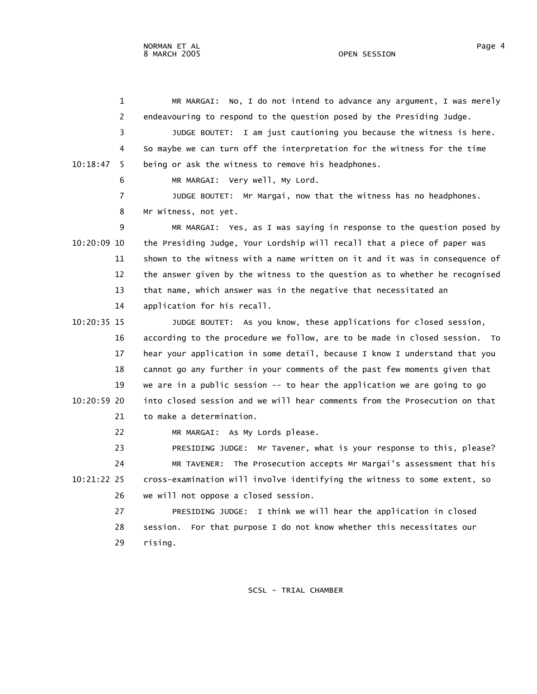1 MR MARGAI: No, I do not intend to advance any argument, I was merely

 3 JUDGE BOUTET: I am just cautioning you because the witness is here. 4 So maybe we can turn off the interpretation for the witness for the time

2 endeavouring to respond to the question posed by the Presiding Judge.

 10:18:47 5 being or ask the witness to remove his headphones. 6 MR MARGAI: Very well, My Lord. 7 JUDGE BOUTET: Mr Margai, now that the witness has no headphones. 8 Mr Witness, not yet. 9 MR MARGAI: Yes, as I was saying in response to the question posed by 10:20:09 10 the Presiding Judge, Your Lordship will recall that a piece of paper was 11 shown to the witness with a name written on it and it was in consequence of 12 the answer given by the witness to the question as to whether he recognised 13 that name, which answer was in the negative that necessitated an 14 application for his recall. 10:20:35 15 JUDGE BOUTET: As you know, these applications for closed session, 16 according to the procedure we follow, are to be made in closed session. To 17 hear your application in some detail, because I know I understand that you 18 cannot go any further in your comments of the past few moments given that 19 we are in a public session -- to hear the application we are going to go 10:20:59 20 into closed session and we will hear comments from the Prosecution on that 21 to make a determination. 22 MR MARGAI: As My Lords please. 23 PRESIDING JUDGE: Mr Tavener, what is your response to this, please? 24 MR TAVENER: The Prosecution accepts Mr Margai's assessment that his 10:21:22 25 cross-examination will involve identifying the witness to some extent, so 26 we will not oppose a closed session. 27 PRESIDING JUDGE: I think we will hear the application in closed 28 session. For that purpose I do not know whether this necessitates our 29 rising.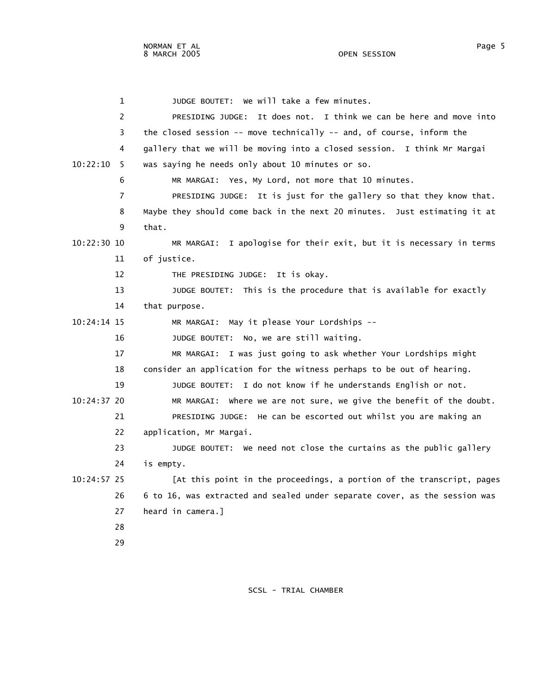1 JUDGE BOUTET: We will take a few minutes. 2 PRESIDING JUDGE: It does not. I think we can be here and move into 3 the closed session -- move technically -- and, of course, inform the 4 gallery that we will be moving into a closed session. I think Mr Margai 10:22:10 5 was saying he needs only about 10 minutes or so. 6 MR MARGAI: Yes, My Lord, not more that 10 minutes. 7 PRESIDING JUDGE: It is just for the gallery so that they know that. 8 Maybe they should come back in the next 20 minutes. Just estimating it at 9 that. 10:22:30 10 MR MARGAI: I apologise for their exit, but it is necessary in terms 11 of justice. 12 THE PRESIDING JUDGE: It is okay. 13 JUDGE BOUTET: This is the procedure that is available for exactly 14 that purpose. 10:24:14 15 MR MARGAI: May it please Your Lordships -- 16 JUDGE BOUTET: No, we are still waiting. 17 MR MARGAI: I was just going to ask whether Your Lordships might 18 consider an application for the witness perhaps to be out of hearing. 19 JUDGE BOUTET: I do not know if he understands English or not. 10:24:37 20 MR MARGAI: Where we are not sure, we give the benefit of the doubt. 21 PRESIDING JUDGE: He can be escorted out whilst you are making an 22 application, Mr Margai. 23 JUDGE BOUTET: We need not close the curtains as the public gallery 24 is empty. 10:24:57 25 [At this point in the proceedings, a portion of the transcript, pages 26 6 to 16, was extracted and sealed under separate cover, as the session was 27 heard in camera.] 28 29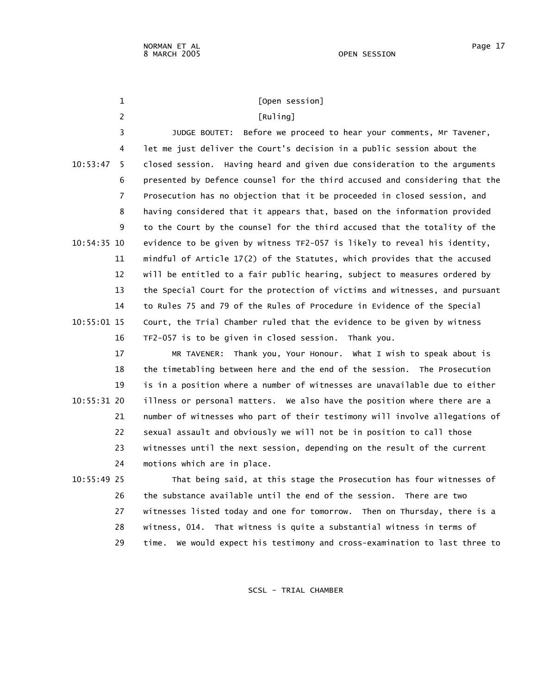| 1              | [Open session]                                                              |
|----------------|-----------------------------------------------------------------------------|
| $\overline{2}$ | [Ruling]                                                                    |
| 3              | Before we proceed to hear your comments, Mr Tavener,<br>JUDGE BOUTET:       |
| 4              | let me just deliver the Court's decision in a public session about the      |
| 10:53:47<br>5  | closed session. Having heard and given due consideration to the arguments   |
| 6              | presented by Defence counsel for the third accused and considering that the |
| 7              | Prosecution has no objection that it be proceeded in closed session, and    |
| 8              | having considered that it appears that, based on the information provided   |
| 9              | to the Court by the counsel for the third accused that the totality of the  |
| 10:54:35 10    | evidence to be given by witness TF2-057 is likely to reveal his identity,   |
| 11             | mindful of Article 17(2) of the Statutes, which provides that the accused   |
| 12             | will be entitled to a fair public hearing, subject to measures ordered by   |
| 13             | the Special Court for the protection of victims and witnesses, and pursuant |
| 14             | to Rules 75 and 79 of the Rules of Procedure in Evidence of the Special     |
| 10:55:01 15    | Court, the Trial Chamber ruled that the evidence to be given by witness     |
| 16             | TF2-057 is to be given in closed session. Thank you.                        |
| 17             | MR TAVENER: Thank you, Your Honour. What I wish to speak about is           |
| 18             | the timetabling between here and the end of the session. The Prosecution    |
| 19             | is in a position where a number of witnesses are unavailable due to either  |
| 10:55:31 20    | illness or personal matters. We also have the position where there are a    |
| 21             | number of witnesses who part of their testimony will involve allegations of |
| 22             | sexual assault and obviously we will not be in position to call those       |
| 23             | witnesses until the next session, depending on the result of the current    |
| 24             | motions which are in place.                                                 |
| 10:55:49 25    | That being said, at this stage the Prosecution has four witnesses of        |
| 26             | the substance available until the end of the session. There are two         |
| 27             | witnesses listed today and one for tomorrow. Then on Thursday, there is a   |
| 28             | witness, 014. That witness is quite a substantial witness in terms of       |

29 time. We would expect his testimony and cross-examination to last three to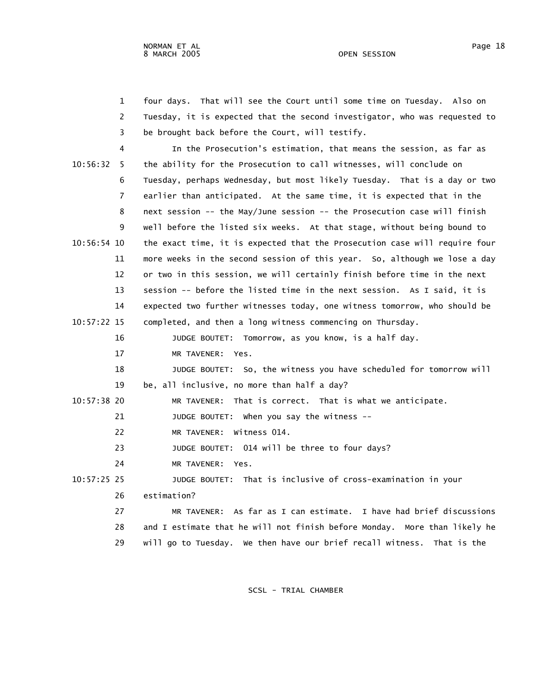1 four days. That will see the Court until some time on Tuesday. Also on 2 Tuesday, it is expected that the second investigator, who was requested to 3 be brought back before the Court, will testify. 4 In the Prosecution's estimation, that means the session, as far as

 10:56:32 5 the ability for the Prosecution to call witnesses, will conclude on 6 Tuesday, perhaps Wednesday, but most likely Tuesday. That is a day or two 7 earlier than anticipated. At the same time, it is expected that in the 8 next session -- the May/June session -- the Prosecution case will finish 9 well before the listed six weeks. At that stage, without being bound to 10:56:54 10 the exact time, it is expected that the Prosecution case will require four 11 more weeks in the second session of this year. So, although we lose a day 12 or two in this session, we will certainly finish before time in the next 13 session -- before the listed time in the next session. As I said, it is 14 expected two further witnesses today, one witness tomorrow, who should be 10:57:22 15 completed, and then a long witness commencing on Thursday.

 16 JUDGE BOUTET: Tomorrow, as you know, is a half day. 17 MR TAVENER: Yes.

 18 JUDGE BOUTET: So, the witness you have scheduled for tomorrow will 19 be, all inclusive, no more than half a day?

10:57:38 20 MR TAVENER: That is correct. That is what we anticipate.

21 JUDGE BOUTET: When you say the witness --

22 MR TAVENER: Witness 014.

23 JUDGE BOUTET: 014 will be three to four days?

24 MR TAVENER: Yes.

 10:57:25 25 JUDGE BOUTET: That is inclusive of cross-examination in your 26 estimation?

 27 MR TAVENER: As far as I can estimate. I have had brief discussions 28 and I estimate that he will not finish before Monday. More than likely he 29 will go to Tuesday. We then have our brief recall witness. That is the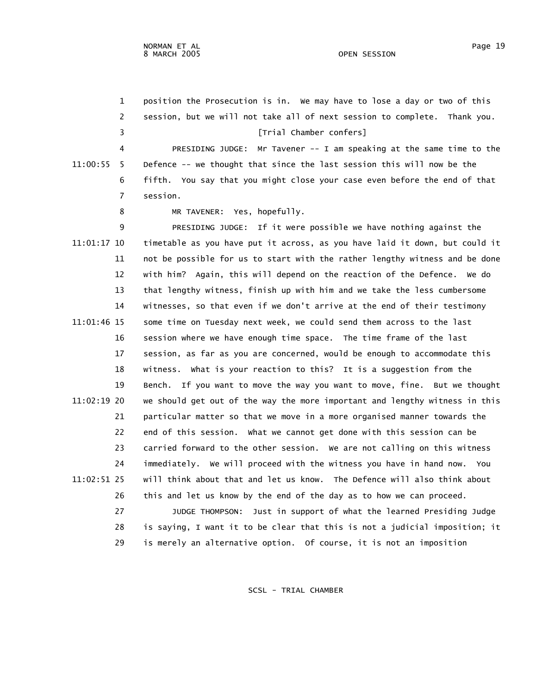1 position the Prosecution is in. We may have to lose a day or two of this 2 session, but we will not take all of next session to complete. Thank you. 3 [Trial Chamber confers] 4 PRESIDING JUDGE: Mr Tavener -- I am speaking at the same time to the 11:00:55 5 Defence -- we thought that since the last session this will now be the 6 fifth. You say that you might close your case even before the end of that 7 session. 8 MR TAVENER: Yes, hopefully. 9 PRESIDING JUDGE: If it were possible we have nothing against the 11:01:17 10 timetable as you have put it across, as you have laid it down, but could it 11 not be possible for us to start with the rather lengthy witness and be done 12 with him? Again, this will depend on the reaction of the Defence. We do 13 that lengthy witness, finish up with him and we take the less cumbersome 14 witnesses, so that even if we don't arrive at the end of their testimony 11:01:46 15 some time on Tuesday next week, we could send them across to the last 16 session where we have enough time space. The time frame of the last 17 session, as far as you are concerned, would be enough to accommodate this 18 witness. What is your reaction to this? It is a suggestion from the 19 Bench. If you want to move the way you want to move, fine. But we thought 11:02:19 20 we should get out of the way the more important and lengthy witness in this 21 particular matter so that we move in a more organised manner towards the 22 end of this session. What we cannot get done with this session can be 23 carried forward to the other session. We are not calling on this witness 24 immediately. We will proceed with the witness you have in hand now. You 11:02:51 25 will think about that and let us know. The Defence will also think about 26 this and let us know by the end of the day as to how we can proceed. 27 JUDGE THOMPSON: Just in support of what the learned Presiding Judge 28 is saying, I want it to be clear that this is not a judicial imposition; it 29 is merely an alternative option. Of course, it is not an imposition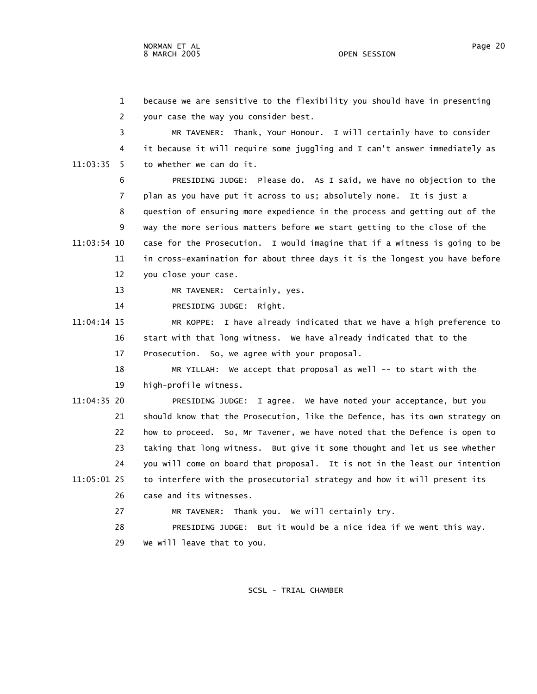1 because we are sensitive to the flexibility you should have in presenting 2 your case the way you consider best.

 3 MR TAVENER: Thank, Your Honour. I will certainly have to consider 4 it because it will require some juggling and I can't answer immediately as 11:03:35 5 to whether we can do it.

 6 PRESIDING JUDGE: Please do. As I said, we have no objection to the 7 plan as you have put it across to us; absolutely none. It is just a 8 question of ensuring more expedience in the process and getting out of the 9 way the more serious matters before we start getting to the close of the 11:03:54 10 case for the Prosecution. I would imagine that if a witness is going to be 11 in cross-examination for about three days it is the longest you have before 12 you close your case.

13 MR TAVENER: Certainly, yes.

14 PRESIDING JUDGE: Right.

 11:04:14 15 MR KOPPE: I have already indicated that we have a high preference to 16 start with that long witness. We have already indicated that to the 17 Prosecution. So, we agree with your proposal.

 18 MR YILLAH: We accept that proposal as well -- to start with the 19 high-profile witness.

 11:04:35 20 PRESIDING JUDGE: I agree. We have noted your acceptance, but you 21 should know that the Prosecution, like the Defence, has its own strategy on 22 how to proceed. So, Mr Tavener, we have noted that the Defence is open to 23 taking that long witness. But give it some thought and let us see whether 24 you will come on board that proposal. It is not in the least our intention 11:05:01 25 to interfere with the prosecutorial strategy and how it will present its 26 case and its witnesses. 27 MR TAVENER: Thank you. We will certainly try.

28 PRESIDING JUDGE: But it would be a nice idea if we went this way.

29 We will leave that to you.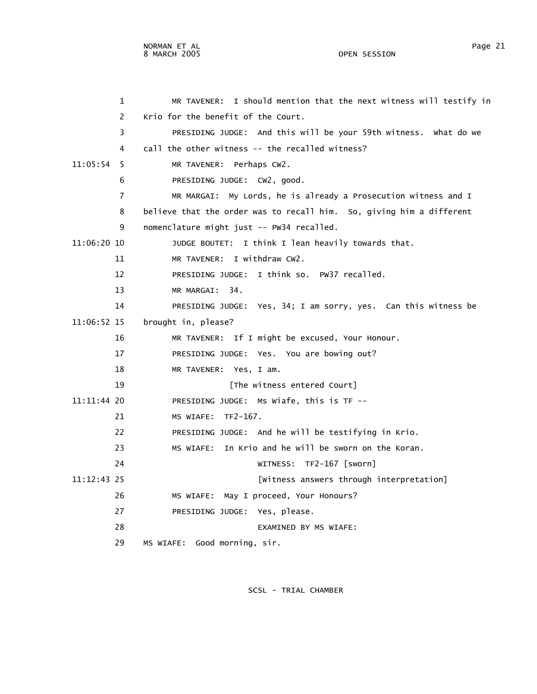1 MR TAVENER: I should mention that the next witness will testify in 2 Krio for the benefit of the Court. 3 PRESIDING JUDGE: And this will be your 59th witness. What do we 4 call the other witness -- the recalled witness? 11:05:54 5 MR TAVENER: Perhaps CW2. 6 PRESIDING JUDGE: CW2, good. 7 MR MARGAI: My Lords, he is already a Prosecution witness and I 8 believe that the order was to recall him. So, giving him a different 9 nomenclature might just -- PW34 recalled. 11:06:20 10 JUDGE BOUTET: I think I lean heavily towards that. 11 MR TAVENER: I withdraw CW2. 12 PRESIDING JUDGE: I think so. PW37 recalled. 13 MR MARGAI: 34. 14 PRESIDING JUDGE: Yes, 34; I am sorry, yes. Can this witness be 11:06:52 15 brought in, please? 16 MR TAVENER: If I might be excused, Your Honour. 17 PRESIDING JUDGE: Yes. You are bowing out? 18 MR TAVENER: Yes, I am. 19 **19** [The witness entered Court] 11:11:44 20 PRESIDING JUDGE: Ms Wiafe, this is TF -- 21 MS WIAFE: TF2-167. 22 PRESIDING JUDGE: And he will be testifying in Krio. 23 MS WIAFE: In Krio and he will be sworn on the Koran. 24 WITNESS: TF2-167 [sworn] 11:12:43 25 [Witness answers through interpretation] 26 MS WIAFE: May I proceed, Your Honours? 27 PRESIDING JUDGE: Yes, please. 28 EXAMINED BY MS WIAFE: 29 MS WIAFE: Good morning, sir.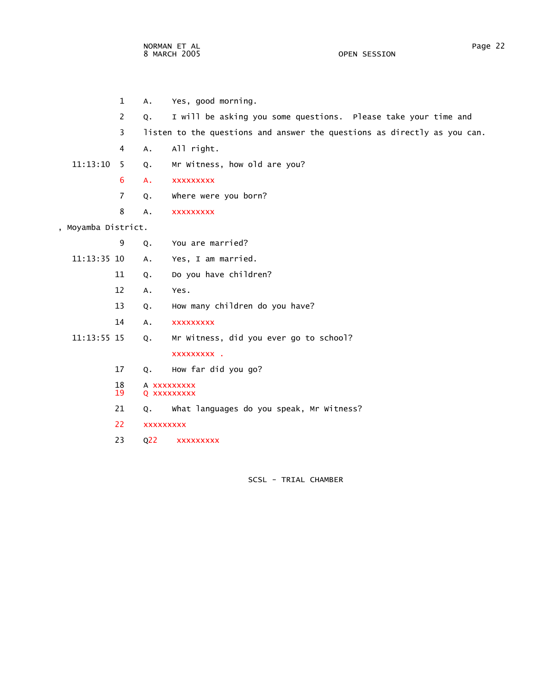- 1 A. Yes, good morning. 2 Q. I will be asking you some questions. Please take your time and 3 listen to the questions and answer the questions as directly as you can. 4 A. All right. 11:13:10 5 Q. Mr Witness, how old are you? 6 A. xxxxxxxxx 7 Q. Where were you born? 8 A. xxxxxxxxx , Moyamba District. 9 Q. You are married? 11:13:35 10 A. Yes, I am married. 11 Q. Do you have children? 12 A. Yes. 13 Q. How many children do you have? 14 A. xxxxxxxxx 11:13:55 15 Q. Mr Witness, did you ever go to school? xxxxxxxxx . 17 Q. How far did you go? 18 A xxxxxxxxx<br>19 Q xxxxxxxxx 19 Q xxxxxxxxx 21 Q. What languages do you speak, Mr Witness?
	- 22 xxxxxxxxx
	- 23 Q22 xxxxxxxxx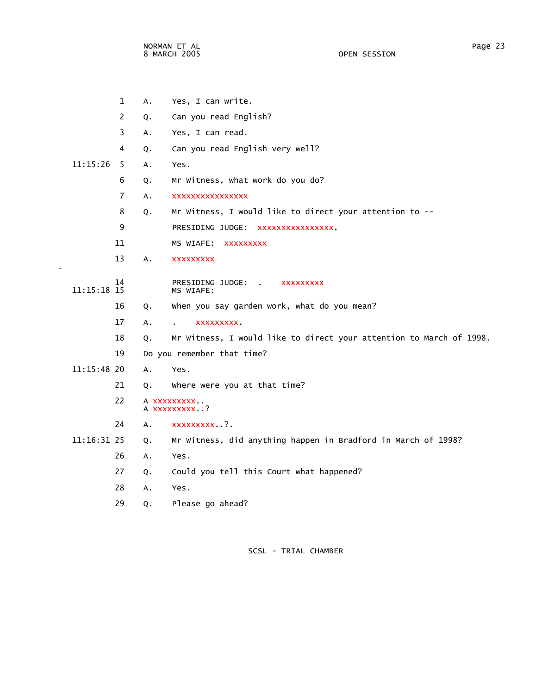.

|             | 1  | Α. | Yes, I can write.                                                   |
|-------------|----|----|---------------------------------------------------------------------|
|             | 2  | Q. | Can you read English?                                               |
|             | 3  | Α. | Yes, I can read.                                                    |
|             | 4  | Q. | Can you read English very well?                                     |
| 11:15:26    | 5  | Α. | Yes.                                                                |
|             | 6  | Q. | Mr Witness, what work do you do?                                    |
|             | 7  | A. | XXXXXXXXXXXXXXXX                                                    |
|             | 8  | Q. | Mr Witness, I would like to direct your attention to --             |
|             | 9  |    | PRESIDING JUDGE: XXXXXXXXXXXXXXX.                                   |
|             | 11 |    | MS WIAFE: XXXXXXXXX                                                 |
|             | 13 | А. | <b>XXXXXXXXX</b>                                                    |
|             | 14 |    | PRESIDING JUDGE: .<br><b>XXXXXXXXX</b>                              |
| 11:15:18 15 |    |    | MS WIAFE:                                                           |
|             | 16 | Q. | when you say garden work, what do you mean?                         |
|             | 17 | A. | <b>XXXXXXXXX</b><br>$\mathbf{r}$                                    |
|             | 18 | Q. | Mr Witness, I would like to direct your attention to March of 1998. |
|             | 19 |    | Do you remember that time?                                          |
| 11:15:48 20 |    | A. | Yes.                                                                |
|             | 21 | Q. | where were you at that time?                                        |
|             | 22 |    | A XXXXXXXXX .<br>A XXXXXXXXX?                                       |
|             | 24 | Α. | xxxxxxxxx?.                                                         |
| 11:16:31 25 |    | Q. | Mr Witness, did anything happen in Bradford in March of 1998?       |
|             | 26 | Α. | Yes.                                                                |
|             | 27 | Q. | Could you tell this Court what happened?                            |
|             | 28 | A. | Yes.                                                                |
|             | 29 | Q. | Please go ahead?                                                    |
|             |    |    |                                                                     |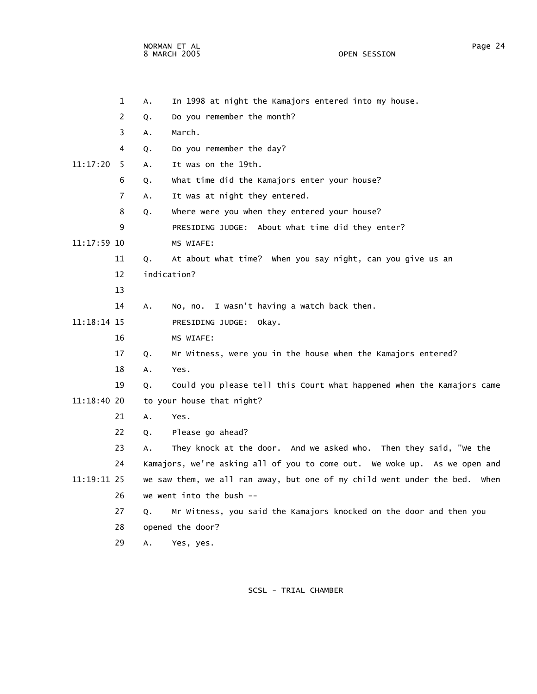NORMAN ET AL PAGE AND THE SERVICE SERVICE SERVICE SERVICE SERVICE SERVICE SERVICE SERVICE SERVICE SERVICE SERVICE SERVICE SERVICE SERVICE SERVICE SERVICE SERVICE SERVICE SERVICE SERVICE SERVICE SERVICE SERVICE SERVICE SERV 8 MARCH 2005 OPEN SESSION

|             | $\mathbf{1}$   | А. | In 1998 at night the Kamajors entered into my house.                       |
|-------------|----------------|----|----------------------------------------------------------------------------|
|             | 2              | Q. | Do you remember the month?                                                 |
|             | 3              | А. | March.                                                                     |
|             | 4              | Q. | Do you remember the day?                                                   |
| 11:17:20    | - 5            | Α. | It was on the 19th.                                                        |
|             | 6              | Q. | What time did the Kamajors enter your house?                               |
|             | $\overline{7}$ | Α. | It was at night they entered.                                              |
|             | 8              | Q. | where were you when they entered your house?                               |
|             | 9              |    | PRESIDING JUDGE: About what time did they enter?                           |
| 11:17:59 10 |                |    | MS WIAFE:                                                                  |
|             | 11             | Q. | At about what time? When you say night, can you give us an                 |
|             | 12             |    | indication?                                                                |
|             | 13             |    |                                                                            |
|             | 14             | A. | No, no. I wasn't having a watch back then.                                 |
| 11:18:14 15 |                |    | PRESIDING JUDGE: Okay.                                                     |
|             | 16             |    | MS WIAFE:                                                                  |
|             | 17             | Q. | Mr Witness, were you in the house when the Kamajors entered?               |
|             | 18             | А. | Yes.                                                                       |
|             | 19             | Q. | Could you please tell this Court what happened when the Kamajors came      |
| 11:18:40 20 |                |    | to your house that night?                                                  |
|             | 21             | А. | Yes.                                                                       |
|             | 22             | Q. | Please go ahead?                                                           |
|             | 23             | Α. | They knock at the door. And we asked who. Then they said, "we the          |
|             | 24             |    | Kamajors, we're asking all of you to come out. We woke up. As we open and  |
| 11:19:11 25 |                |    | we saw them, we all ran away, but one of my child went under the bed. When |
|             | 26             |    | we went into the bush $-$                                                  |
|             | 27             | Q. | Mr Witness, you said the Kamajors knocked on the door and then you         |
|             | 28             |    | opened the door?                                                           |
|             | 29             | А. | Yes, yes.                                                                  |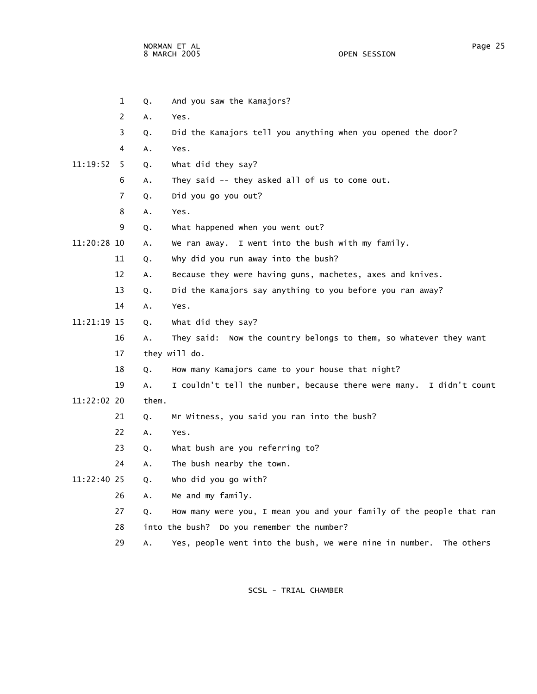NORMAN ET AL Page 25 8 MARCH 2005

 1 Q. And you saw the Kamajors? 2 A. Yes. 3 Q. Did the Kamajors tell you anything when you opened the door? 4 A. Yes. 11:19:52 5 Q. What did they say? 6 A. They said -- they asked all of us to come out. 7 Q. Did you go you out? 8 A. Yes. 9 Q. What happened when you went out? 11:20:28 10 A. We ran away. I went into the bush with my family. 11 Q. Why did you run away into the bush? 12 A. Because they were having guns, machetes, axes and knives. 13 Q. Did the Kamajors say anything to you before you ran away? 14 A. Yes. 11:21:19 15 Q. What did they say? 16 A. They said: Now the country belongs to them, so whatever they want 17 they will do. 18 Q. How many Kamajors came to your house that night? 19 A. I couldn't tell the number, because there were many. I didn't count 11:22:02 20 them. 21 Q. Mr Witness, you said you ran into the bush? 22 A. Yes. 23 Q. What bush are you referring to? 24 A. The bush nearby the town. 11:22:40 25 Q. Who did you go with? 26 A. Me and my family. 27 Q. How many were you, I mean you and your family of the people that ran

- 28 into the bush? Do you remember the number?
- 29 A. Yes, people went into the bush, we were nine in number. The others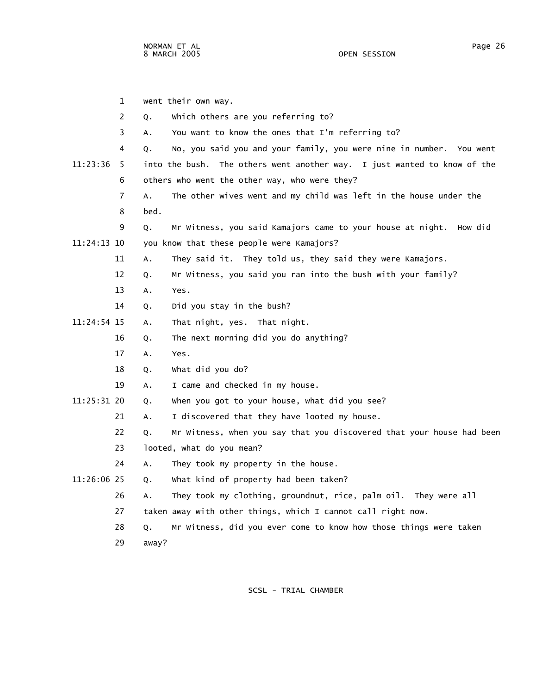1 went their own way. 2 Q. Which others are you referring to? 3 A. You want to know the ones that I'm referring to? 4 Q. No, you said you and your family, you were nine in number. You went 11:23:36 5 into the bush. The others went another way. I just wanted to know of the 6 others who went the other way, who were they? 7 A. The other wives went and my child was left in the house under the 8 bed. 9 Q. Mr Witness, you said Kamajors came to your house at night. How did 11:24:13 10 you know that these people were Kamajors? 11 A. They said it. They told us, they said they were Kamajors. 12 Q. Mr Witness, you said you ran into the bush with your family? 13 A. Yes. 14 Q. Did you stay in the bush? 11:24:54 15 A. That night, yes. That night. 16 Q. The next morning did you do anything? 17 A. Yes. 18 Q. What did you do? 19 A. I came and checked in my house. 11:25:31 20 Q. When you got to your house, what did you see? 21 A. I discovered that they have looted my house. 22 Q. Mr Witness, when you say that you discovered that your house had been 23 looted, what do you mean? 24 A. They took my property in the house. 11:26:06 25 Q. What kind of property had been taken? 26 A. They took my clothing, groundnut, rice, palm oil. They were all 27 taken away with other things, which I cannot call right now.

- 28 Q. Mr Witness, did you ever come to know how those things were taken
- 29 away?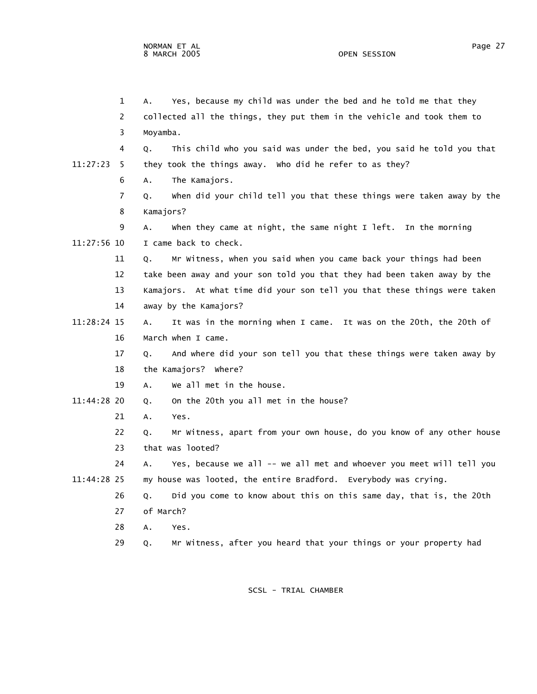|             | 1              | Yes, because my child was under the bed and he told me that they<br>А.      |
|-------------|----------------|-----------------------------------------------------------------------------|
|             | 2              | collected all the things, they put them in the vehicle and took them to     |
|             | 3              | Moyamba.                                                                    |
|             | 4              | This child who you said was under the bed, you said he told you that<br>Q.  |
| 11:27:23    | -5             | they took the things away. Who did he refer to as they?                     |
|             | 6              | The Kamajors.<br>A.                                                         |
|             | $\overline{7}$ | when did your child tell you that these things were taken away by the<br>Q. |
|             | 8              | Kamajors?                                                                   |
|             | 9              | when they came at night, the same night I left. In the morning<br>А.        |
| 11:27:56 10 |                | I came back to check.                                                       |
|             | 11             | Mr Witness, when you said when you came back your things had been<br>Q.     |
|             | 12             | take been away and your son told you that they had been taken away by the   |
|             | 13             | Kamajors. At what time did your son tell you that these things were taken   |
|             | 14             | away by the Kamajors?                                                       |
| 11:28:24 15 |                | It was in the morning when I came. It was on the 20th, the 20th of<br>Α.    |
|             | 16             | March when I came.                                                          |
|             | 17             | And where did your son tell you that these things were taken away by<br>Q.  |
|             | 18             | the Kamajors? Where?                                                        |
|             | 19             | We all met in the house.<br>А.                                              |
| 11:44:28 20 |                | On the 20th you all met in the house?<br>Q.                                 |
|             | 21             | Yes.<br>А.                                                                  |
|             | 22             | Mr Witness, apart from your own house, do you know of any other house<br>Q. |
|             | 23             | that was looted?                                                            |
|             | 24             | Yes, because we all -- we all met and whoever you meet will tell you<br>А.  |
| 11:44:28 25 |                | my house was looted, the entire Bradford. Everybody was crying.             |
|             | 26             | Did you come to know about this on this same day, that is, the 20th<br>Q.   |
|             | 27             | of March?                                                                   |
|             | 28             | Α.<br>Yes.                                                                  |
|             | 29             | Mr Witness, after you heard that your things or your property had<br>Q.     |
|             |                |                                                                             |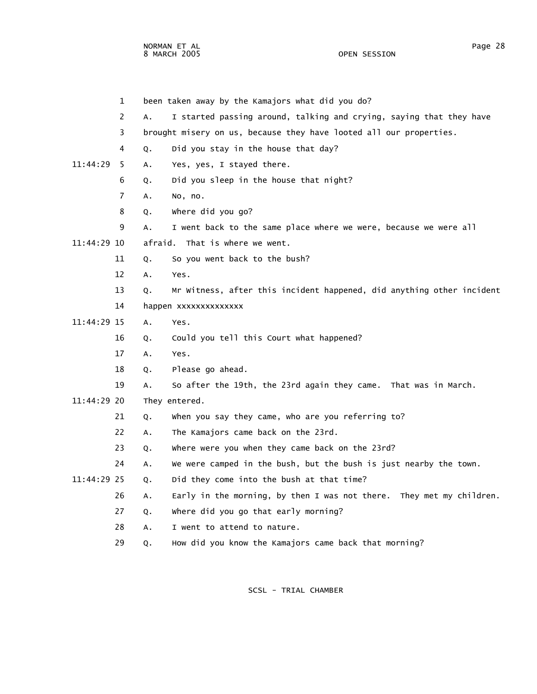NORMAN ET AL Page 28 8 MARCH 2005

 1 been taken away by the Kamajors what did you do? 2 A. I started passing around, talking and crying, saying that they have 3 brought misery on us, because they have looted all our properties. 4 Q. Did you stay in the house that day? 11:44:29 5 A. Yes, yes, I stayed there. 6 Q. Did you sleep in the house that night? 7 A. No, no. 8 Q. Where did you go? 9 A. I went back to the same place where we were, because we were all 11:44:29 10 afraid. That is where we went. 11 Q. So you went back to the bush? 12 A. Yes. 13 Q. Mr Witness, after this incident happened, did anything other incident 14 happen xxxxxxxxxxxxxx 11:44:29 15 A. Yes. 16 Q. Could you tell this Court what happened? 17 A. Yes. 18 Q. Please go ahead. 19 A. So after the 19th, the 23rd again they came. That was in March. 11:44:29 20 They entered. 21 Q. When you say they came, who are you referring to? 22 A. The Kamajors came back on the 23rd. 23 Q. Where were you when they came back on the 23rd? 24 A. We were camped in the bush, but the bush is just nearby the town. 11:44:29 25 Q. Did they come into the bush at that time? 26 A. Early in the morning, by then I was not there. They met my children. 27 Q. Where did you go that early morning? 28 A. I went to attend to nature.

29 Q. How did you know the Kamajors came back that morning?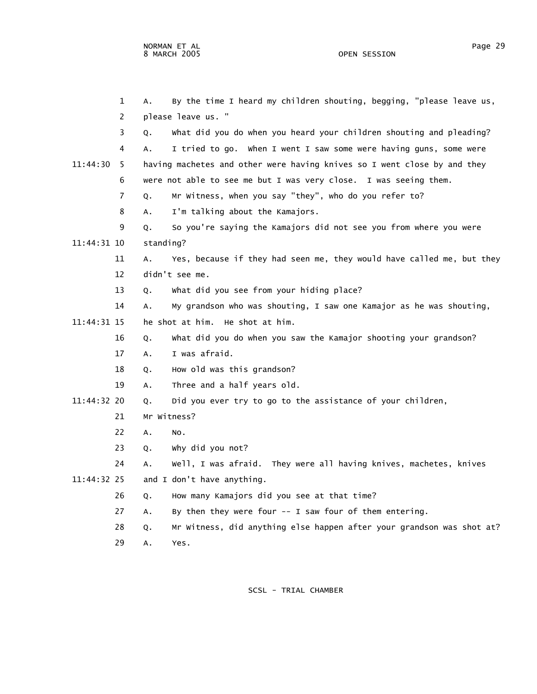1 A. By the time I heard my children shouting, begging, "please leave us, 2 please leave us. " 3 Q. What did you do when you heard your children shouting and pleading? 4 A. I tried to go. When I went I saw some were having guns, some were 11:44:30 5 having machetes and other were having knives so I went close by and they 6 were not able to see me but I was very close. I was seeing them. 7 Q. Mr Witness, when you say "they", who do you refer to? 8 A. I'm talking about the Kamajors. 9 Q. So you're saying the Kamajors did not see you from where you were 11:44:31 10 standing? 11 A. Yes, because if they had seen me, they would have called me, but they 12 didn't see me. 13 Q. What did you see from your hiding place? 14 A. My grandson who was shouting, I saw one Kamajor as he was shouting, 11:44:31 15 he shot at him. He shot at him. 16 Q. What did you do when you saw the Kamajor shooting your grandson? 17 A. I was afraid. 18 Q. How old was this grandson? 19 A. Three and a half years old. 11:44:32 20 Q. Did you ever try to go to the assistance of your children, 21 Mr Witness? 22 A. No. 23 Q. Why did you not? 24 A. Well, I was afraid. They were all having knives, machetes, knives 11:44:32 25 and I don't have anything. 26 Q. How many Kamajors did you see at that time? 27 A. By then they were four -- I saw four of them entering. 28 Q. Mr Witness, did anything else happen after your grandson was shot at? 29 A. Yes.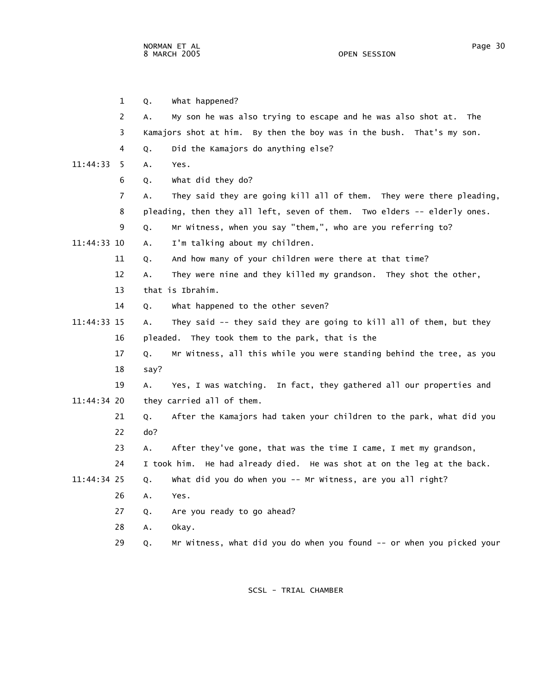|             | $\mathbf{1}$   | Q.   | what happened?                                                             |
|-------------|----------------|------|----------------------------------------------------------------------------|
|             | 2              | А.   | My son he was also trying to escape and he was also shot at.<br>The        |
|             | 3              |      | Kamajors shot at him. By then the boy was in the bush. That's my son.      |
|             | 4              | Q.   | Did the Kamajors do anything else?                                         |
| 11:44:33    | 5              | А.   | Yes.                                                                       |
|             | 6              | Q.   | what did they do?                                                          |
|             | $\overline{7}$ | Α.   | They said they are going kill all of them. They were there pleading,       |
|             | 8              |      | pleading, then they all left, seven of them. Two elders -- elderly ones.   |
|             | 9              | Q.   | Mr Witness, when you say "them,", who are you referring to?                |
| 11:44:33 10 |                | Α.   | I'm talking about my children.                                             |
|             | 11             | Q.   | And how many of your children were there at that time?                     |
|             | 12             | А.   | They were nine and they killed my grandson. They shot the other,           |
|             | 13             |      | that is Ibrahim.                                                           |
|             | 14             | 0.   | what happened to the other seven?                                          |
| 11:44:33 15 |                | А.   | They said -- they said they are going to kill all of them, but they        |
|             | 16             |      | pleaded. They took them to the park, that is the                           |
|             | 17             | Q.   | Mr Witness, all this while you were standing behind the tree, as you       |
|             | 18             | say? |                                                                            |
|             | 19             | А.   | Yes, I was watching. In fact, they gathered all our properties and         |
| 11:44:34 20 |                |      | they carried all of them.                                                  |
|             | 21             | Q.   | After the Kamajors had taken your children to the park, what did you       |
|             | 22             | do?  |                                                                            |
|             | 23             | Α.   | After they've gone, that was the time I came, I met my grandson,           |
|             | 24             |      | I took him.<br>He had already died. He was shot at on the leg at the back. |
| 11:44:34 25 |                | Q.   | what did you do when you -- Mr Witness, are you all right?                 |
|             | 26             | А.   | Yes.                                                                       |
|             | 27             | Q.   | Are you ready to go ahead?                                                 |
|             | 28             | Α.   | okay.                                                                      |
|             | 29             | Q.   | Mr Witness, what did you do when you found -- or when you picked your      |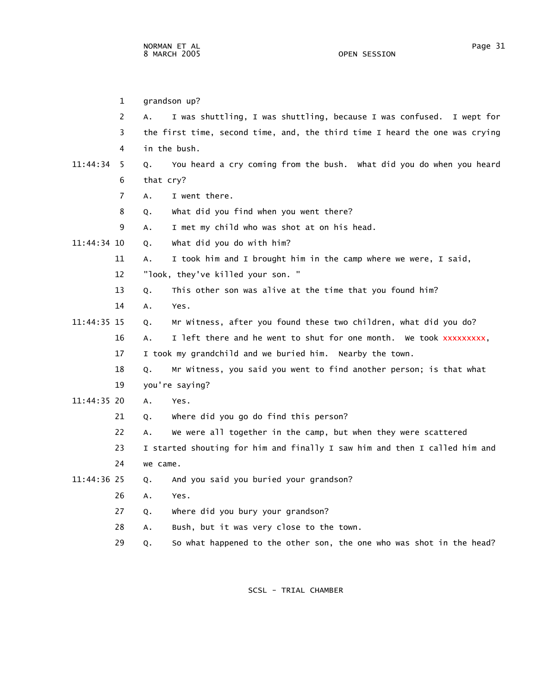1 grandson up? 2 A. I was shuttling, I was shuttling, because I was confused. I wept for 3 the first time, second time, and, the third time I heard the one was crying 4 in the bush. 11:44:34 5 Q. You heard a cry coming from the bush. What did you do when you heard 6 that cry? 7 A. I went there. 8 Q. What did you find when you went there? 9 A. I met my child who was shot at on his head. 11:44:34 10 Q. What did you do with him? 11 A. I took him and I brought him in the camp where we were, I said, 12 "look, they've killed your son. " 13 Q. This other son was alive at the time that you found him? 14 A. Yes. 11:44:35 15 Q. Mr Witness, after you found these two children, what did you do? 16 A. I left there and he went to shut for one month. We took xxxxxxxxx, 17 I took my grandchild and we buried him. Nearby the town. 18 Q. Mr Witness, you said you went to find another person; is that what 19 you're saying? 11:44:35 20 A. Yes. 21 Q. Where did you go do find this person?

22 A. We were all together in the camp, but when they were scattered

 23 I started shouting for him and finally I saw him and then I called him and 24 we came.

- 11:44:36 25 Q. And you said you buried your grandson?
	- 26 A. Yes.
	- 27 Q. Where did you bury your grandson?
	- 28 A. Bush, but it was very close to the town.
	- 29 Q. So what happened to the other son, the one who was shot in the head?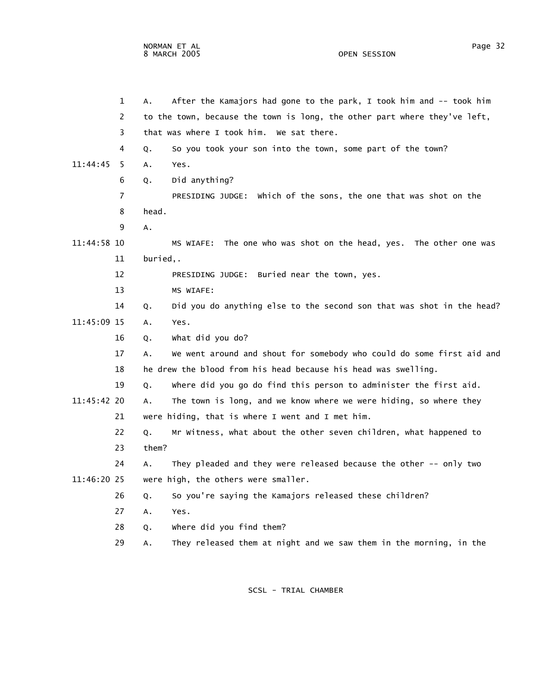NORMAN ET AL Page 32 8 MARCH 2005

 1 A. After the Kamajors had gone to the park, I took him and -- took him 2 to the town, because the town is long, the other part where they've left, 3 that was where I took him. We sat there. 4 Q. So you took your son into the town, some part of the town? 11:44:45 5 A. Yes. 6 Q. Did anything? 7 PRESIDING JUDGE: Which of the sons, the one that was shot on the 8 head. 9 A. 11:44:58 10 MS WIAFE: The one who was shot on the head, yes. The other one was 11 buried,. 12 PRESIDING JUDGE: Buried near the town, yes. 13 MS WIAFE: 14 Q. Did you do anything else to the second son that was shot in the head? 11:45:09 15 A. Yes. 16 Q. What did you do? 17 A. We went around and shout for somebody who could do some first aid and 18 he drew the blood from his head because his head was swelling. 19 Q. Where did you go do find this person to administer the first aid. 11:45:42 20 A. The town is long, and we know where we were hiding, so where they 21 were hiding, that is where I went and I met him. 22 Q. Mr Witness, what about the other seven children, what happened to 23 them? 24 A. They pleaded and they were released because the other -- only two 11:46:20 25 were high, the others were smaller. 26 Q. So you're saying the Kamajors released these children? 27 A. Yes. 28 Q. Where did you find them? 29 A. They released them at night and we saw them in the morning, in the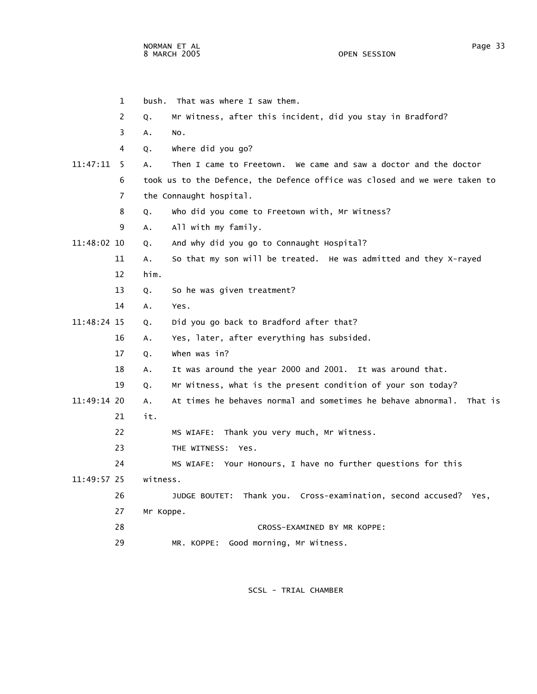|               | $\mathbf{1}$ | bush. That was where I saw them.                                           |
|---------------|--------------|----------------------------------------------------------------------------|
|               | 2            | Mr Witness, after this incident, did you stay in Bradford?<br>Q.           |
|               | 3            | NO.<br>Α.                                                                  |
|               | 4            | where did you go?<br>Q.                                                    |
| 11:47:11      | -5           | Then I came to Freetown. We came and saw a doctor and the doctor<br>Α.     |
|               | 6            | took us to the Defence, the Defence office was closed and we were taken to |
|               | 7            | the Connaught hospital.                                                    |
|               | 8            | who did you come to Freetown with, Mr Witness?<br>Q.                       |
|               | 9            | All with my family.<br>А.                                                  |
| 11:48:02 10   |              | And why did you go to Connaught Hospital?<br>Q.                            |
|               | 11           | So that my son will be treated. He was admitted and they X-rayed<br>A.     |
|               | 12           | him.                                                                       |
|               | 13           | So he was given treatment?<br>Q.                                           |
|               | 14           | Α.<br>Yes.                                                                 |
| 11:48:24 15   |              | Did you go back to Bradford after that?<br>Q.                              |
|               | 16           | Yes, later, after everything has subsided.<br>A.                           |
|               | 17           | when was in?<br>Q.                                                         |
|               | 18           | It was around the year 2000 and 2001. It was around that.<br>А.            |
|               | 19           | Mr Witness, what is the present condition of your son today?<br>Q.         |
| $11:49:14$ 20 |              | At times he behaves normal and sometimes he behave abnormal. That is<br>A. |
|               | 21           | it.                                                                        |
|               | 22           | MS WIAFE: Thank you very much, Mr Witness.                                 |
|               | 23           | THE WITNESS: Yes.                                                          |
|               | 24           | MS WIAFE: Your Honours, I have no further questions for this               |
| 11:49:57 25   |              | witness.                                                                   |
|               | 26           | JUDGE BOUTET: Thank you. Cross-examination, second accused? Yes,           |
|               | 27           | Mr Koppe.                                                                  |
|               | 28           | CROSS-EXAMINED BY MR KOPPE:                                                |
|               | 29           | Good morning, Mr Witness.<br>MR. KOPPE:                                    |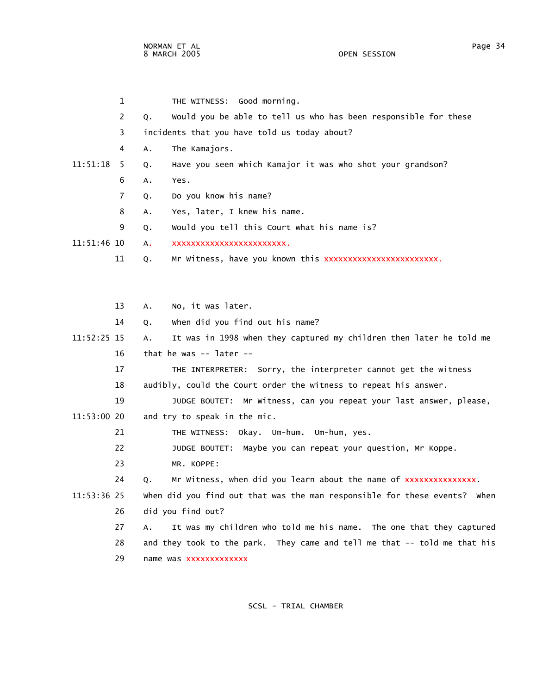1 THE WITNESS: Good morning. 2 Q. Would you be able to tell us who has been responsible for these 3 incidents that you have told us today about? 4 A. The Kamajors. 11:51:18 5 Q. Have you seen which Kamajor it was who shot your grandson? 6 A. Yes. 7 Q. Do you know his name? 8 A. Yes, later, I knew his name. 9 Q. Would you tell this Court what his name is? 11:51:46 10 A. xxxxxxxxxxxxxxxxxxxxxxxx. 11 Q. Mr Witness, have you known this xxxxxxxxxxxxxxxxxxxxxxxx.

 13 A. No, it was later. 14 Q. When did you find out his name? 11:52:25 15 A. It was in 1998 when they captured my children then later he told me 16 that he was -- later -- 17 THE INTERPRETER: Sorry, the interpreter cannot get the witness 18 audibly, could the Court order the witness to repeat his answer. 19 JUDGE BOUTET: Mr Witness, can you repeat your last answer, please, 11:53:00 20 and try to speak in the mic. 21 THE WITNESS: Okay. Um-hum. Um-hum, yes. 22 JUDGE BOUTET: Maybe you can repeat your question, Mr Koppe. 23 MR. KOPPE: 24 Q. Mr Witness, when did you learn about the name of xxxxxxxxxxxxxxx. 11:53:36 25 When did you find out that was the man responsible for these events? When 26 did you find out? 27 A. It was my children who told me his name. The one that they captured 28 and they took to the park. They came and tell me that -- told me that his 29 name was xxxxxxxxxxxxx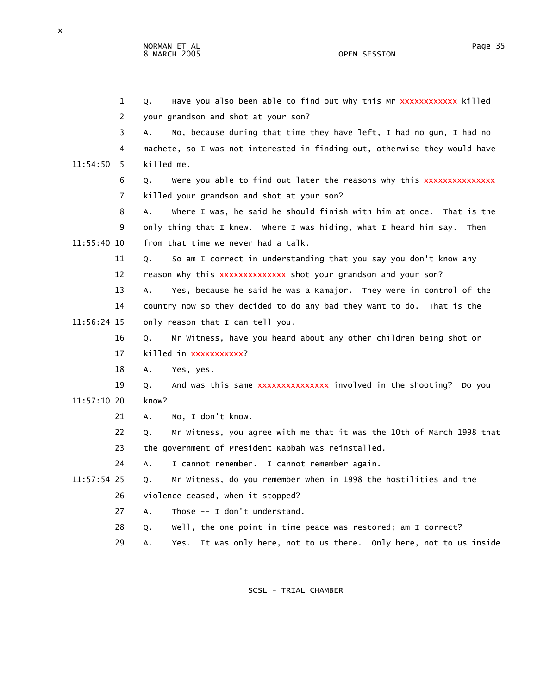NORMAN ET AL PAGE AND THE SERVICE SERVICE SERVICE SERVICE SERVICE SERVICE SERVICE SERVICE SERVICE SERVICE SERVICE SERVICE SERVICE SERVICE SERVICE SERVICE SERVICE SERVICE SERVICE SERVICE SERVICE SERVICE SERVICE SERVICE SERV 8 MARCH 2005 OPEN SESSION

| $\mathbf{1}$   | Have you also been able to find out why this Mr xxxxxxxxxxxx killed<br>Q.    |
|----------------|------------------------------------------------------------------------------|
| 2              | your grandson and shot at your son?                                          |
| 3              | No, because during that time they have left, I had no gun, I had no<br>А.    |
| 4              | machete, so I was not interested in finding out, otherwise they would have   |
| 11:54:50<br>-5 | killed me.                                                                   |
| 6              | Were you able to find out later the reasons why this xxxxxxxxxxxxxx<br>Q.    |
| 7              | killed your grandson and shot at your son?                                   |
| 8              | where I was, he said he should finish with him at once. That is the<br>А.    |
| 9              | only thing that I knew. Where I was hiding, what I heard him say. Then       |
| 11:55:40 10    | from that time we never had a talk.                                          |
| 11             | So am I correct in understanding that you say you don't know any<br>Q.       |
| 12             | reason why this xxxxxxxxxxxxxx shot your grandson and your son?              |
| 13             | Yes, because he said he was a Kamajor. They were in control of the<br>А.     |
| 14             | country now so they decided to do any bad they want to do. That is the       |
| 11:56:24 15    | only reason that I can tell you.                                             |
| 16             | Mr Witness, have you heard about any other children being shot or<br>Q.      |
| 17             | killed in xxxxxxxxxx?                                                        |
| 18             | А.<br>Yes, yes.                                                              |
| 19             | And was this same xxxxxxxxxxxxxxx involved in the shooting? Do you<br>Q.     |
| 11:57:10 20    | know?                                                                        |
| 21             | No, I don't know.<br>А.                                                      |
| 22             | Mr witness, you agree with me that it was the 10th of March 1998 that<br>Q.  |
| 23             | the government of President Kabbah was reinstalled.                          |
| 24             | I cannot remember. I cannot remember again.<br>А.                            |
| $11:57:54$ 25  | Mr Witness, do you remember when in 1998 the hostilities and the<br>Q.       |
| 26             | violence ceased, when it stopped?                                            |
| 27             | Those -- I don't understand.<br>A.                                           |
| 28             | Well, the one point in time peace was restored; am I correct?<br>Q.          |
| 29             | It was only here, not to us there. Only here, not to us inside<br>Yes.<br>А. |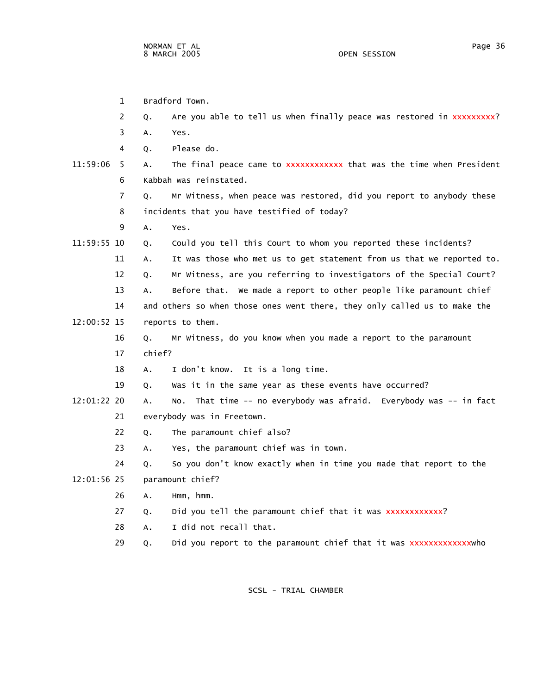1 Bradford Town.

|               | 2  | Q.     | Are you able to tell us when finally peace was restored in xxxxxxxxx?     |
|---------------|----|--------|---------------------------------------------------------------------------|
|               | 3  | Α.     | Yes.                                                                      |
|               | 4  | Q.     | Please do.                                                                |
| 11:59:06      | -5 | Α.     | The final peace came to xxxxxxxxxxxx that was the time when President     |
|               | 6  |        | Kabbah was reinstated.                                                    |
|               | 7  | Q.     | Mr Witness, when peace was restored, did you report to anybody these      |
|               | 8  |        | incidents that you have testified of today?                               |
|               | 9  | А.     | Yes.                                                                      |
| 11:59:55 10   |    | Q.     | Could you tell this Court to whom you reported these incidents?           |
|               | 11 | А.     | It was those who met us to get statement from us that we reported to.     |
|               | 12 | Q.     | Mr Witness, are you referring to investigators of the Special Court?      |
|               | 13 | А.     | Before that. We made a report to other people like paramount chief        |
|               | 14 |        | and others so when those ones went there, they only called us to make the |
| $12:00:52$ 15 |    |        | reports to them.                                                          |
|               | 16 | Q.     | Mr Witness, do you know when you made a report to the paramount           |
|               | 17 | chief? |                                                                           |
|               | 18 | Α.     | I don't know. It is a long time.                                          |
|               | 19 | Q.     | Was it in the same year as these events have occurred?                    |
| 12:01:22 20   |    | А.     | That time -- no everybody was afraid. Everybody was -- in fact<br>NO.     |
|               | 21 |        | everybody was in Freetown.                                                |
|               | 22 | Q.     | The paramount chief also?                                                 |
|               | 23 | А.     | Yes, the paramount chief was in town.                                     |
|               | 24 | Q.     | So you don't know exactly when in time you made that report to the        |
| 12:01:56 25   |    |        | paramount chief?                                                          |
|               | 26 | А.     | Hmm, hmm.                                                                 |
|               | 27 | Q.     | Did you tell the paramount chief that it was xxxxxxxxxxxx?                |
|               | 28 | А.     | I did not recall that.                                                    |
|               | 29 | Q.     | Did you report to the paramount chief that it was xxxxxxxxxxxxxwho        |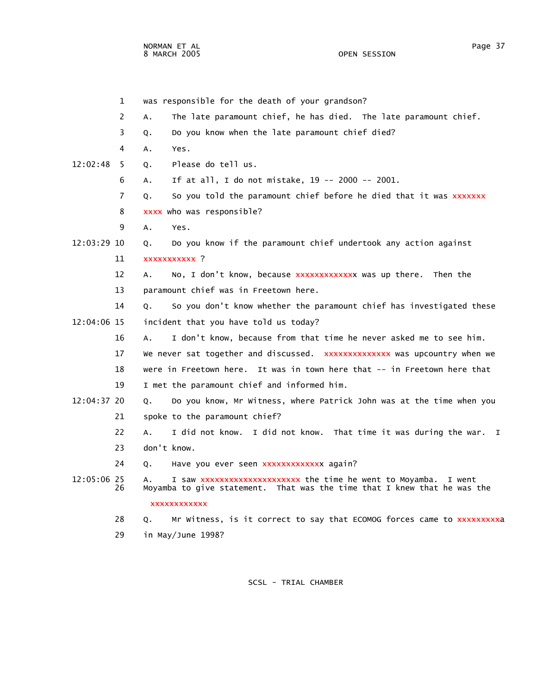NORMAN ET AL Page 37 8 MARCH 2005

 1 was responsible for the death of your grandson? 2 A. The late paramount chief, he has died. The late paramount chief. 3 Q. Do you know when the late paramount chief died? 4 A. Yes. 12:02:48 5 Q. Please do tell us. 6 A. If at all, I do not mistake, 19 -- 2000 -- 2001. 7 Q. So you told the paramount chief before he died that it was xxxxxxx 8 xxxx who was responsible? 9 A. Yes. 12:03:29 10 Q. Do you know if the paramount chief undertook any action against 11 xxxxxxxxxxx ? 12 A. No, I don't know, because xxxxxxxxxxxxx was up there. Then the 13 paramount chief was in Freetown here. 14 Q. So you don't know whether the paramount chief has investigated these 12:04:06 15 incident that you have told us today? 16 A. I don't know, because from that time he never asked me to see him. 17 We never sat together and discussed. xxxxxxxxxxxxxx was upcountry when we 18 were in Freetown here. It was in town here that -- in Freetown here that 19 I met the paramount chief and informed him. 12:04:37 20 Q. Do you know, Mr Witness, where Patrick John was at the time when you 21 spoke to the paramount chief? 22 A. I did not know. I did not know. That time it was during the war. I 23 don't know. 24 Q. Have you ever seen xxxxxxxxxxxxx again? 12:05:06 25 A. I saw xxxxxxxxxxxxxxxxxxxxxx the time he went to Moyamba. I went<br>26 Moyamba to give statement. That was the time that I knew that he was i 26 Moyamba to give statement. That was the time that I knew that he was the xxxxxxxxxxxx

28 Q. Mr Witness, is it correct to say that ECOMOG forces came to xxxxxxxxxx 29 in May/June 1998?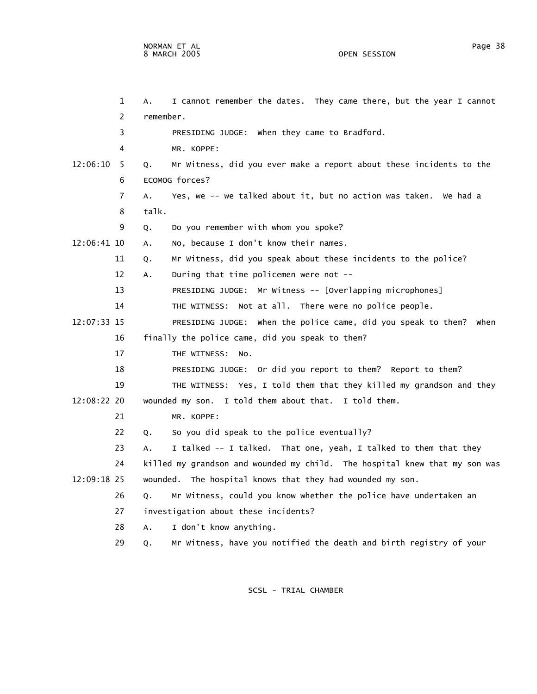1 A. I cannot remember the dates. They came there, but the year I cannot 2 remember. 3 PRESIDING JUDGE: When they came to Bradford. 4 MR. KOPPE: 12:06:10 5 Q. Mr Witness, did you ever make a report about these incidents to the 6 ECOMOG forces? 7 A. Yes, we -- we talked about it, but no action was taken. We had a 8 talk. 9 Q. Do you remember with whom you spoke? 12:06:41 10 A. No, because I don't know their names. 11 Q. Mr Witness, did you speak about these incidents to the police? 12 A. During that time policemen were not -- 13 PRESIDING JUDGE: Mr Witness -- [Overlapping microphones] 14 THE WITNESS: Not at all. There were no police people. 12:07:33 15 PRESIDING JUDGE: When the police came, did you speak to them? When 16 finally the police came, did you speak to them? 17 THE WITNESS: No.

18 PRESIDING JUDGE: Or did you report to them? Report to them?

19 THE WITNESS: Yes, I told them that they killed my grandson and they

12:08:22 20 wounded my son. I told them about that. I told them.

21 MR. KOPPE:

22 Q. So you did speak to the police eventually?

23 A. I talked -- I talked. That one, yeah, I talked to them that they

 24 killed my grandson and wounded my child. The hospital knew that my son was 12:09:18 25 wounded. The hospital knows that they had wounded my son.

26 Q. Mr Witness, could you know whether the police have undertaken an

- 27 investigation about these incidents?
- 28 A. I don't know anything.
- 29 Q. Mr Witness, have you notified the death and birth registry of your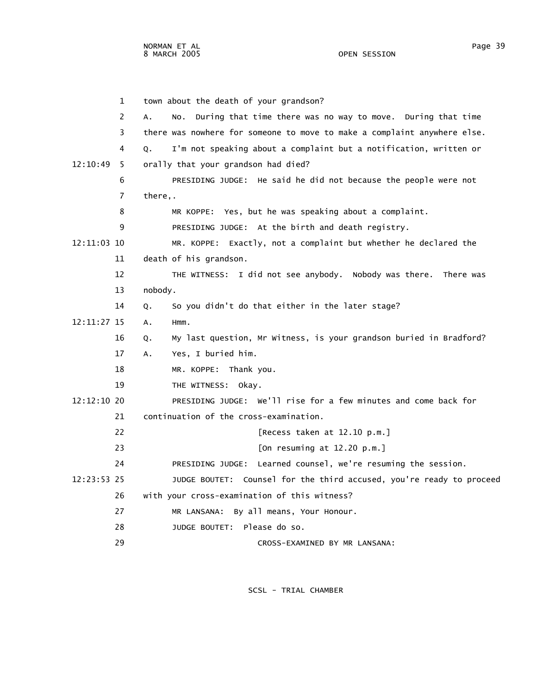1 town about the death of your grandson? 2 A. No. During that time there was no way to move. During that time 3 there was nowhere for someone to move to make a complaint anywhere else. 4 Q. I'm not speaking about a complaint but a notification, written or 12:10:49 5 orally that your grandson had died? 6 PRESIDING JUDGE: He said he did not because the people were not 7 there,. 8 MR KOPPE: Yes, but he was speaking about a complaint. 9 PRESIDING JUDGE: At the birth and death registry. 12:11:03 10 MR. KOPPE: Exactly, not a complaint but whether he declared the 11 death of his grandson. 12 THE WITNESS: I did not see anybody. Nobody was there. There was 13 nobody. 14 Q. So you didn't do that either in the later stage? 12:11:27 15 A. Hmm. 16 Q. My last question, Mr Witness, is your grandson buried in Bradford? 17 A. Yes, I buried him. 18 MR. KOPPE: Thank you. 19 THE WITNESS: Okay. 12:12:10 20 PRESIDING JUDGE: We'll rise for a few minutes and come back for 21 continuation of the cross-examination. 22 [Recess taken at 12.10 p.m.] 23 [On resuming at 12.20 p.m.] 24 PRESIDING JUDGE: Learned counsel, we're resuming the session. 12:23:53 25 JUDGE BOUTET: Counsel for the third accused, you're ready to proceed 26 with your cross-examination of this witness? 27 MR LANSANA: By all means, Your Honour. 28 JUDGE BOUTET: Please do so.

SCSL - TRIAL CHAMBER

29 CROSS-EXAMINED BY MR LANSANA: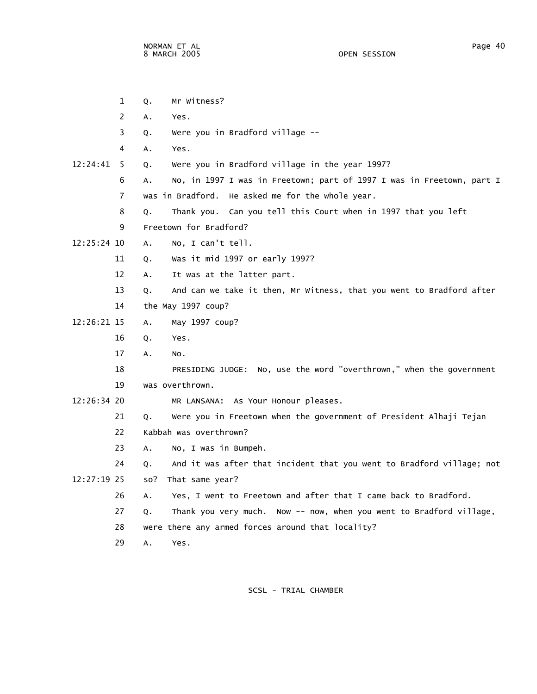1 Q. Mr Witness? 2 A. Yes. 3 Q. Were you in Bradford village -- 4 A. Yes. 12:24:41 5 Q. Were you in Bradford village in the year 1997? 6 A. No, in 1997 I was in Freetown; part of 1997 I was in Freetown, part I 7 was in Bradford. He asked me for the whole year. 8 Q. Thank you. Can you tell this Court when in 1997 that you left 9 Freetown for Bradford? 12:25:24 10 A. No, I can't tell. 11 Q. Was it mid 1997 or early 1997? 12 A. It was at the latter part. 13 Q. And can we take it then, Mr Witness, that you went to Bradford after 14 the May 1997 coup? 12:26:21 15 A. May 1997 coup? 16 Q. Yes. 17 A. No. 18 PRESIDING JUDGE: No, use the word "overthrown," when the government 19 was overthrown. 12:26:34 20 MR LANSANA: As Your Honour pleases. 21 Q. Were you in Freetown when the government of President Alhaji Tejan 22 Kabbah was overthrown? 23 A. No, I was in Bumpeh. 24 Q. And it was after that incident that you went to Bradford village; not 12:27:19 25 so? That same year? 26 A. Yes, I went to Freetown and after that I came back to Bradford. 27 Q. Thank you very much. Now -- now, when you went to Bradford village, 28 were there any armed forces around that locality? 29 A. Yes.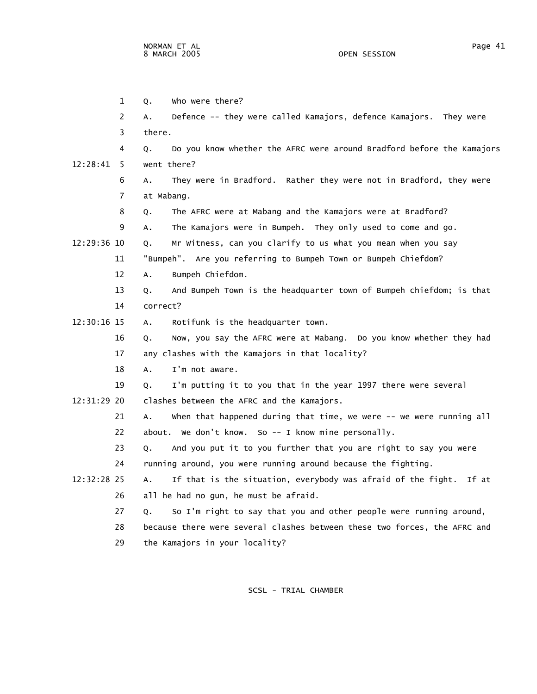1 Q. Who were there? 2 A. Defence -- they were called Kamajors, defence Kamajors. They were 3 there. 4 Q. Do you know whether the AFRC were around Bradford before the Kamajors 12:28:41 5 went there? 6 A. They were in Bradford. Rather they were not in Bradford, they were 7 at Mabang. 8 Q. The AFRC were at Mabang and the Kamajors were at Bradford? 9 A. The Kamajors were in Bumpeh. They only used to come and go. 12:29:36 10 Q. Mr Witness, can you clarify to us what you mean when you say 11 "Bumpeh". Are you referring to Bumpeh Town or Bumpeh Chiefdom? 12 A. Bumpeh Chiefdom. 13 Q. And Bumpeh Town is the headquarter town of Bumpeh chiefdom; is that 14 correct? 12:30:16 15 A. Rotifunk is the headquarter town. 16 Q. Now, you say the AFRC were at Mabang. Do you know whether they had 17 any clashes with the Kamajors in that locality? 18 A. I'm not aware. 19 Q. I'm putting it to you that in the year 1997 there were several 12:31:29 20 clashes between the AFRC and the Kamajors. 21 A. When that happened during that time, we were -- we were running all 22 about. We don't know. So -- I know mine personally. 23 Q. And you put it to you further that you are right to say you were 24 running around, you were running around because the fighting. 12:32:28 25 A. If that is the situation, everybody was afraid of the fight. If at 26 all he had no gun, he must be afraid. 27 Q. So I'm right to say that you and other people were running around, 28 because there were several clashes between these two forces, the AFRC and

29 the Kamajors in your locality?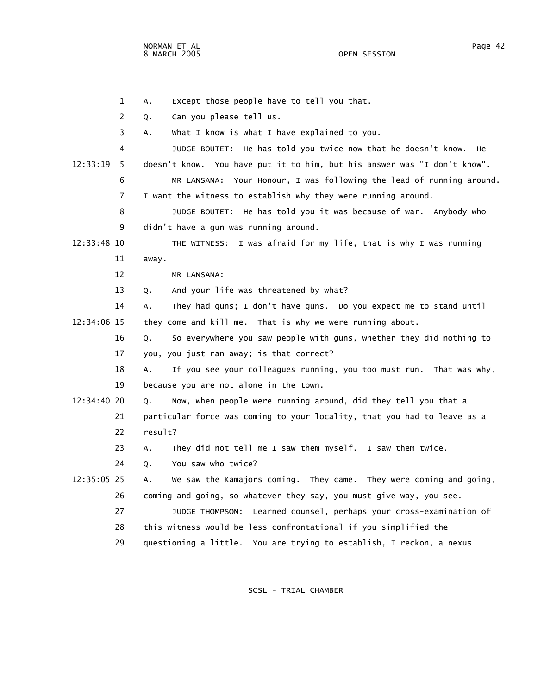NORMAN ET AL Page 42 8 MARCH 2005

 2 Q. Can you please tell us. 3 A. What I know is what I have explained to you. 4 JUDGE BOUTET: He has told you twice now that he doesn't know. He 12:33:19 5 doesn't know. You have put it to him, but his answer was "I don't know". 6 MR LANSANA: Your Honour, I was following the lead of running around. 7 I want the witness to establish why they were running around. 8 JUDGE BOUTET: He has told you it was because of war. Anybody who 9 didn't have a gun was running around. 12:33:48 10 THE WITNESS: I was afraid for my life, that is why I was running 11 away. 12 MR LANSANA: 13 Q. And your life was threatened by what? 14 A. They had guns; I don't have guns. Do you expect me to stand until 12:34:06 15 they come and kill me. That is why we were running about. 16 Q. So everywhere you saw people with guns, whether they did nothing to 17 you, you just ran away; is that correct? 18 A. If you see your colleagues running, you too must run. That was why, 19 because you are not alone in the town. 12:34:40 20 Q. Now, when people were running around, did they tell you that a 21 particular force was coming to your locality, that you had to leave as a 22 result? 23 A. They did not tell me I saw them myself. I saw them twice. 24 Q. You saw who twice? 12:35:05 25 A. We saw the Kamajors coming. They came. They were coming and going, 26 coming and going, so whatever they say, you must give way, you see. 27 JUDGE THOMPSON: Learned counsel, perhaps your cross-examination of 28 this witness would be less confrontational if you simplified the 29 questioning a little. You are trying to establish, I reckon, a nexus

1 A. Except those people have to tell you that.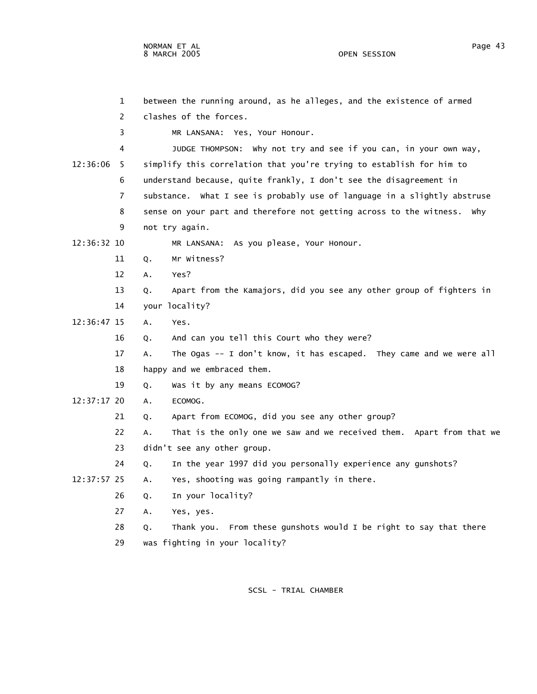|             | 1   | between the running around, as he alleges, and the existence of armed      |
|-------------|-----|----------------------------------------------------------------------------|
|             | 2   | clashes of the forces.                                                     |
|             | 3   | MR LANSANA: Yes, Your Honour.                                              |
|             | 4   | JUDGE THOMPSON: why not try and see if you can, in your own way,           |
| 12:36:06    | - 5 | simplify this correlation that you're trying to establish for him to       |
|             | 6   | understand because, quite frankly, I don't see the disagreement in         |
|             | 7   | substance. What I see is probably use of language in a slightly abstruse   |
|             | 8   | sense on your part and therefore not getting across to the witness. Why    |
|             | 9   | not try again.                                                             |
| 12:36:32 10 |     | MR LANSANA: As you please, Your Honour.                                    |
|             | 11  | Mr Witness?<br>Q.                                                          |
|             | 12  | Yes?<br>А.                                                                 |
|             | 13  | Apart from the Kamajors, did you see any other group of fighters in<br>Q.  |
|             | 14  | your locality?                                                             |
| 12:36:47 15 |     | Yes.<br>А.                                                                 |
|             | 16  | And can you tell this Court who they were?<br>Q.                           |
|             | 17  | The Ogas -- I don't know, it has escaped. They came and we were all<br>Α.  |
|             | 18  | happy and we embraced them.                                                |
|             | 19  | Was it by any means ECOMOG?<br>Q.                                          |
| 12:37:17 20 |     | ECOMOG.<br>А.                                                              |
|             | 21  | Apart from ECOMOG, did you see any other group?<br>Q.                      |
|             | 22  | That is the only one we saw and we received them. Apart from that we<br>Α. |
|             | 23  | didn't see any other group.                                                |
|             | 24  | In the year 1997 did you personally experience any gunshots?<br>Q.         |
| 12:37:57 25 |     | Yes, shooting was going rampantly in there.<br>Α.                          |
|             | 26  | In your locality?<br>Q.                                                    |
|             | 27  | Yes, yes.<br>А.                                                            |
|             | 28  | Thank you. From these gunshots would I be right to say that there<br>Q.    |
|             | 29  | was fighting in your locality?                                             |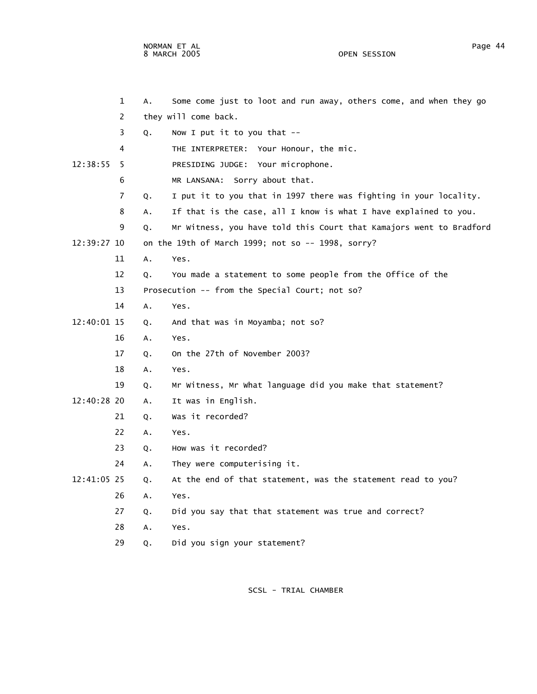NORMAN ET AL PAGE AND RESERVE THE SERVE AND RESERVE THE STATE OF PAGE 44 FOR A PAGE 44 FOR A PAGE AND RESERVE THE STATE OF PAGE AND RESERVE THE STATE OF PAGE AND RESERVE THE STATE OF PAGE AND RESERVE THE STATE OF PAGE AND 8 MARCH 2005 OPEN SESSION

|             | 1  | A. | Some come just to loot and run away, others come, and when they go  |
|-------------|----|----|---------------------------------------------------------------------|
|             | 2  |    | they will come back.                                                |
|             | 3  | Q. | Now I put it to you that $-$                                        |
|             | 4  |    | THE INTERPRETER: Your Honour, the mic.                              |
| 12:38:55    | 5  |    | PRESIDING JUDGE: Your microphone.                                   |
|             | 6  |    | MR LANSANA: Sorry about that.                                       |
|             | 7  | Q. | I put it to you that in 1997 there was fighting in your locality.   |
|             | 8  | А. | If that is the case, all I know is what I have explained to you.    |
|             | 9  | Q. | Mr Witness, you have told this Court that Kamajors went to Bradford |
| 12:39:27 10 |    |    | on the 19th of March 1999; not so -- 1998, sorry?                   |
|             | 11 | A. | Yes.                                                                |
|             | 12 | Q. | You made a statement to some people from the Office of the          |
|             | 13 |    | Prosecution -- from the Special Court; not so?                      |
|             | 14 | Α. | Yes.                                                                |
| 12:40:01 15 |    | Q. | And that was in Moyamba; not so?                                    |
|             | 16 | Α. | Yes.                                                                |
|             | 17 | Q. | On the 27th of November 2003?                                       |
|             | 18 | А. | Yes.                                                                |
|             | 19 | Q. | Mr Witness, Mr What language did you make that statement?           |
| 12:40:28 20 |    | Α. | It was in English.                                                  |
|             | 21 | Q. | Was it recorded?                                                    |
|             | 22 | А. | Yes.                                                                |
|             | 23 | Q. | How was it recorded?                                                |
|             | 24 | Α. | They were computerising it.                                         |
| 12:41:05 25 |    | Q. | At the end of that statement, was the statement read to you?        |
|             | 26 | Α. | Yes.                                                                |
|             | 27 | Q. | Did you say that that statement was true and correct?               |
|             | 28 | Α. | Yes.                                                                |
|             | 29 | Q. | Did you sign your statement?                                        |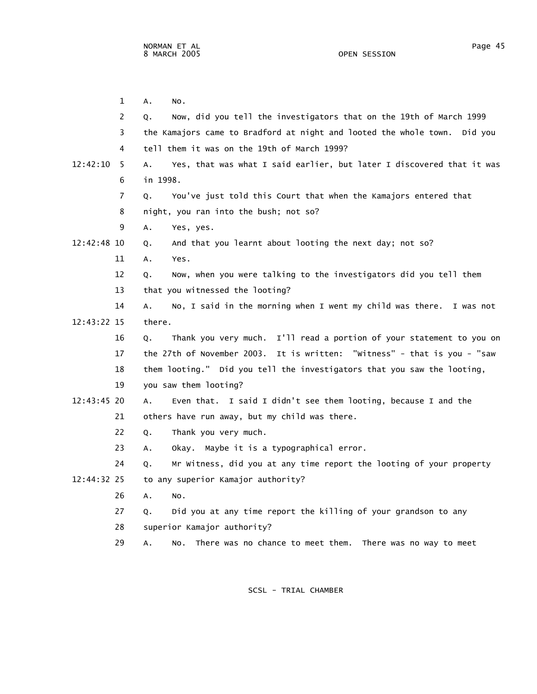1 A. No.

 2 Q. Now, did you tell the investigators that on the 19th of March 1999 3 the Kamajors came to Bradford at night and looted the whole town. Did you 4 tell them it was on the 19th of March 1999? 12:42:10 5 A. Yes, that was what I said earlier, but later I discovered that it was 6 in 1998. 7 Q. You've just told this Court that when the Kamajors entered that 8 night, you ran into the bush; not so? 9 A. Yes, yes. 12:42:48 10 Q. And that you learnt about looting the next day; not so? 11 A. Yes. 12 Q. Now, when you were talking to the investigators did you tell them 13 that you witnessed the looting? 14 A. No, I said in the morning when I went my child was there. I was not 16 Q. Thank you very much. I'll read a portion of your statement to you on

12:43:22 15 there.

 17 the 27th of November 2003. It is written: "Witness" - that is you - "saw 18 them looting." Did you tell the investigators that you saw the looting, 19 you saw them looting?

- 12:43:45 20 A. Even that. I said I didn't see them looting, because I and the 21 others have run away, but my child was there.
	- 22 Q. Thank you very much.
	- 23 A. Okay. Maybe it is a typographical error.
- 24 Q. Mr Witness, did you at any time report the looting of your property 12:44:32 25 to any superior Kamajor authority?
- 26 A. No.
	- 27 Q. Did you at any time report the killing of your grandson to any
	- 28 superior Kamajor authority?
	- 29 A. No. There was no chance to meet them. There was no way to meet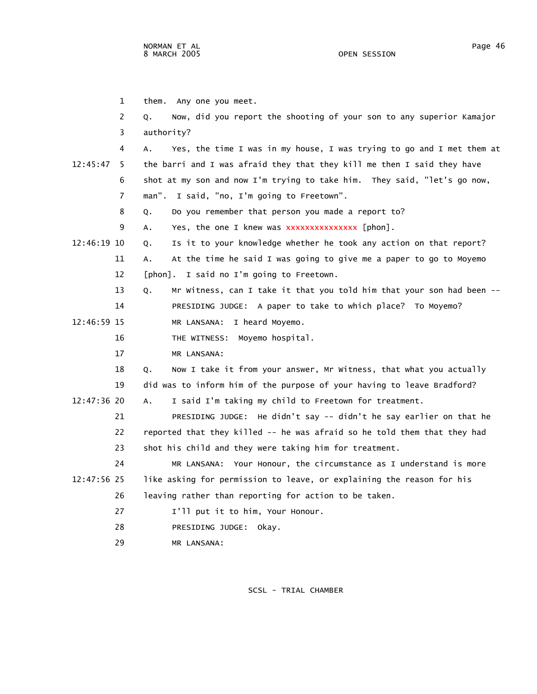|             | 1  | Any one you meet.<br>them.                                                  |
|-------------|----|-----------------------------------------------------------------------------|
|             | 2  | Now, did you report the shooting of your son to any superior Kamajor<br>Q.  |
|             | 3  | authority?                                                                  |
|             | 4  | Yes, the time I was in my house, I was trying to go and I met them at<br>А. |
| 12:45:47    | -5 | the barri and I was afraid they that they kill me then I said they have     |
|             | 6  | shot at my son and now I'm trying to take him. They said, "let's go now,    |
|             | 7  | man". I said, "no, I'm going to Freetown".                                  |
|             | 8  | Do you remember that person you made a report to?<br>Q.                     |
|             | 9  | Yes, the one I knew was xxxxxxxxxxxxxxx [phon].<br>Α.                       |
| 12:46:19 10 |    | Is it to your knowledge whether he took any action on that report?<br>Q.    |
|             | 11 | At the time he said I was going to give me a paper to go to Moyemo<br>А.    |
|             | 12 | [phon]. I said no I'm going to Freetown.                                    |
|             | 13 | Mr Witness, can I take it that you told him that your son had been --<br>Q. |
|             | 14 | PRESIDING JUDGE: A paper to take to which place? To Moyemo?                 |
| 12:46:59 15 |    | MR LANSANA: I heard Moyemo.                                                 |
|             | 16 | THE WITNESS: Moyemo hospital.                                               |
|             | 17 | MR LANSANA:                                                                 |
|             | 18 | Now I take it from your answer, Mr Witness, that what you actually<br>Q.    |
|             | 19 | did was to inform him of the purpose of your having to leave Bradford?      |
| 12:47:36 20 |    | I said I'm taking my child to Freetown for treatment.<br>Α.                 |
|             | 21 | PRESIDING JUDGE: He didn't say -- didn't he say earlier on that he          |
|             | 22 | reported that they killed -- he was afraid so he told them that they had    |
|             | 23 | shot his child and they were taking him for treatment.                      |
|             | 24 | MR LANSANA: Your Honour, the circumstance as I understand is more           |
| 12:47:56 25 |    | like asking for permission to leave, or explaining the reason for his       |
|             | 26 | leaving rather than reporting for action to be taken.                       |
|             | 27 | I'll put it to him, Your Honour.                                            |
|             | 28 | PRESIDING JUDGE: Okay.                                                      |
|             | 29 | MR LANSANA:                                                                 |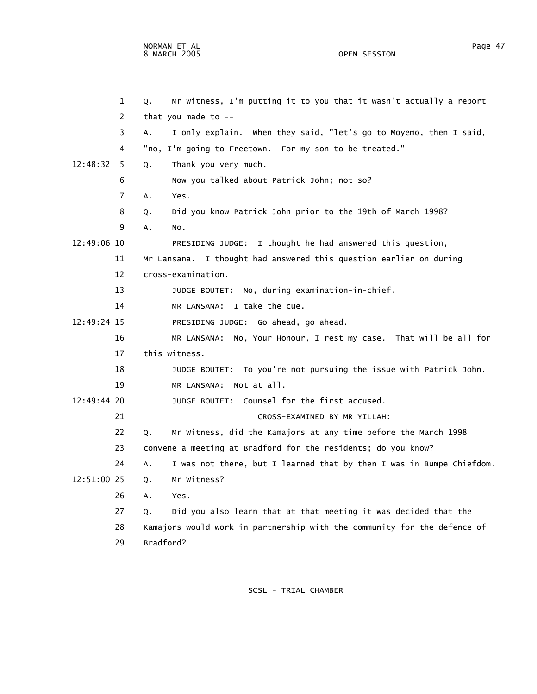1 Q. Mr Witness, I'm putting it to you that it wasn't actually a report

 2 that you made to -- 3 A. I only explain. When they said, "let's go to Moyemo, then I said, 4 "no, I'm going to Freetown. For my son to be treated." 12:48:32 5 Q. Thank you very much. 6 Now you talked about Patrick John; not so? 7 A. Yes. 8 Q. Did you know Patrick John prior to the 19th of March 1998? 9 A. No. 12:49:06 10 PRESIDING JUDGE: I thought he had answered this question, 11 Mr Lansana. I thought had answered this question earlier on during 12 cross-examination. 13 JUDGE BOUTET: No, during examination-in-chief. 14 MR LANSANA: I take the cue. 12:49:24 15 PRESIDING JUDGE: Go ahead, go ahead. 16 MR LANSANA: No, Your Honour, I rest my case. That will be all for 17 this witness. 18 JUDGE BOUTET: To you're not pursuing the issue with Patrick John. 19 MR LANSANA: Not at all. 12:49:44 20 JUDGE BOUTET: Counsel for the first accused. 21 CROSS-EXAMINED BY MR YILLAH: 22 Q. Mr Witness, did the Kamajors at any time before the March 1998 23 convene a meeting at Bradford for the residents; do you know? 24 A. I was not there, but I learned that by then I was in Bumpe Chiefdom. 12:51:00 25 Q. Mr Witness? 26 A. Yes. 27 Q. Did you also learn that at that meeting it was decided that the 28 Kamajors would work in partnership with the community for the defence of 29 Bradford?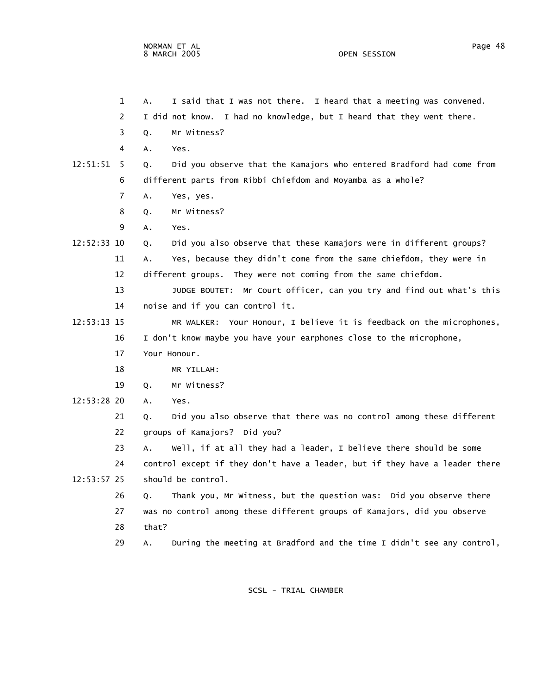1 A. I said that I was not there. I heard that a meeting was convened. 2 I did not know. I had no knowledge, but I heard that they went there. 3 Q. Mr Witness? 4 A. Yes. 12:51:51 5 Q. Did you observe that the Kamajors who entered Bradford had come from 6 different parts from Ribbi Chiefdom and Moyamba as a whole? 7 A. Yes, yes. 8 Q. Mr Witness? 9 A. Yes. 12:52:33 10 Q. Did you also observe that these Kamajors were in different groups? 11 A. Yes, because they didn't come from the same chiefdom, they were in 12 different groups. They were not coming from the same chiefdom. 13 JUDGE BOUTET: Mr Court officer, can you try and find out what's this 14 noise and if you can control it. 12:53:13 15 MR WALKER: Your Honour, I believe it is feedback on the microphones, 16 I don't know maybe you have your earphones close to the microphone, 17 Your Honour. 18 MR YILLAH: 19 Q. Mr Witness? 12:53:28 20 A. Yes. 21 Q. Did you also observe that there was no control among these different 22 groups of Kamajors? Did you? 23 A. Well, if at all they had a leader, I believe there should be some 24 control except if they don't have a leader, but if they have a leader there 12:53:57 25 should be control. 26 Q. Thank you, Mr Witness, but the question was: Did you observe there 27 was no control among these different groups of Kamajors, did you observe 28 that? 29 A. During the meeting at Bradford and the time I didn't see any control,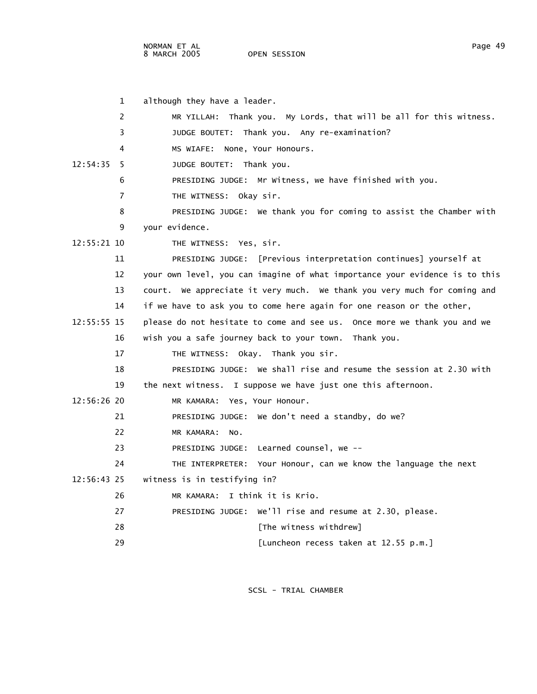NORMAN ET AL Page 49

OPEN SESSION

| $\mathbf{1}$   | although they have a leader.                                                |
|----------------|-----------------------------------------------------------------------------|
| 2              | Thank you. My Lords, that will be all for this witness.<br>MR YILLAH:       |
| 3              | JUDGE BOUTET: Thank you. Any re-examination?                                |
| 4              | MS WIAFE: None, Your Honours.                                               |
| 12:54:35<br>-5 | JUDGE BOUTET: Thank you.                                                    |
| 6              | PRESIDING JUDGE: Mr Witness, we have finished with you.                     |
| 7              | THE WITNESS: Okay sir.                                                      |
| 8              | PRESIDING JUDGE: We thank you for coming to assist the Chamber with         |
| 9              | your evidence.                                                              |
| 12:55:21 10    | THE WITNESS: Yes, sir.                                                      |
| 11             | PRESIDING JUDGE: [Previous interpretation continues] yourself at            |
| 12             | your own level, you can imagine of what importance your evidence is to this |
| 13             | court. We appreciate it very much. We thank you very much for coming and    |
| 14             | if we have to ask you to come here again for one reason or the other,       |
| $12:55:55$ 15  | please do not hesitate to come and see us. Once more we thank you and we    |
| 16             | wish you a safe journey back to your town. Thank you.                       |
| 17             | THE WITNESS: Okay. Thank you sir.                                           |
| 18             | PRESIDING JUDGE: We shall rise and resume the session at 2.30 with          |
| 19             | the next witness. I suppose we have just one this afternoon.                |
| $12:56:26$ 20  | MR KAMARA: Yes, Your Honour.                                                |
| 21             | PRESIDING JUDGE: We don't need a standby, do we?                            |
| 22             | MR KAMARA:<br>NO.                                                           |
| 23             | PRESIDING JUDGE: Learned counsel, we --                                     |
| 24             | THE INTERPRETER: Your Honour, can we know the language the next             |
| 12:56:43 25    | witness is in testifying in?                                                |
| 26             | MR KAMARA: I think it is Krio.                                              |
| 27             | PRESIDING JUDGE: We'll rise and resume at 2.30, please.                     |
| 28             | [The witness withdrew]                                                      |
| 29             | [Luncheon recess taken at 12.55 p.m.]                                       |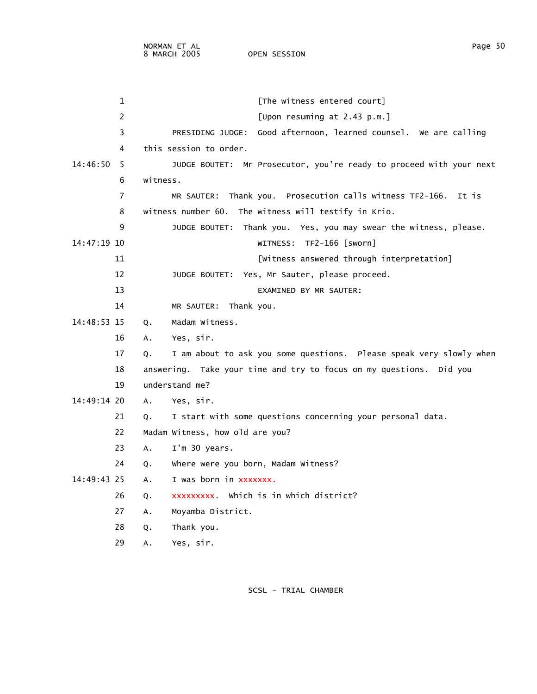|               | 1  | [The witness entered court]                                               |
|---------------|----|---------------------------------------------------------------------------|
|               | 2  | [Upon resuming at 2.43 p.m.]                                              |
|               | 3  | Good afternoon, learned counsel. We are calling<br>PRESIDING JUDGE:       |
|               | 4  | this session to order.                                                    |
| 14:46:50      | -5 | JUDGE BOUTET: Mr Prosecutor, you're ready to proceed with your next       |
|               | 6  | witness.                                                                  |
|               | 7  | MR SAUTER: Thank you. Prosecution calls witness TF2-166. It is            |
|               | 8  | witness number 60. The witness will testify in Krio.                      |
|               | 9  | JUDGE BOUTET: Thank you. Yes, you may swear the witness, please.          |
| $14:47:19$ 10 |    | WITNESS: TF2-166 [sworn]                                                  |
|               | 11 | [Witness answered through interpretation]                                 |
|               | 12 | JUDGE BOUTET: Yes, Mr Sauter, please proceed.                             |
|               | 13 | EXAMINED BY MR SAUTER:                                                    |
|               | 14 | MR SAUTER: Thank you.                                                     |
| 14:48:53 15   |    | Madam Witness.<br>Q.                                                      |
|               | 16 | Yes, sir.<br>А.                                                           |
|               | 17 | I am about to ask you some questions. Please speak very slowly when<br>Q. |
|               | 18 | answering. Take your time and try to focus on my questions. Did you       |
|               | 19 | understand me?                                                            |
| 14:49:14 20   |    | Yes, sir.<br>Α.                                                           |
|               | 21 | I start with some questions concerning your personal data.<br>Q.          |
|               | 22 | Madam Witness, how old are you?                                           |
|               | 23 | Α.<br>I'm 30 years.                                                       |
|               | 24 | where were you born, Madam Witness?<br>Q.                                 |
| 14:49:43 25   |    | I was born in xxxxxxx.<br>Α.                                              |
|               | 26 | xxxxxxxxx which is in which district?<br>Q.                               |
|               | 27 | Moyamba District.<br>А.                                                   |
|               | 28 | Thank you.<br>Q.                                                          |
|               | 29 | Yes, sir.<br>Α.                                                           |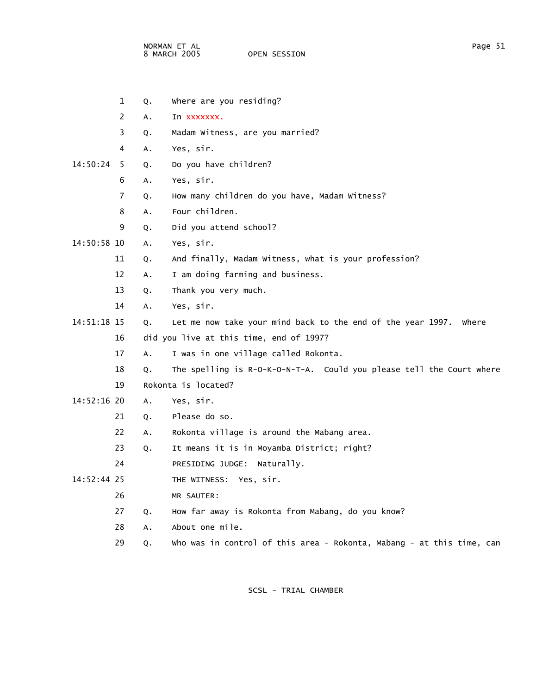NORMAN ET AL Page 51 8 MARCH 2005

 1 Q. Where are you residing? 2 A. In xxxxxxx. 3 Q. Madam Witness, are you married? 4 A. Yes, sir. 14:50:24 5 Q. Do you have children? 6 A. Yes, sir. 7 Q. How many children do you have, Madam Witness? 8 A. Four children. 9 Q. Did you attend school? 14:50:58 10 A. Yes, sir. 11 Q. And finally, Madam Witness, what is your profession? 12 A. I am doing farming and business. 13 Q. Thank you very much. 14 A. Yes, sir. 14:51:18 15 Q. Let me now take your mind back to the end of the year 1997. Where 16 did you live at this time, end of 1997? 17 A. I was in one village called Rokonta. 18 Q. The spelling is R-O-K-O-N-T-A. Could you please tell the Court where 19 Rokonta is located? 14:52:16 20 A. Yes, sir. 21 Q. Please do so. 22 A. Rokonta village is around the Mabang area. 23 Q. It means it is in Moyamba District; right? 24 PRESIDING JUDGE: Naturally. 14:52:44 25 THE WITNESS: Yes, sir. 26 MR SAUTER: 27 Q. How far away is Rokonta from Mabang, do you know? 28 A. About one mile. 29 Q. Who was in control of this area - Rokonta, Mabang - at this time, can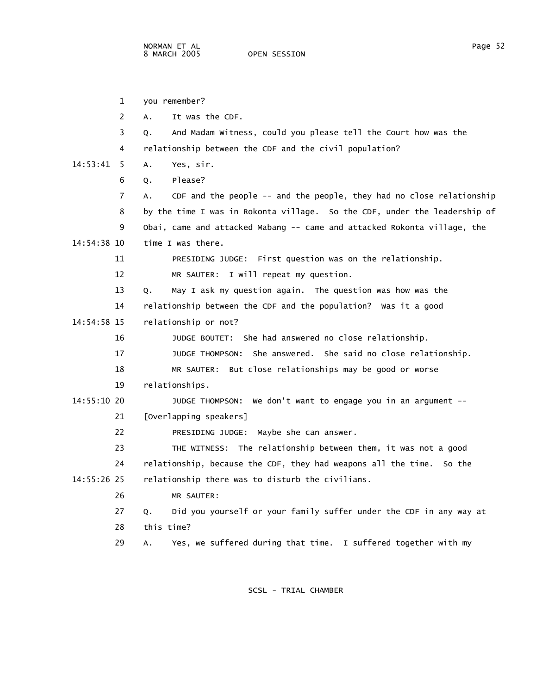|             | 1  | you remember?                                                              |
|-------------|----|----------------------------------------------------------------------------|
|             | 2  | It was the CDF.<br>А.                                                      |
|             | 3  | And Madam Witness, could you please tell the Court how was the<br>Q.       |
|             | 4  | relationship between the CDF and the civil population?                     |
| 14:53:41    | -5 | Yes, sir.<br>A.                                                            |
|             | 6  | Please?<br>Q.                                                              |
|             | 7  | CDF and the people -- and the people, they had no close relationship<br>А. |
|             | 8  | by the time I was in Rokonta village. So the CDF, under the leadership of  |
|             | 9  | Obai, came and attacked Mabang -- came and attacked Rokonta village, the   |
| 14:54:38 10 |    | time I was there.                                                          |
|             | 11 | PRESIDING JUDGE: First question was on the relationship.                   |
|             | 12 | MR SAUTER: I will repeat my question.                                      |
|             | 13 | May I ask my question again. The question was how was the<br>Q.            |
|             | 14 | relationship between the CDF and the population? Was it a good             |
| 14:54:58 15 |    | relationship or not?                                                       |
|             | 16 | JUDGE BOUTET: She had answered no close relationship.                      |
|             | 17 | JUDGE THOMPSON: She answered. She said no close relationship.              |
|             | 18 | MR SAUTER: But close relationships may be good or worse                    |
|             | 19 | relationships.                                                             |
| 14:55:10 20 |    | JUDGE THOMPSON: We don't want to engage you in an argument --              |
|             | 21 | [Overlapping speakers]                                                     |
|             | 22 | Maybe she can answer.<br>PRESIDING JUDGE:                                  |
|             | 23 | THE WITNESS: The relationship between them, it was not a good              |
|             | 24 | relationship, because the CDF, they had weapons all the time. So the       |
| 14:55:26 25 |    | relationship there was to disturb the civilians.                           |
|             | 26 | MR SAUTER:                                                                 |
|             | 27 | Did you yourself or your family suffer under the CDF in any way at<br>Q.   |
|             | 28 | this time?                                                                 |
|             | 29 | Yes, we suffered during that time. I suffered together with my<br>Α.       |
|             |    |                                                                            |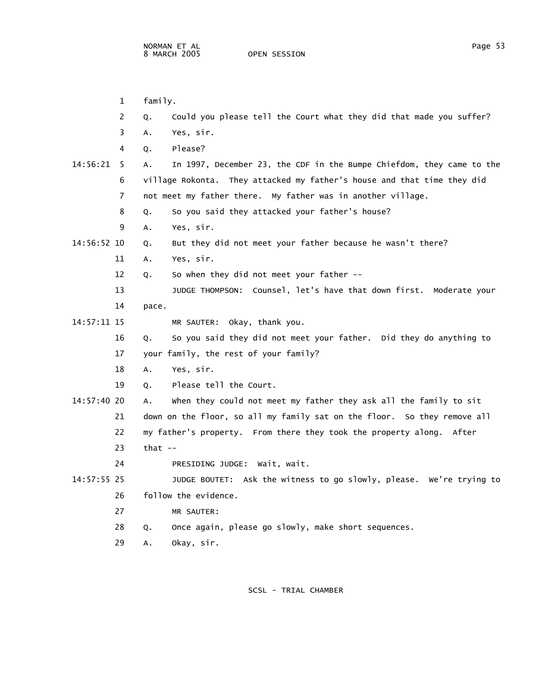1 family. 2 Q. Could you please tell the Court what they did that made you suffer? 3 A. Yes, sir. 4 Q. Please? 14:56:21 5 A. In 1997, December 23, the CDF in the Bumpe Chiefdom, they came to the 6 village Rokonta. They attacked my father's house and that time they did 7 not meet my father there. My father was in another village. 8 Q. So you said they attacked your father's house? 9 A. Yes, sir. 14:56:52 10 Q. But they did not meet your father because he wasn't there? 11 A. Yes, sir. 12 Q. So when they did not meet your father -- 13 JUDGE THOMPSON: Counsel, let's have that down first. Moderate your 14 pace. 14:57:11 15 MR SAUTER: Okay, thank you. 16 Q. So you said they did not meet your father. Did they do anything to 17 your family, the rest of your family? 18 A. Yes, sir. 19 Q. Please tell the Court. 14:57:40 20 A. When they could not meet my father they ask all the family to sit 21 down on the floor, so all my family sat on the floor. So they remove all 22 my father's property. From there they took the property along. After 23 that -- 24 PRESIDING JUDGE: Wait, wait. 14:57:55 25 JUDGE BOUTET: Ask the witness to go slowly, please. We're trying to 26 follow the evidence. 27 MR SAUTER: 28 Q. Once again, please go slowly, make short sequences. 29 A. Okay, sir.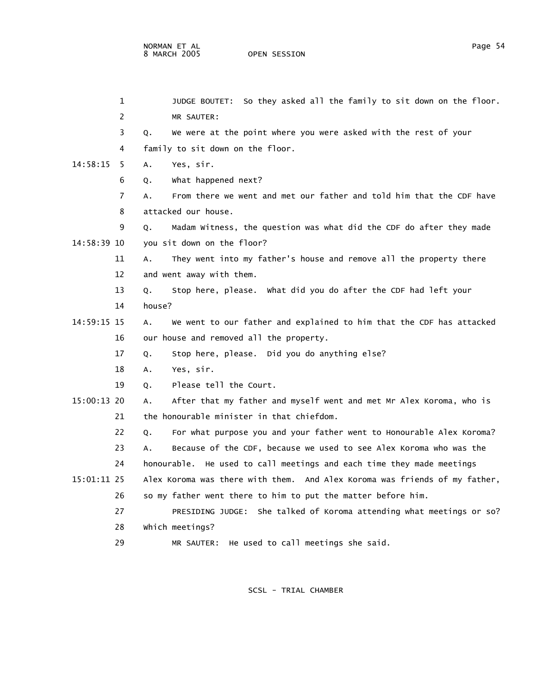1 JUDGE BOUTET: So they asked all the family to sit down on the floor. 2 MR SAUTER: 3 Q. We were at the point where you were asked with the rest of your 4 family to sit down on the floor. 14:58:15 5 A. Yes, sir. 6 Q. What happened next? 7 A. From there we went and met our father and told him that the CDF have 8 attacked our house. 9 Q. Madam Witness, the question was what did the CDF do after they made 14:58:39 10 you sit down on the floor? 11 A. They went into my father's house and remove all the property there 12 and went away with them. 13 Q. Stop here, please. What did you do after the CDF had left your 14 house? 14:59:15 15 A. We went to our father and explained to him that the CDF has attacked 16 our house and removed all the property. 17 Q. Stop here, please. Did you do anything else? 18 A. Yes, sir. 19 Q. Please tell the Court. 15:00:13 20 A. After that my father and myself went and met Mr Alex Koroma, who is 21 the honourable minister in that chiefdom. 22 Q. For what purpose you and your father went to Honourable Alex Koroma? 23 A. Because of the CDF, because we used to see Alex Koroma who was the 24 honourable. He used to call meetings and each time they made meetings 15:01:11 25 Alex Koroma was there with them. And Alex Koroma was friends of my father, 26 so my father went there to him to put the matter before him. 27 PRESIDING JUDGE: She talked of Koroma attending what meetings or so? 28 Which meetings? 29 MR SAUTER: He used to call meetings she said.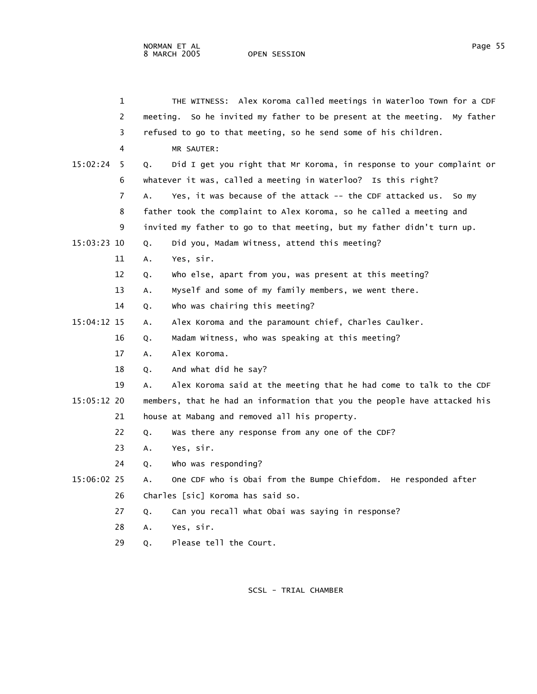|             | 1                     |    | THE WITNESS: Alex Koroma called meetings in Waterloo Town for a CDF       |
|-------------|-----------------------|----|---------------------------------------------------------------------------|
|             | $\mathbf{2}^{\prime}$ |    | meeting. So he invited my father to be present at the meeting. My father  |
|             | 3                     |    | refused to go to that meeting, so he send some of his children.           |
|             | 4                     |    | MR SAUTER:                                                                |
| 15:02:24    | -5                    | Q. | Did I get you right that Mr Koroma, in response to your complaint or      |
|             | 6                     |    | whatever it was, called a meeting in Waterloo? Is this right?             |
|             | 7                     | A. | Yes, it was because of the attack -- the CDF attacked us. So my           |
|             | 8                     |    | father took the complaint to Alex Koroma, so he called a meeting and      |
|             | 9                     |    | invited my father to go to that meeting, but my father didn't turn up.    |
| 15:03:23 10 |                       | Q. | Did you, Madam Witness, attend this meeting?                              |
|             | 11                    | A. | Yes, sir.                                                                 |
|             | 12                    | Q. | who else, apart from you, was present at this meeting?                    |
|             | 13                    | Α. | Myself and some of my family members, we went there.                      |
|             | 14                    | Q. | Who was chairing this meeting?                                            |
| 15:04:12 15 |                       | A. | Alex Koroma and the paramount chief, Charles Caulker.                     |
|             | 16                    | Q. | Madam Witness, who was speaking at this meeting?                          |
|             | 17                    | A. | Alex Koroma.                                                              |
|             | 18                    | Q. | And what did he say?                                                      |
|             | 19                    | А. | Alex Koroma said at the meeting that he had come to talk to the CDF       |
| 15:05:12 20 |                       |    | members, that he had an information that you the people have attacked his |
|             | 21                    |    | house at Mabang and removed all his property.                             |
|             | 22                    | Q. | Was there any response from any one of the CDF?                           |
|             | 23                    | A. | Yes, sir.                                                                 |
|             | 24                    | Q. | who was responding?                                                       |
| 15:06:02 25 |                       | А. | One CDF who is Obai from the Bumpe Chiefdom. He responded after           |
|             | 26                    |    | Charles [sic] Koroma has said so.                                         |
|             | 27                    | Q. | Can you recall what Obai was saying in response?                          |
|             | 28                    | Α. | Yes, sir.                                                                 |
|             |                       |    |                                                                           |

29 Q. Please tell the Court.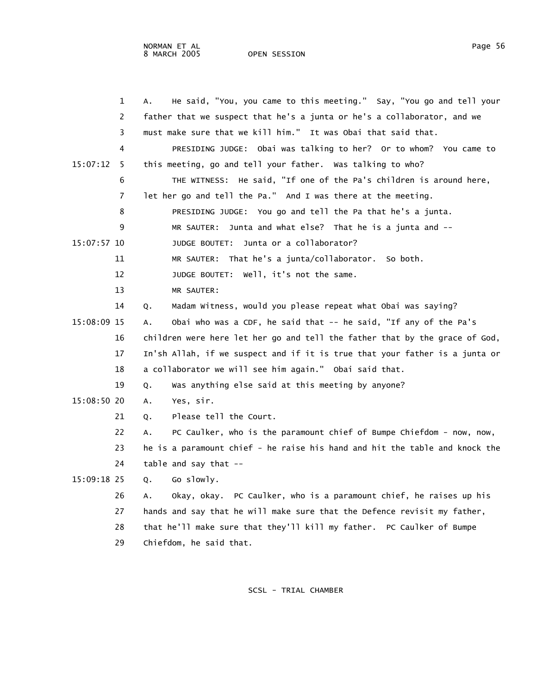| Page |  |
|------|--|
|      |  |

|             | 1  | He said, "You, you came to this meeting." Say, "You go and tell your<br>А.  |
|-------------|----|-----------------------------------------------------------------------------|
|             | 2  | father that we suspect that he's a junta or he's a collaborator, and we     |
|             | 3  | must make sure that we kill him." It was Obai that said that.               |
|             | 4  | PRESIDING JUDGE: Obai was talking to her? Or to whom? You came to           |
| 15:07:12    | -5 | this meeting, go and tell your father. Was talking to who?                  |
|             | 6  | THE WITNESS: He said, "If one of the Pa's children is around here,          |
|             | 7  | let her go and tell the Pa." And I was there at the meeting.                |
|             | 8  | PRESIDING JUDGE: You go and tell the Pa that he's a junta.                  |
|             | 9  | Junta and what else? That he is a junta and --<br>MR SAUTER:                |
| 15:07:57 10 |    | JUDGE BOUTET: Junta or a collaborator?                                      |
|             | 11 | MR SAUTER: That he's a junta/collaborator. So both.                         |
|             | 12 | JUDGE BOUTET: Well, it's not the same.                                      |
|             | 13 | MR SAUTER:                                                                  |
|             | 14 | Madam Witness, would you please repeat what Obai was saying?<br>Q.          |
| 15:08:09 15 |    | Obai who was a CDF, he said that -- he said, "If any of the Pa's<br>А.      |
|             | 16 | children were here let her go and tell the father that by the grace of God, |
|             | 17 | In'sh Allah, if we suspect and if it is true that your father is a junta or |
|             | 18 | a collaborator we will see him again." Obai said that.                      |
|             | 19 | Was anything else said at this meeting by anyone?<br>Q.                     |
| 15:08:50 20 |    | Yes, sir.<br>А.                                                             |
|             | 21 | Please tell the Court.<br>Q.                                                |
|             | 22 | PC Caulker, who is the paramount chief of Bumpe Chiefdom - now, now,<br>А.  |
|             | 23 | he is a paramount chief - he raise his hand and hit the table and knock the |
|             | 24 | $table$ and say that $-$                                                    |
| 15:09:18 25 |    | Go slowly.<br>Q.                                                            |
|             | 26 | Okay, okay. PC Caulker, who is a paramount chief, he raises up his<br>А.    |
|             | 27 | hands and say that he will make sure that the Defence revisit my father,    |
|             | 28 | that he'll make sure that they'll kill my father. PC Caulker of Bumpe       |
|             | 29 | Chiefdom, he said that.                                                     |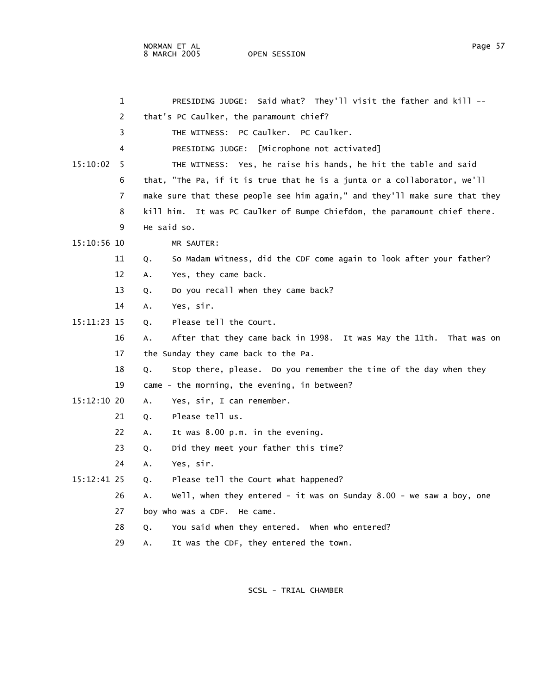| 1             |             | PRESIDING JUDGE: Said what? They'll visit the father and kill --            |
|---------------|-------------|-----------------------------------------------------------------------------|
| 2             |             | that's PC Caulker, the paramount chief?                                     |
| 3             |             | THE WITNESS: PC Caulker. PC Caulker.                                        |
| 4             |             | PRESIDING JUDGE: [Microphone not activated]                                 |
| 15:10:02<br>5 |             | THE WITNESS: Yes, he raise his hands, he hit the table and said             |
| 6             |             | that, "The Pa, if it is true that he is a junta or a collaborator, we'll    |
| 7             |             | make sure that these people see him again," and they'll make sure that they |
| 8             |             | kill him. It was PC Caulker of Bumpe Chiefdom, the paramount chief there.   |
| 9             | He said so. |                                                                             |
| $15:10:56$ 10 |             | MR SAUTER:                                                                  |
| 11            | Q.          | So Madam Witness, did the CDF come again to look after your father?         |
| 12            | А.          | Yes, they came back.                                                        |
| 13            | Q.          | Do you recall when they came back?                                          |
| 14            | А.          | Yes, sir.                                                                   |
| 15:11:23 15   | Q.          | Please tell the Court.                                                      |
| 16            | А.          | After that they came back in 1998. It was May the 11th. That was on         |
| 17            |             | the Sunday they came back to the Pa.                                        |
| 18            | Q.          | Stop there, please. Do you remember the time of the day when they           |
| 19            |             | came - the morning, the evening, in between?                                |
| $15:12:10$ 20 | Α.          | Yes, sir, I can remember.                                                   |
| 21            | Q.          | Please tell us.                                                             |
| 22            | А.          | It was 8.00 p.m. in the evening.                                            |
| 23            | Q.          | Did they meet your father this time?                                        |
| 24            | А.          | Yes, sir.                                                                   |
| $15:12:41$ 25 | Q.          | Please tell the Court what happened?                                        |
| 26            | А.          | $well, when they entered - it was on Sunday 8.00 - we saw a boy, one$       |
| 27            |             | boy who was a CDF. He came.                                                 |
| 28            | Q.          | You said when they entered. When who entered?                               |
| 29            | Α.          | It was the CDF, they entered the town.                                      |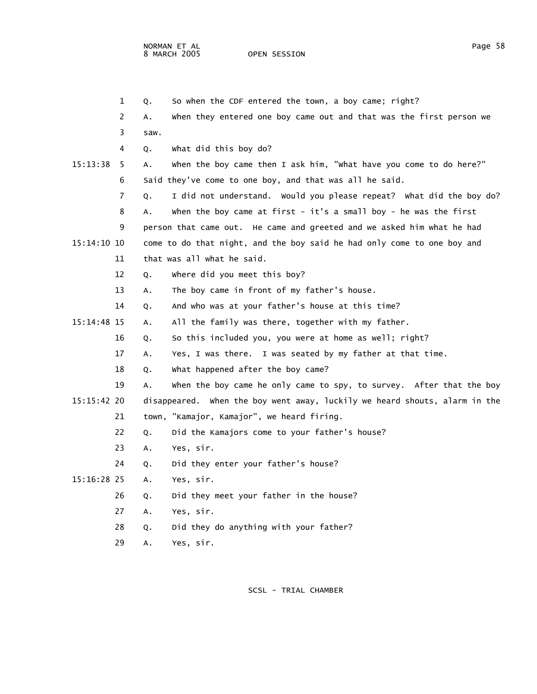|               | 1  | So when the CDF entered the town, a boy came; right?<br>Q.                 |  |
|---------------|----|----------------------------------------------------------------------------|--|
|               | 2  | when they entered one boy came out and that was the first person we<br>Α.  |  |
|               | 3  | saw.                                                                       |  |
|               | 4  | what did this boy do?<br>Q.                                                |  |
| 15:13:38      | -5 | when the boy came then I ask him, "what have you come to do here?"<br>Α.   |  |
|               | 6  | Said they've come to one boy, and that was all he said.                    |  |
|               | 7  | I did not understand. Would you please repeat? What did the boy do?<br>Q.  |  |
|               | 8  | when the boy came at first - it's a small boy - he was the first<br>А.     |  |
|               | 9  | person that came out. He came and greeted and we asked him what he had     |  |
| 15:14:10 10   |    | come to do that night, and the boy said he had only come to one boy and    |  |
|               | 11 | that was all what he said.                                                 |  |
|               | 12 | where did you meet this boy?<br>Q.                                         |  |
|               | 13 | The boy came in front of my father's house.<br>Α.                          |  |
|               | 14 | And who was at your father's house at this time?<br>Q.                     |  |
| $15:14:48$ 15 |    | All the family was there, together with my father.<br>А.                   |  |
|               | 16 | So this included you, you were at home as well; right?<br>Q.               |  |
|               | 17 | Yes, I was there. I was seated by my father at that time.<br>А.            |  |
|               | 18 | What happened after the boy came?<br>Q.                                    |  |
|               | 19 | when the boy came he only came to spy, to survey. After that the boy<br>А. |  |
| $15:15:42$ 20 |    | disappeared. When the boy went away, luckily we heard shouts, alarm in the |  |
|               | 21 | town, "Kamajor, Kamajor", we heard firing.                                 |  |
|               | 22 | Did the Kamajors come to your father's house?<br>Q.                        |  |
|               | 23 | Yes, sir.<br>Α.                                                            |  |
|               | 24 | Did they enter your father's house?<br>Q.                                  |  |
| 15:16:28 25   |    | Yes, sir.<br>А.                                                            |  |
|               | 26 | Did they meet your father in the house?<br>Q.                              |  |
|               | 27 | Yes, sir.<br>А.                                                            |  |
|               | 28 | Did they do anything with your father?<br>Q.                               |  |
|               | 29 | Yes, sir.<br>Α.                                                            |  |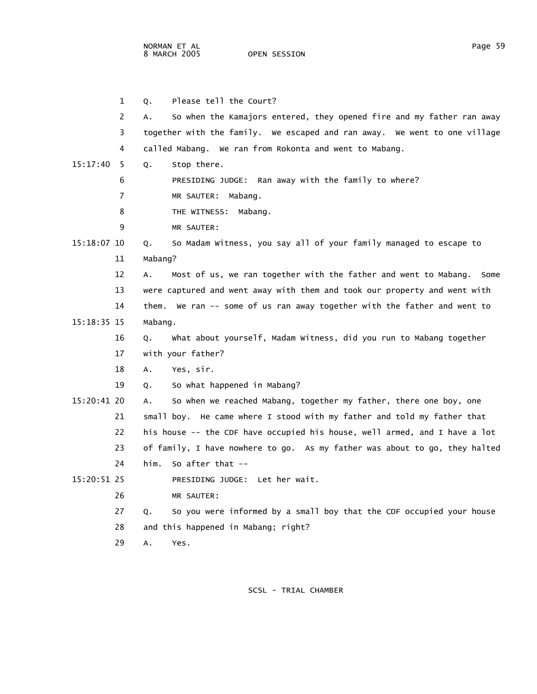NORMAN ET AL Page 59

OPEN SESSION

|             | 1  | Please tell the Court?<br>Q.                                                |
|-------------|----|-----------------------------------------------------------------------------|
|             | 2  | So when the Kamajors entered, they opened fire and my father ran away<br>А. |
|             | 3  | together with the family. We escaped and ran away. We went to one village   |
|             | 4  | called Mabang. We ran from Rokonta and went to Mabang.                      |
| 15:17:40    | -5 | Stop there.<br>Q.                                                           |
|             | 6  | PRESIDING JUDGE: Ran away with the family to where?                         |
|             | 7  | MR SAUTER: Mabang.                                                          |
|             | 8  | THE WITNESS:<br>Mabang.                                                     |
|             | 9  | MR SAUTER:                                                                  |
| 15:18:07 10 |    | So Madam Witness, you say all of your family managed to escape to<br>Q.     |
|             | 11 | Mabang?                                                                     |
|             | 12 | Most of us, we ran together with the father and went to Mabang. Some<br>Α.  |
|             | 13 | were captured and went away with them and took our property and went with   |
|             | 14 | them. We ran -- some of us ran away together with the father and went to    |
| 15:18:35 15 |    | Mabang.                                                                     |
|             | 16 | What about yourself, Madam Witness, did you run to Mabang together<br>Q.    |
|             | 17 | with your father?                                                           |
|             | 18 | Yes, sir.<br>Α.                                                             |
|             | 19 | So what happened in Mabang?<br>0.                                           |
| 15:20:41 20 |    | So when we reached Mabang, together my father, there one boy, one<br>А.     |
|             | 21 | small boy. He came where I stood with my father and told my father that     |
|             | 22 | his house -- the CDF have occupied his house, well armed, and I have a lot  |
|             | 23 | of family, I have nowhere to go. As my father was about to go, they halted  |
|             | 24 | him.<br>So after that $-$                                                   |
| 15:20:51 25 |    | PRESIDING JUDGE: Let her wait.                                              |
|             | 26 | MR SAUTER:                                                                  |
|             | 27 | So you were informed by a small boy that the CDF occupied your house<br>Q.  |
|             | 28 | and this happened in Mabang; right?                                         |
|             | 29 | Α.<br>Yes.                                                                  |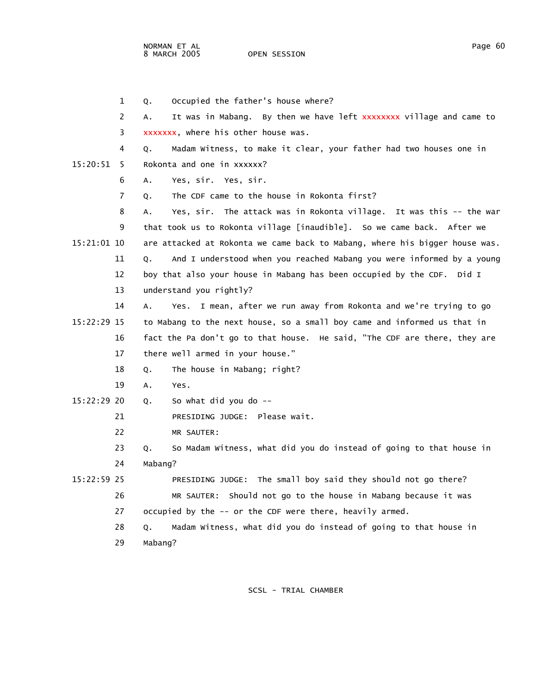1 Q. Occupied the father's house where? 2 A. It was in Mabang. By then we have left xxxxxxxx village and came to 3 xxxxxxx, where his other house was. 4 Q. Madam Witness, to make it clear, your father had two houses one in 15:20:51 5 Rokonta and one in xxxxxx? 6 A. Yes, sir. Yes, sir. 7 Q. The CDF came to the house in Rokonta first? 8 A. Yes, sir. The attack was in Rokonta village. It was this -- the war 9 that took us to Rokonta village [inaudible]. So we came back. After we 15:21:01 10 are attacked at Rokonta we came back to Mabang, where his bigger house was. 11 Q. And I understood when you reached Mabang you were informed by a young 12 boy that also your house in Mabang has been occupied by the CDF. Did I 13 understand you rightly? 14 A. Yes. I mean, after we run away from Rokonta and we're trying to go 15:22:29 15 to Mabang to the next house, so a small boy came and informed us that in 16 fact the Pa don't go to that house. He said, "The CDF are there, they are 17 there well armed in your house." 18 Q. The house in Mabang; right? 19 A. Yes. 15:22:29 20 Q. So what did you do -- 21 PRESIDING JUDGE: Please wait. 22 MR SAUTER: 23 Q. So Madam Witness, what did you do instead of going to that house in 24 Mabang? 15:22:59 25 PRESIDING JUDGE: The small boy said they should not go there? 26 MR SAUTER: Should not go to the house in Mabang because it was 27 occupied by the -- or the CDF were there, heavily armed. 28 Q. Madam Witness, what did you do instead of going to that house in 29 Mabang?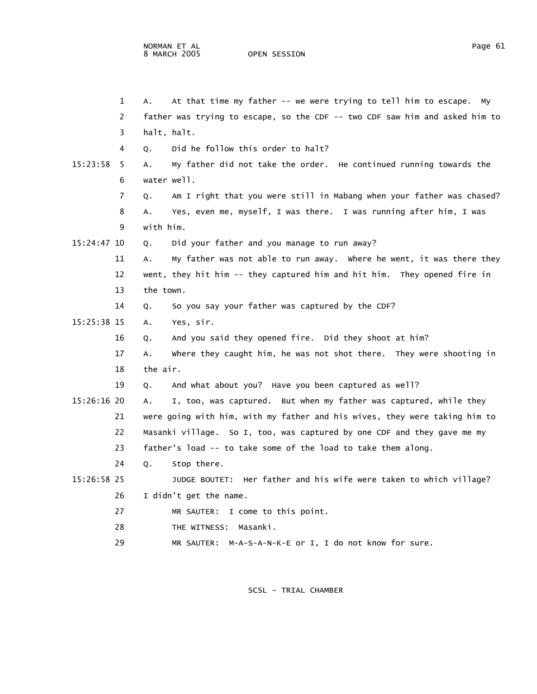|             | 1  | At that time my father -- we were trying to tell him to escape.<br>А.<br><b>MV</b> |
|-------------|----|------------------------------------------------------------------------------------|
|             | 2  |                                                                                    |
|             |    | father was trying to escape, so the CDF -- two CDF saw him and asked him to        |
|             | 3  | halt, halt.                                                                        |
|             | 4  | Did he follow this order to halt?<br>0.                                            |
| 15:23:58    | -5 | My father did not take the order. He continued running towards the<br>Α.           |
|             | 6  | water well.                                                                        |
|             | 7  | Am I right that you were still in Mabang when your father was chased?<br>Q.        |
|             | 8  | Yes, even me, myself, I was there. I was running after him, I was<br>А.            |
|             | 9  | with him.                                                                          |
| 15:24:47 10 |    | Did your father and you manage to run away?<br>Q.                                  |
|             | 11 | My father was not able to run away. Where he went, it was there they<br>А.         |
|             | 12 | went, they hit him -- they captured him and hit him. They opened fire in           |
|             | 13 | the town.                                                                          |
|             | 14 | So you say your father was captured by the CDF?<br>Q.                              |
| 15:25:38 15 |    | Yes, sir.<br>A.                                                                    |
|             | 16 | And you said they opened fire. Did they shoot at him?<br>Q.                        |
|             | 17 | where they caught him, he was not shot there. They were shooting in<br>А.          |
|             | 18 | the air.                                                                           |
|             | 19 | And what about you? Have you been captured as well?<br>Q.                          |
| 15:26:16 20 |    | I, too, was captured. But when my father was captured, while they<br>A.            |
|             | 21 | were going with him, with my father and his wives, they were taking him to         |
|             | 22 | Masanki village. So I, too, was captured by one CDF and they gave me my            |
|             | 23 | father's load -- to take some of the load to take them along.                      |
|             | 24 | Stop there.<br>Q.                                                                  |
| 15:26:58 25 |    | JUDGE BOUTET: Her father and his wife were taken to which village?                 |
|             | 26 | I didn't get the name.                                                             |
|             | 27 | MR SAUTER: I come to this point.                                                   |
|             | 28 | THE WITNESS: Masanki.                                                              |
|             | 29 | MR SAUTER: M-A-S-A-N-K-E or I, I do not know for sure.                             |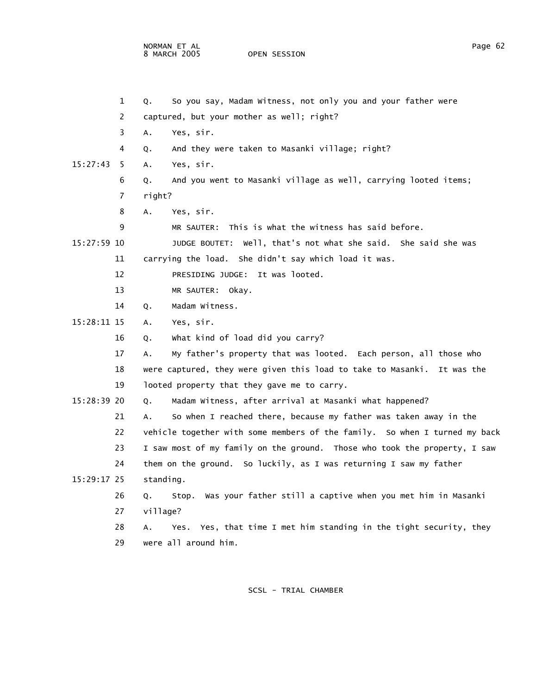|             | 1  | Q.        | So you say, Madam Witness, not only you and your father were               |
|-------------|----|-----------|----------------------------------------------------------------------------|
|             | 2  |           | captured, but your mother as well; right?                                  |
|             | 3  | Α.        | Yes, sir.                                                                  |
|             | 4  | Q.        | And they were taken to Masanki village; right?                             |
| 15:27:43    | 5  | Α.        | Yes, sir.                                                                  |
|             | 6  | Q.        | And you went to Masanki village as well, carrying looted items;            |
|             | 7  | right?    |                                                                            |
|             | 8  | Α.        | Yes, sir.                                                                  |
|             | 9  |           | MR SAUTER: This is what the witness has said before.                       |
| 15:27:59 10 |    |           | JUDGE BOUTET: Well, that's not what she said. She said she was             |
|             | 11 |           | carrying the load. She didn't say which load it was.                       |
|             | 12 |           | PRESIDING JUDGE: It was looted.                                            |
|             | 13 |           | MR SAUTER: Okay.                                                           |
|             | 14 | Q.        | Madam Witness.                                                             |
| 15:28:11 15 |    | А.        | Yes, sir.                                                                  |
|             | 16 | Q.        | What kind of load did you carry?                                           |
|             | 17 | А.        | My father's property that was looted. Each person, all those who           |
|             | 18 |           | were captured, they were given this load to take to Masanki. It was the    |
|             | 19 |           | looted property that they gave me to carry.                                |
| 15:28:39 20 |    | Q.        | Madam Witness, after arrival at Masanki what happened?                     |
|             | 21 | Α.        | So when I reached there, because my father was taken away in the           |
|             | 22 |           | vehicle together with some members of the family. So when I turned my back |
|             | 23 |           | I saw most of my family on the ground. Those who took the property, I saw  |
|             | 24 |           | them on the ground. So luckily, as I was returning I saw my father         |
| 15:29:17 25 |    | standing. |                                                                            |
|             | 26 | Q.        | Stop. Was your father still a captive when you met him in Masanki          |
|             | 27 | village?  |                                                                            |
|             | 28 | А.        | Yes. Yes, that time I met him standing in the tight security, they         |
|             | 29 |           | were all around him.                                                       |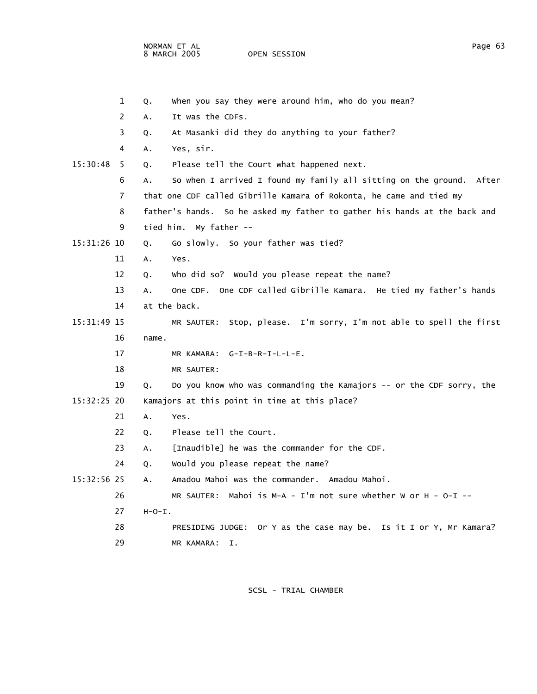NORMAN ET AL Page 63

OPEN SESSION

|             | $\mathbf{1}$ | Q.       | when you say they were around him, who do you mean?                       |
|-------------|--------------|----------|---------------------------------------------------------------------------|
|             | 2            | А.       | It was the CDFs.                                                          |
|             | 3            | Q.       | At Masanki did they do anything to your father?                           |
|             | 4            | А.       | Yes, sir.                                                                 |
| 15:30:48    | 5            | Q.       | Please tell the Court what happened next.                                 |
|             | 6            | А.       | So when I arrived I found my family all sitting on the ground. After      |
|             | 7            |          | that one CDF called Gibrille Kamara of Rokonta, he came and tied my       |
|             | 8            |          | father's hands. So he asked my father to gather his hands at the back and |
|             | 9            |          | tied him. My father --                                                    |
| 15:31:26 10 |              | Q.       | Go slowly. So your father was tied?                                       |
|             | 11           | Α.       | Yes.                                                                      |
|             | 12           | Q.       | who did so? Would you please repeat the name?                             |
|             | 13           | Α.       | One CDF. One CDF called Gibrille Kamara. He tied my father's hands        |
|             | 14           |          | at the back.                                                              |
| 15:31:49 15 |              |          | MR SAUTER: Stop, please. I'm sorry, I'm not able to spell the first       |
|             | 16           | name.    |                                                                           |
|             | 17           |          | MR KAMARA: G-I-B-R-I-L-L-E.                                               |
|             | 18           |          | MR SAUTER:                                                                |
|             | 19           | Q.       | Do you know who was commanding the Kamajors -- or the CDF sorry, the      |
| 15:32:25 20 |              |          | Kamajors at this point in time at this place?                             |
|             | 21           | А.       | Yes.                                                                      |
|             | 22           | Q.       | Please tell the Court.                                                    |
|             | 23           | А.       | [Inaudible] he was the commander for the CDF.                             |
|             | 24           | Q.       | Would you please repeat the name?                                         |
| 15:32:56 25 |              | Α.       | Amadou Mahoi was the commander. Amadou Mahoi.                             |
|             | 26           |          | MR SAUTER: Mahoi is M-A - I'm not sure whether W or H - O-I --            |
|             | 27           | $H-O-I.$ |                                                                           |
|             | 28           |          | PRESIDING JUDGE: Or Y as the case may be. Is it I or Y, Mr Kamara?        |
|             | 29           |          | MR KAMARA:<br>Ι.                                                          |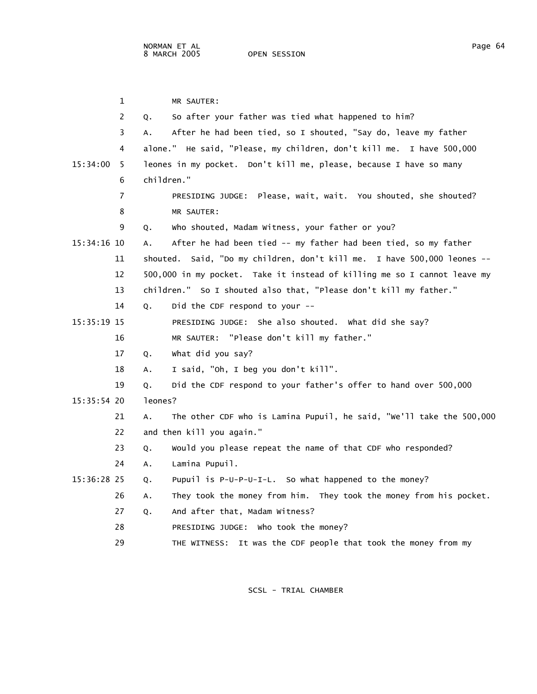1 MR SAUTER: 2 Q. So after your father was tied what happened to him? 3 A. After he had been tied, so I shouted, "Say do, leave my father 4 alone." He said, "Please, my children, don't kill me. I have 500,000 15:34:00 5 leones in my pocket. Don't kill me, please, because I have so many 6 children." 7 PRESIDING JUDGE: Please, wait, wait. You shouted, she shouted? 8 MR SAUTER: 9 Q. Who shouted, Madam Witness, your father or you? 15:34:16 10 A. After he had been tied -- my father had been tied, so my father 11 shouted. Said, "Do my children, don't kill me. I have 500,000 leones -- 12 500,000 in my pocket. Take it instead of killing me so I cannot leave my 13 children." So I shouted also that, "Please don't kill my father." 14 Q. Did the CDF respond to your -- 15:35:19 15 PRESIDING JUDGE: She also shouted. What did she say? 16 MR SAUTER: "Please don't kill my father." 17 Q. What did you say? 18 A. I said, "Oh, I beg you don't kill". 19 Q. Did the CDF respond to your father's offer to hand over 500,000 15:35:54 20 leones? 21 A. The other CDF who is Lamina Pupuil, he said, "We'll take the 500,000 22 and then kill you again." 23 Q. Would you please repeat the name of that CDF who responded? 24 A. Lamina Pupuil. 15:36:28 25 Q. Pupuil is P-U-P-U-I-L. So what happened to the money? 26 A. They took the money from him. They took the money from his pocket. 27 Q. And after that, Madam Witness? 28 PRESIDING JUDGE: Who took the money? 29 THE WITNESS: It was the CDF people that took the money from my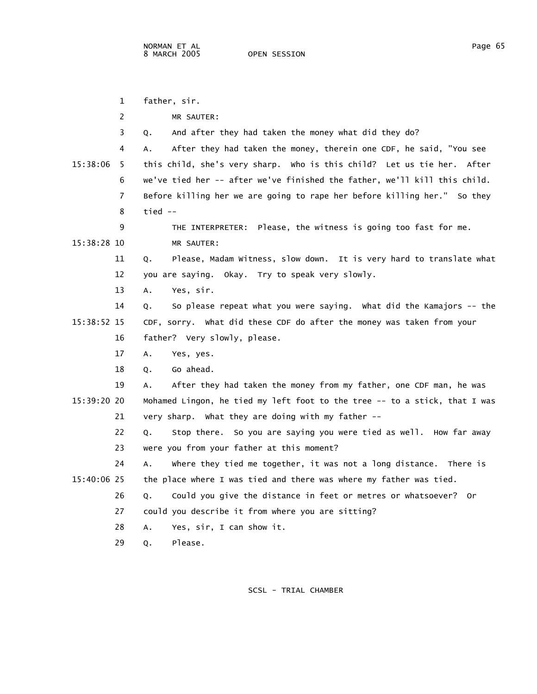|             | 1  | father, sir.                                                               |
|-------------|----|----------------------------------------------------------------------------|
|             | 2  | MR SAUTER:                                                                 |
|             | 3  | And after they had taken the money what did they do?<br>Q.                 |
|             | 4  | After they had taken the money, therein one CDF, he said, "You see<br>А.   |
| 15:38:06    | -5 | this child, she's very sharp. Who is this child? Let us tie her. After     |
|             | 6  | we've tied her -- after we've finished the father, we'll kill this child.  |
|             | 7  | Before killing her we are going to rape her before killing her." So they   |
|             | 8  | tied --                                                                    |
|             | 9  | THE INTERPRETER: Please, the witness is going too fast for me.             |
| 15:38:28 10 |    | MR SAUTER:                                                                 |
|             | 11 | Please, Madam Witness, slow down. It is very hard to translate what<br>Q.  |
|             | 12 | you are saying. Okay. Try to speak very slowly.                            |
| 13          |    | Yes, sir.<br>Α.                                                            |
| 14          |    | So please repeat what you were saying. What did the Kamajors -- the<br>Q.  |
| 15:38:52 15 |    | CDF, sorry. What did these CDF do after the money was taken from your      |
|             | 16 | father? Very slowly, please.                                               |
|             | 17 | Yes, yes.<br>Α.                                                            |
| 18          |    | Go ahead.<br>Q.                                                            |
| 19          |    | After they had taken the money from my father, one CDF man, he was<br>А.   |
| 15:39:20 20 |    | Mohamed Lingon, he tied my left foot to the tree -- to a stick, that I was |
|             | 21 | very sharp. What they are doing with my father --                          |
|             | 22 | So you are saying you were tied as well. How far away<br>Stop there.<br>Q. |
| 23          |    | were you from your father at this moment?                                  |
| 24          |    | where they tied me together, it was not a long distance. There is<br>A.    |
| 15:40:06 25 |    | the place where I was tied and there was where my father was tied.         |
|             | 26 | Could you give the distance in feet or metres or whatsoever? Or<br>Q.      |
|             | 27 | could you describe it from where you are sitting?                          |
| 28          |    | Yes, sir, I can show it.<br>А.                                             |
| 29          |    | Please.<br>Q.                                                              |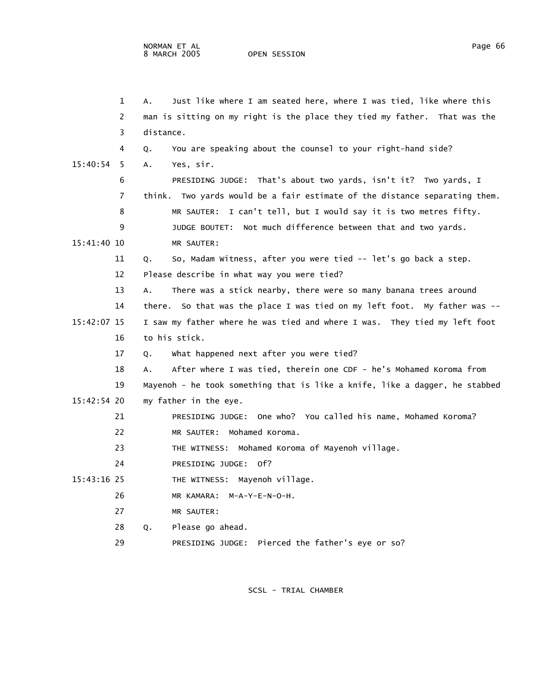|               | 1  | Just like where I am seated here, where I was tied, like where this<br>А.   |
|---------------|----|-----------------------------------------------------------------------------|
|               | 2  | man is sitting on my right is the place they tied my father. That was the   |
|               | 3  | distance.                                                                   |
|               | 4  | You are speaking about the counsel to your right-hand side?<br>Q.           |
| 15:40:54      | 5  | A.<br>Yes, sir.                                                             |
|               | 6  | PRESIDING JUDGE: That's about two yards, isn't it? Two yards, I             |
|               | 7  | think. Two yards would be a fair estimate of the distance separating them.  |
|               | 8  | MR SAUTER: I can't tell, but I would say it is two metres fifty.            |
|               | 9  | JUDGE BOUTET: Not much difference between that and two yards.               |
| 15:41:40 10   |    | MR SAUTER:                                                                  |
|               | 11 | So, Madam Witness, after you were tied -- let's go back a step.<br>Q.       |
|               | 12 | Please describe in what way you were tied?                                  |
|               | 13 | There was a stick nearby, there were so many banana trees around<br>А.      |
|               | 14 | there. So that was the place I was tied on my left foot. My father was --   |
| 15:42:07 15   |    | I saw my father where he was tied and where I was. They tied my left foot   |
|               | 16 | to his stick.                                                               |
|               | 17 | What happened next after you were tied?<br>Q.                               |
|               | 18 | After where I was tied, therein one CDF - he's Mohamed Koroma from<br>Α.    |
|               | 19 | Mayenoh - he took something that is like a knife, like a dagger, he stabbed |
| $15:42:54$ 20 |    | my father in the eye.                                                       |
|               | 21 | PRESIDING JUDGE: One who? You called his name, Mohamed Koroma?              |
|               | 22 | MR SAUTER: Mohamed Koroma.                                                  |
|               | 23 | THE WITNESS: Mohamed Koroma of Mayenoh village.                             |
|               | 24 | PRESIDING JUDGE: 0f?                                                        |
| 15:43:16 25   |    | THE WITNESS: Mayenoh village.                                               |
|               | 26 | MR KAMARA: M-A-Y-E-N-O-H.                                                   |
|               | 27 | MR SAUTER:                                                                  |
|               | 28 | Please go ahead.<br>Q.                                                      |
|               | 29 | PRESIDING JUDGE: Pierced the father's eye or so?                            |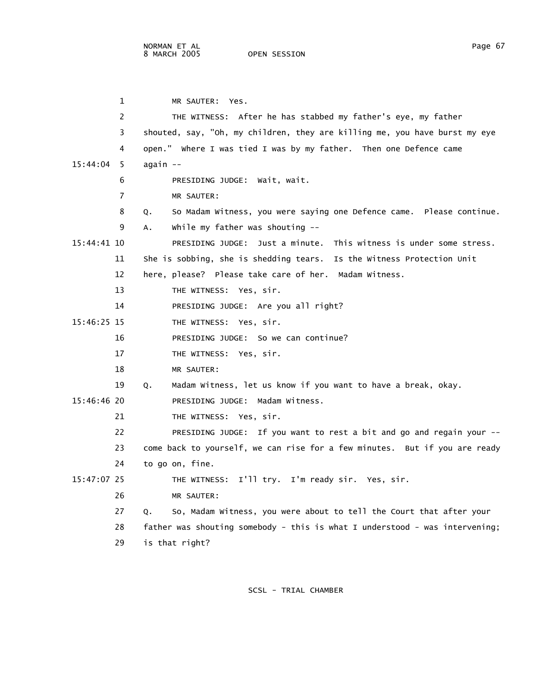1 MR SAUTER: Yes. 2 THE WITNESS: After he has stabbed my father's eye, my father 3 shouted, say, "Oh, my children, they are killing me, you have burst my eye 4 open." Where I was tied I was by my father. Then one Defence came 15:44:04 5 again -- 6 PRESIDING JUDGE: Wait, wait. 7 MR SAUTER: 8 Q. So Madam Witness, you were saying one Defence came. Please continue. 9 A. While my father was shouting -- 15:44:41 10 PRESIDING JUDGE: Just a minute. This witness is under some stress. 11 She is sobbing, she is shedding tears. Is the Witness Protection Unit 12 here, please? Please take care of her. Madam Witness. 13 THE WITNESS: Yes, sir. 14 PRESIDING JUDGE: Are you all right? 15:46:25 15 THE WITNESS: Yes, sir. 16 PRESIDING JUDGE: So we can continue? 17 THE WITNESS: Yes, sir. 18 MR SAUTER: 19 Q. Madam Witness, let us know if you want to have a break, okay. 15:46:46 20 PRESIDING JUDGE: Madam Witness. 21 THE WITNESS: Yes, sir. 22 PRESIDING JUDGE: If you want to rest a bit and go and regain your -- 23 come back to yourself, we can rise for a few minutes. But if you are ready 24 to go on, fine. 15:47:07 25 THE WITNESS: I'll try. I'm ready sir. Yes, sir. 26 MR SAUTER: 27 Q. So, Madam Witness, you were about to tell the Court that after your 28 father was shouting somebody - this is what I understood - was intervening; 29 is that right?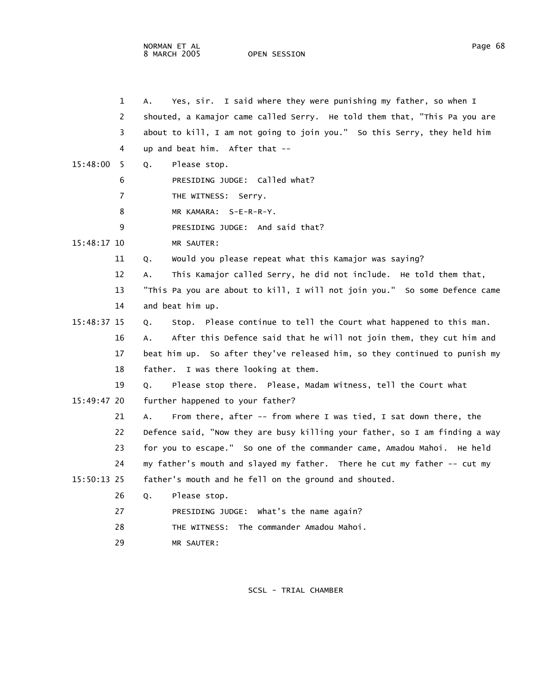NORMAN ET AL Page 68 8 MARCH 2005

 1 A. Yes, sir. I said where they were punishing my father, so when I 2 shouted, a Kamajor came called Serry. He told them that, "This Pa you are 3 about to kill, I am not going to join you." So this Serry, they held him 4 up and beat him. After that -- 15:48:00 5 Q. Please stop. 6 PRESIDING JUDGE: Called what? 7 THE WITNESS: Serry. 8 MR KAMARA: S-E-R-R-Y. 9 PRESIDING JUDGE: And said that? 15:48:17 10 MR SAUTER: 11 Q. Would you please repeat what this Kamajor was saying? 12 A. This Kamajor called Serry, he did not include. He told them that, 13 "This Pa you are about to kill, I will not join you." So some Defence came 14 and beat him up. 15:48:37 15 Q. Stop. Please continue to tell the Court what happened to this man. 16 A. After this Defence said that he will not join them, they cut him and 17 beat him up. So after they've released him, so they continued to punish my 18 father. I was there looking at them. 19 Q. Please stop there. Please, Madam Witness, tell the Court what 15:49:47 20 further happened to your father? 21 A. From there, after -- from where I was tied, I sat down there, the 22 Defence said, "Now they are busy killing your father, so I am finding a way 23 for you to escape." So one of the commander came, Amadou Mahoi. He held 24 my father's mouth and slayed my father. There he cut my father -- cut my 15:50:13 25 father's mouth and he fell on the ground and shouted. 26 Q. Please stop. 27 PRESIDING JUDGE: What's the name again? 28 THE WITNESS: The commander Amadou Mahoi.

29 MR SAUTER: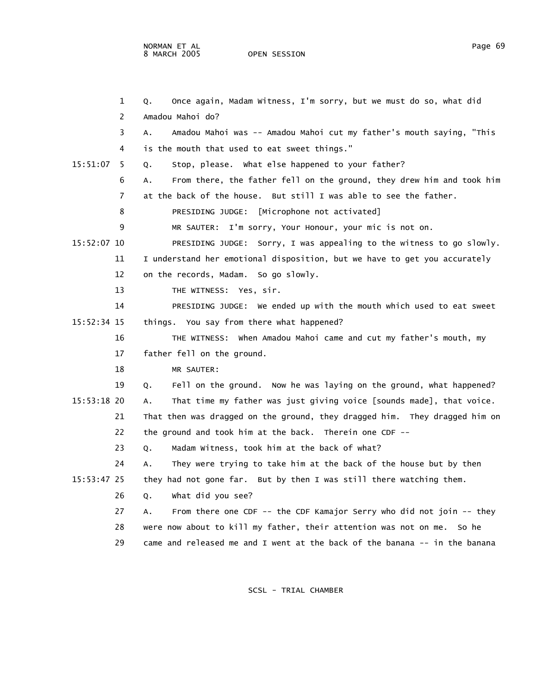|               | 1  | Once again, Madam Witness, I'm sorry, but we must do so, what did<br>Q.     |
|---------------|----|-----------------------------------------------------------------------------|
|               | 2  | Amadou Mahoi do?                                                            |
|               | 3  | Amadou Mahoi was -- Amadou Mahoi cut my father's mouth saying, "This<br>А.  |
|               | 4  | is the mouth that used to eat sweet things."                                |
| 15:51:07      | -5 | Stop, please. What else happened to your father?<br>Ο.                      |
|               | 6  | From there, the father fell on the ground, they drew him and took him<br>А. |
|               | 7  | at the back of the house. But still I was able to see the father.           |
|               | 8  | PRESIDING JUDGE: [Microphone not activated]                                 |
|               | 9  | MR SAUTER: I'm sorry, Your Honour, your mic is not on.                      |
| 15:52:07 10   |    | PRESIDING JUDGE: Sorry, I was appealing to the witness to go slowly.        |
|               | 11 | I understand her emotional disposition, but we have to get you accurately   |
|               | 12 | on the records, Madam. So go slowly.                                        |
|               | 13 | THE WITNESS: Yes, sir.                                                      |
|               | 14 | PRESIDING JUDGE: We ended up with the mouth which used to eat sweet         |
| 15:52:34 15   |    | things. You say from there what happened?                                   |
|               | 16 | THE WITNESS: When Amadou Mahoi came and cut my father's mouth, my           |
|               | 17 | father fell on the ground.                                                  |
|               | 18 | MR SAUTER:                                                                  |
|               | 19 | Fell on the ground. Now he was laying on the ground, what happened?<br>Q.   |
| $15:53:18$ 20 |    | That time my father was just giving voice [sounds made], that voice.<br>А.  |
|               | 21 | That then was dragged on the ground, they dragged him. They dragged him on  |
|               | 22 | the ground and took him at the back. Therein one CDF --                     |
|               | 23 | Madam Witness, took him at the back of what?<br>Q.                          |
|               | 24 | They were trying to take him at the back of the house but by then<br>А.     |
| 15:53:47 25   |    | they had not gone far. But by then I was still there watching them.         |
|               | 26 | what did you see?<br>Q.                                                     |
|               | 27 | From there one CDF -- the CDF Kamajor Serry who did not join -- they<br>А.  |
|               | 28 | were now about to kill my father, their attention was not on me. So he      |
|               | 29 | came and released me and I went at the back of the banana -- in the banana  |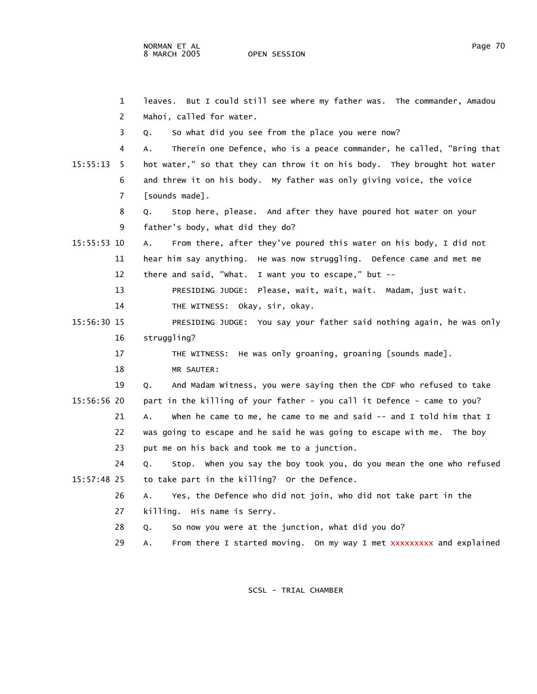1 leaves. But I could still see where my father was. The commander, Amadou 2 Mahoi, called for water. 3 Q. So what did you see from the place you were now? 4 A. Therein one Defence, who is a peace commander, he called, "Bring that 15:55:13 5 hot water," so that they can throw it on his body. They brought hot water 6 and threw it on his body. My father was only giving voice, the voice 7 [sounds made]. 8 Q. Stop here, please. And after they have poured hot water on your 9 father's body, what did they do? 15:55:53 10 A. From there, after they've poured this water on his body, I did not 11 hear him say anything. He was now struggling. Defence came and met me 12 there and said, "What. I want you to escape," but -- 13 PRESIDING JUDGE: Please, wait, wait, wait. Madam, just wait. 14 THE WITNESS: Okay, sir, okay. 15:56:30 15 PRESIDING JUDGE: You say your father said nothing again, he was only 16 struggling? 17 THE WITNESS: He was only groaning, groaning [sounds made]. 18 MR SAUTER: 19 Q. And Madam Witness, you were saying then the CDF who refused to take 15:56:56 20 part in the killing of your father - you call it Defence - came to you? 21 A. When he came to me, he came to me and said -- and I told him that I 22 was going to escape and he said he was going to escape with me. The boy 23 put me on his back and took me to a junction. 24 Q. Stop. When you say the boy took you, do you mean the one who refused 15:57:48 25 to take part in the killing? Or the Defence. 26 A. Yes, the Defence who did not join, who did not take part in the 27 killing. His name is Serry. 28 Q. So now you were at the junction, what did you do? 29 A. From there I started moving. On my way I met xxxxxxxxx and explained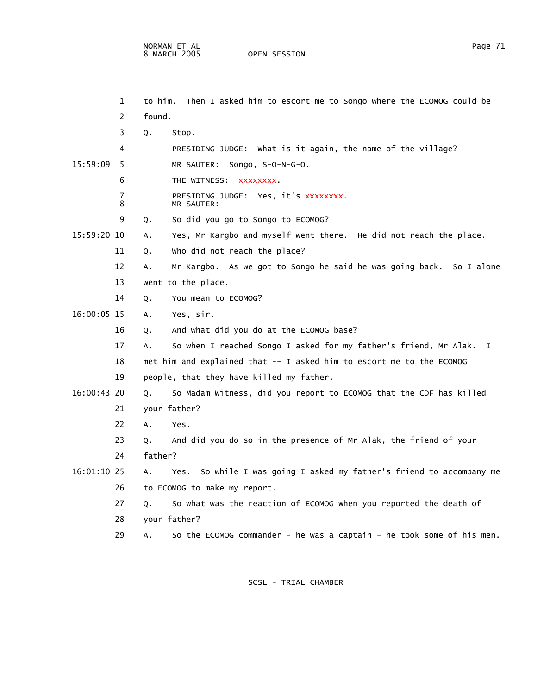|               | 1      | to him. | Then I asked him to escort me to Songo where the ECOMOG could be        |
|---------------|--------|---------|-------------------------------------------------------------------------|
|               | 2      | found.  |                                                                         |
|               | 3      | Q.      | Stop.                                                                   |
|               | 4      |         | PRESIDING JUDGE: What is it again, the name of the village?             |
| 15:59:09      | -5     |         | MR SAUTER: Songo, S-O-N-G-O.                                            |
|               | 6      |         | THE WITNESS: XXXXXXXX.                                                  |
|               | 7<br>8 |         | PRESIDING JUDGE: Yes, it's xxxxxxxx.<br>MR SAUTER:                      |
|               | 9      | Q.      | So did you go to Songo to ECOMOG?                                       |
| 15:59:20 10   |        | А.      | Yes, Mr Kargbo and myself went there. He did not reach the place.       |
|               | 11     | Q.      | who did not reach the place?                                            |
|               | 12     | А.      | Mr Kargbo. As we got to Songo he said he was going back. So I alone     |
|               | 13     |         | went to the place.                                                      |
|               | 14     | Q.      | You mean to ECOMOG?                                                     |
| 16:00:05 15   |        | А.      | Yes, sir.                                                               |
|               | 16     | Q.      | And what did you do at the ECOMOG base?                                 |
|               | 17     | А.      | So when I reached Songo I asked for my father's friend, Mr Alak. I      |
|               | 18     |         | met him and explained that -- I asked him to escort me to the ECOMOG    |
|               | 19     |         | people, that they have killed my father.                                |
| $16:00:43$ 20 |        | Q.      | So Madam Witness, did you report to ECOMOG that the CDF has killed      |
|               | 21     |         | your father?                                                            |
|               | 22     | Α.      | Yes.                                                                    |
|               | 23     | Q.      | And did you do so in the presence of Mr Alak, the friend of your        |
|               | 24     | father? |                                                                         |
| 16:01:10 25   |        | А.      | So while I was going I asked my father's friend to accompany me<br>Yes. |
|               | 26     |         | to ECOMOG to make my report.                                            |
|               | 27     | Q.      | So what was the reaction of ECOMOG when you reported the death of       |
|               | 28     |         | your father?                                                            |
|               | 29     | А.      | So the ECOMOG commander - he was a captain - he took some of his men.   |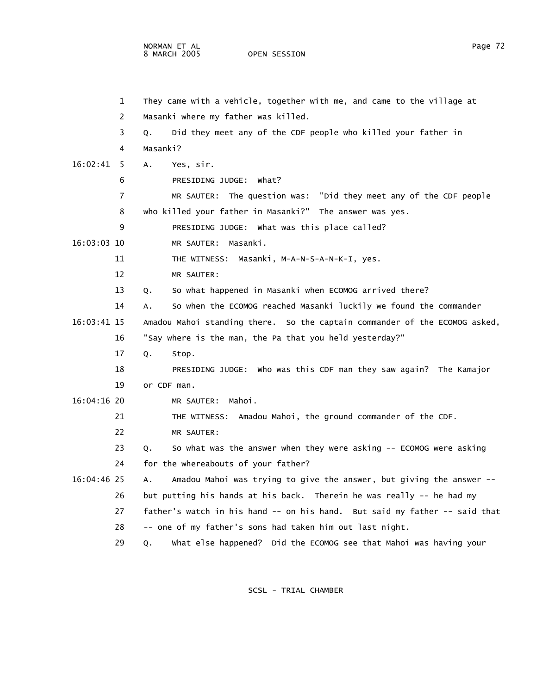NORMAN ET AL Page 72

OPEN SESSION

|             | 1  | They came with a vehicle, together with me, and came to the village at     |
|-------------|----|----------------------------------------------------------------------------|
|             | 2  | Masanki where my father was killed.                                        |
|             | 3  | Did they meet any of the CDF people who killed your father in<br>Q.        |
|             | 4  | Masanki?                                                                   |
| 16:02:41    | -5 | Yes, sir.<br>Α.                                                            |
|             | 6  | PRESIDING JUDGE: What?                                                     |
|             | 7  | MR SAUTER: The question was: "Did they meet any of the CDF people          |
|             | 8  | who killed your father in Masanki?" The answer was yes.                    |
|             | 9  | PRESIDING JUDGE: What was this place called?                               |
| 16:03:03 10 |    | MR SAUTER: Masanki.                                                        |
|             | 11 | THE WITNESS: Masanki, M-A-N-S-A-N-K-I, yes.                                |
|             | 12 | MR SAUTER:                                                                 |
|             | 13 | So what happened in Masanki when ECOMOG arrived there?<br>Q.               |
|             | 14 | So when the ECOMOG reached Masanki luckily we found the commander<br>А.    |
| 16:03:41 15 |    | Amadou Mahoi standing there. So the captain commander of the ECOMOG asked, |
|             | 16 | "Say where is the man, the Pa that you held yesterday?"                    |
|             | 17 | Q.<br>Stop.                                                                |
|             | 18 | PRESIDING JUDGE: Who was this CDF man they saw again? The Kamajor          |
|             | 19 | or CDF man.                                                                |
| 16:04:16 20 |    | Mahoi.<br>MR SAUTER:                                                       |
|             | 21 | THE WITNESS: Amadou Mahoi, the ground commander of the CDF.                |
|             | 22 | MR SAUTER:                                                                 |
|             | 23 | So what was the answer when they were asking -- ECOMOG were asking<br>Q.   |
|             | 24 | for the whereabouts of your father?                                        |
| 16:04:46 25 |    | Amadou Mahoi was trying to give the answer, but giving the answer --<br>А. |
|             | 26 | but putting his hands at his back. Therein he was really -- he had my      |
|             | 27 | father's watch in his hand -- on his hand. But said my father -- said that |
|             | 28 | -- one of my father's sons had taken him out last night.                   |
|             | 29 | what else happened? Did the ECOMOG see that Mahoi was having your<br>Q.    |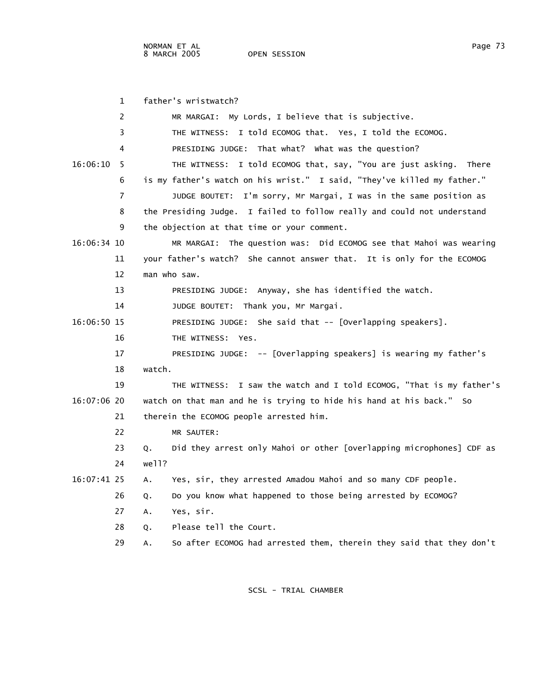|             | $\mathbf{1}$ | father's wristwatch?                                                       |
|-------------|--------------|----------------------------------------------------------------------------|
|             | 2            | MR MARGAI: My Lords, I believe that is subjective.                         |
|             | 3            | THE WITNESS: I told ECOMOG that. Yes, I told the ECOMOG.                   |
|             | 4            | PRESIDING JUDGE: That what? What was the question?                         |
| 16:06:10    | - 5          | THE WITNESS: I told ECOMOG that, say, "You are just asking. There          |
|             | 6            | is my father's watch on his wrist." I said, "They've killed my father."    |
|             | 7            | JUDGE BOUTET: I'm sorry, Mr Margai, I was in the same position as          |
|             | 8            | the Presiding Judge. I failed to follow really and could not understand    |
|             | 9            | the objection at that time or your comment.                                |
| 16:06:34 10 |              | The question was: Did ECOMOG see that Mahoi was wearing<br>MR MARGAI:      |
|             | 11           | your father's watch? She cannot answer that. It is only for the ECOMOG     |
|             | 12           | man who saw.                                                               |
|             | 13           | PRESIDING JUDGE: Anyway, she has identified the watch.                     |
|             | 14           | JUDGE BOUTET: Thank you, Mr Margai.                                        |
| 16:06:50 15 |              | PRESIDING JUDGE: She said that -- [Overlapping speakers].                  |
|             | 16           | THE WITNESS: Yes.                                                          |
|             | 17           | PRESIDING JUDGE: -- [Overlapping speakers] is wearing my father's          |
|             | 18           | watch.                                                                     |
|             | 19           | THE WITNESS: I saw the watch and I told ECOMOG, "That is my father's       |
| 16:07:06 20 |              | watch on that man and he is trying to hide his hand at his back." So       |
|             | 21           | therein the ECOMOG people arrested him.                                    |
|             | 22           | MR SAUTER:                                                                 |
|             | 23           | Did they arrest only Mahoi or other [overlapping microphones] CDF as<br>Q. |
|             | 24           | well?                                                                      |
| 16:07:41 25 |              | Yes, sir, they arrested Amadou Mahoi and so many CDF people.<br>А.         |
|             | 26           | Do you know what happened to those being arrested by ECOMOG?<br>Q.         |
|             | 27           | Yes, sir.<br>А.                                                            |
|             | 28           | Please tell the Court.<br>Q.                                               |
|             | 29           | So after ECOMOG had arrested them, therein they said that they don't<br>А. |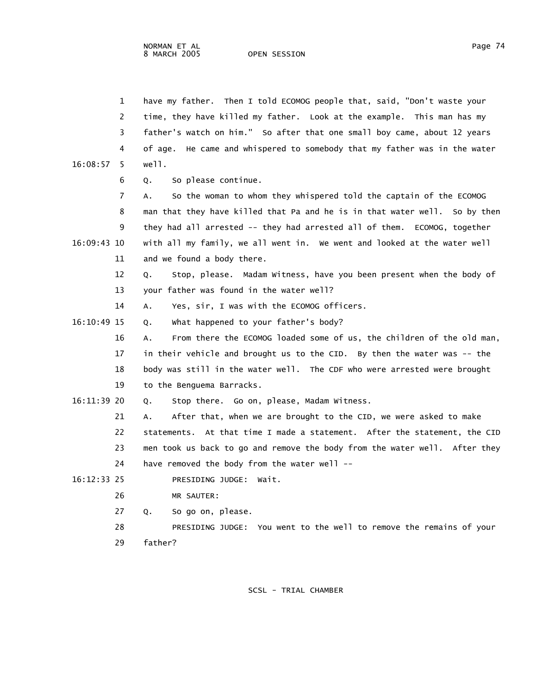|               | $\mathbf{1}$ | have my father. Then I told ECOMOG people that, said, "Don't waste your     |
|---------------|--------------|-----------------------------------------------------------------------------|
|               | 2            | time, they have killed my father. Look at the example. This man has my      |
|               | 3            | father's watch on him." So after that one small boy came, about 12 years    |
|               | 4            | of age. He came and whispered to somebody that my father was in the water   |
| 16:08:57      | 5.           | well.                                                                       |
|               | 6            | So please continue.<br>Q.                                                   |
|               | 7            | So the woman to whom they whispered told the captain of the ECOMOG<br>А.    |
|               | 8            | man that they have killed that Pa and he is in that water well. So by then  |
|               | 9            | they had all arrested -- they had arrested all of them. ECOMOG, together    |
| 16:09:43 10   |              | with all my family, we all went in. We went and looked at the water well    |
|               | 11           | and we found a body there.                                                  |
|               | 12           | Stop, please. Madam Witness, have you been present when the body of<br>Q.   |
|               | 13           | your father was found in the water well?                                    |
|               | 14           | Yes, sir, I was with the ECOMOG officers.<br>Α.                             |
| $16:10:49$ 15 |              | What happened to your father's body?<br>Q.                                  |
|               | 16           | From there the ECOMOG loaded some of us, the children of the old man,<br>А. |
|               | 17           | in their vehicle and brought us to the CID. By then the water was -- the    |
|               | 18           | body was still in the water well. The CDF who were arrested were brought    |
|               | 19           | to the Benguema Barracks.                                                   |
| 16:11:39 20   |              | Stop there. Go on, please, Madam Witness.<br>Q.                             |
|               | 21           | After that, when we are brought to the CID, we were asked to make<br>А.     |
|               | 22           | statements. At that time I made a statement. After the statement, the CID   |
|               | 23           | men took us back to go and remove the body from the water well. After they  |
|               | 24           | have removed the body from the water well --                                |
| 16:12:33 25   |              | PRESIDING JUDGE: Wait.                                                      |
|               | 26           | MR SAUTER:                                                                  |
|               | 27           | So go on, please.<br>Q.                                                     |
|               | 28           | PRESIDING JUDGE: You went to the well to remove the remains of your         |
|               | 29           | father?                                                                     |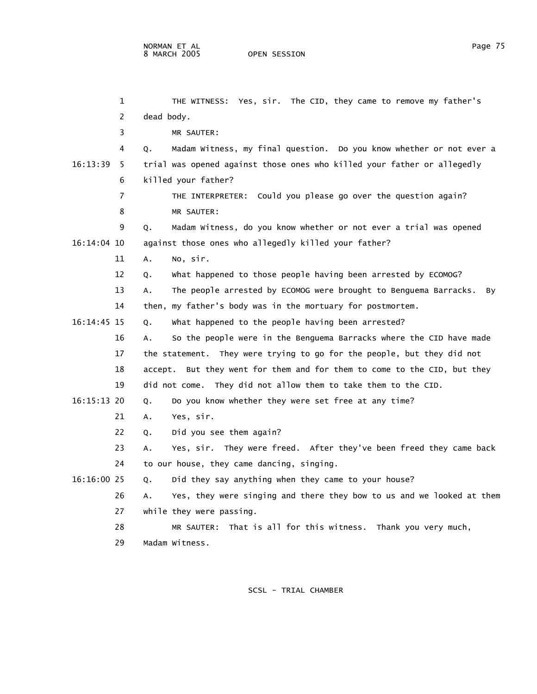1 THE WITNESS: Yes, sir. The CID, they came to remove my father's 2 dead body. 3 MR SAUTER: 4 Q. Madam Witness, my final question. Do you know whether or not ever a 16:13:39 5 trial was opened against those ones who killed your father or allegedly 6 killed your father? 7 THE INTERPRETER: Could you please go over the question again? 8 MR SAUTER: 9 Q. Madam Witness, do you know whether or not ever a trial was opened 16:14:04 10 against those ones who allegedly killed your father? 11 A. No, sir. 12 Q. What happened to those people having been arrested by ECOMOG? 13 A. The people arrested by ECOMOG were brought to Benguema Barracks. By 14 then, my father's body was in the mortuary for postmortem. 16:14:45 15 Q. What happened to the people having been arrested? 16 A. So the people were in the Benguema Barracks where the CID have made 17 the statement. They were trying to go for the people, but they did not 18 accept. But they went for them and for them to come to the CID, but they 19 did not come. They did not allow them to take them to the CID. 16:15:13 20 Q. Do you know whether they were set free at any time? 21 A. Yes, sir. 22 Q. Did you see them again? 23 A. Yes, sir. They were freed. After they've been freed they came back 24 to our house, they came dancing, singing. 16:16:00 25 Q. Did they say anything when they came to your house? 26 A. Yes, they were singing and there they bow to us and we looked at them 27 while they were passing. 28 MR SAUTER: That is all for this witness. Thank you very much,

29 Madam Witness.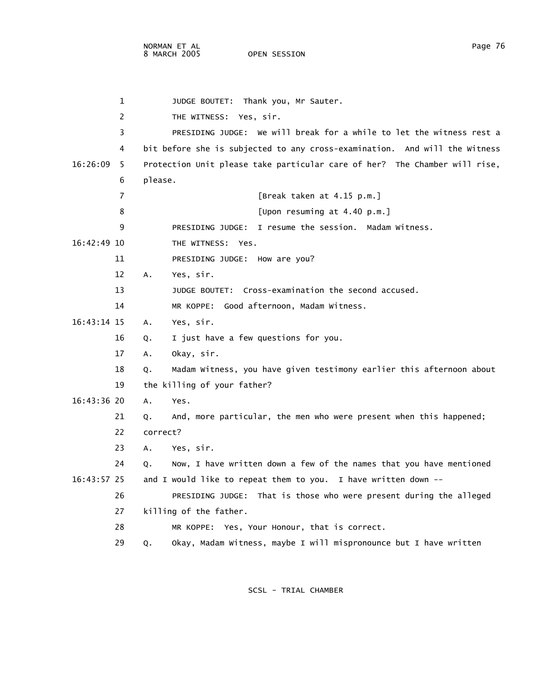|               | 1   | JUDGE BOUTET: Thank you, Mr Sauter.                                        |
|---------------|-----|----------------------------------------------------------------------------|
|               | 2   | THE WITNESS: Yes, sir.                                                     |
|               | 3   | PRESIDING JUDGE: We will break for a while to let the witness rest a       |
|               | 4   | bit before she is subjected to any cross-examination. And will the Witness |
| 16:26:09      | - 5 | Protection Unit please take particular care of her? The Chamber will rise, |
|               | 6   | please.                                                                    |
|               | 7   | [Break taken at 4.15 p.m.]                                                 |
|               | 8   | [Upon resuming at 4.40 p.m.]                                               |
|               | 9   | PRESIDING JUDGE: I resume the session. Madam Witness.                      |
| 16:42:49 10   |     | THE WITNESS: Yes.                                                          |
|               | 11  | PRESIDING JUDGE: How are you?                                              |
|               | 12  | Yes, sir.<br>А.                                                            |
|               | 13  | JUDGE BOUTET: Cross-examination the second accused.                        |
|               | 14  | MR KOPPE: Good afternoon, Madam Witness.                                   |
| 16:43:14 15   |     | Yes, sir.<br>А.                                                            |
|               | 16  | I just have a few questions for you.<br>Q.                                 |
|               | 17  | Okay, sir.<br>Α.                                                           |
|               | 18  | Madam Witness, you have given testimony earlier this afternoon about<br>Q. |
|               | 19  | the killing of your father?                                                |
| 16:43:36 20   |     | A.<br>Yes.                                                                 |
|               | 21  | And, more particular, the men who were present when this happened;<br>Q.   |
|               | 22  | correct?                                                                   |
|               | 23  | Yes, sir.<br>Α.                                                            |
|               | 24  | Now, I have written down a few of the names that you have mentioned<br>0.  |
| $16:43:57$ 25 |     | and I would like to repeat them to you. I have written down --             |
|               | 26  | PRESIDING JUDGE: That is those who were present during the alleged         |
|               | 27  | killing of the father.                                                     |
|               | 28  | MR KOPPE: Yes, Your Honour, that is correct.                               |
|               | 29  | Okay, Madam Witness, maybe I will mispronounce but I have written<br>Q.    |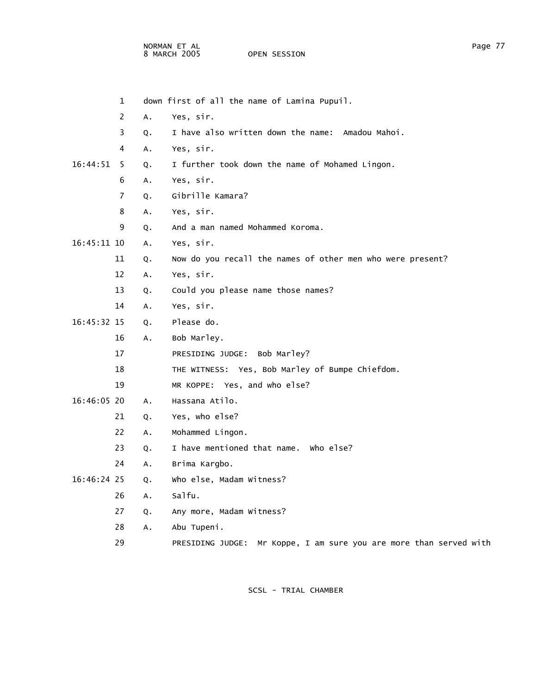NORMAN ET AL PAGE 27 AND 2012 12:00 AN 2012 12:00 AN 2012 12:00 AN 2012 12:00 PAGE 27 8 MARCH 2005 OPEN SESSION

|              | $\mathbf 1$ |                | down first of all the name of Lamina Pupuil.                          |
|--------------|-------------|----------------|-----------------------------------------------------------------------|
|              | 2           | A.             | Yes, sir.                                                             |
|              | 3           | Q.             | I have also written down the name: Amadou Mahoi.                      |
|              | 4           | A.             | Yes, sir.                                                             |
| $16:44:51$ 5 |             | Q <sub>1</sub> | I further took down the name of Mohamed Lingon.                       |
|              | 6           | A.             | Yes, sir.                                                             |
|              | 7           | Q.             | Gibrille Kamara?                                                      |
|              | 8           | А.             | Yes, sir.                                                             |
|              | 9           | Q.             | And a man named Mohammed Koroma.                                      |
| 16:45:11 10  |             | Α.             | Yes, sir.                                                             |
|              | 11          | Q.             | Now do you recall the names of other men who were present?            |
|              | 12          | A.             | Yes, sir.                                                             |
|              | 13          | Q.             | Could you please name those names?                                    |
|              | 14          | Α.             | Yes, sir.                                                             |
| 16:45:32 15  |             | Q.             | Please do.                                                            |
|              | 16          | А.             | Bob Marley.                                                           |
|              | 17          |                | PRESIDING JUDGE: Bob Marley?                                          |
|              | 18          |                | THE WITNESS: Yes, Bob Marley of Bumpe Chiefdom.                       |
|              | 19          |                | MR KOPPE: Yes, and who else?                                          |
| 16:46:05 20  |             | A.             | Hassana Atilo.                                                        |
|              | 21          | Q.             | Yes, who else?                                                        |
|              | 22          | A.             | Mohammed Lingon.                                                      |
|              | 23          | Q.             | I have mentioned that name. Who else?                                 |
|              | 24          | Α.             | Brima Kargbo.                                                         |
| 16:46:24 25  |             | Q.             | who else, Madam Witness?                                              |
|              | 26          | A.             | Salfu.                                                                |
|              | 27          | Q.             | Any more, Madam Witness?                                              |
|              | 28          | Α.             | Abu Tupeni.                                                           |
|              | 29          |                | Mr Koppe, I am sure you are more than served with<br>PRESIDING JUDGE: |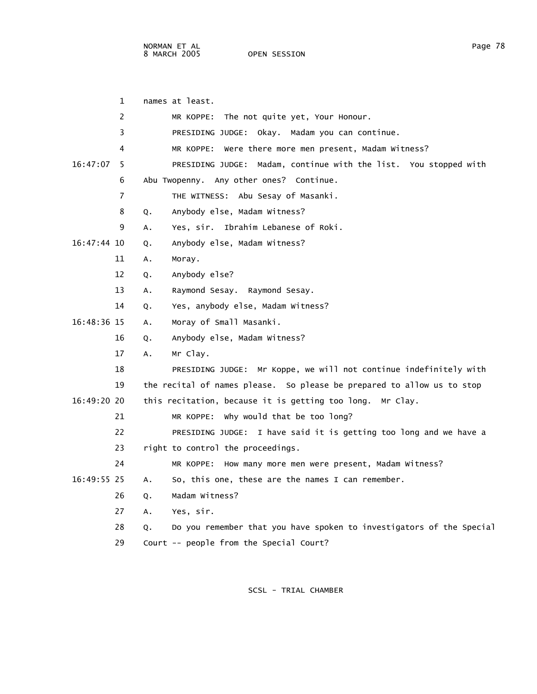NORMAN ET AL Page 78 8 MARCH 2005

 1 names at least. 2 MR KOPPE: The not quite yet, Your Honour. 3 PRESIDING JUDGE: Okay. Madam you can continue. 4 MR KOPPE: Were there more men present, Madam Witness? 16:47:07 5 PRESIDING JUDGE: Madam, continue with the list. You stopped with 6 Abu Twopenny. Any other ones? Continue. 7 THE WITNESS: Abu Sesay of Masanki. 8 Q. Anybody else, Madam Witness? 9 A. Yes, sir. Ibrahim Lebanese of Roki. 16:47:44 10 Q. Anybody else, Madam Witness? 11 A. Moray. 12 Q. Anybody else? 13 A. Raymond Sesay. Raymond Sesay. 14 Q. Yes, anybody else, Madam Witness? 16:48:36 15 A. Moray of Small Masanki. 16 Q. Anybody else, Madam Witness? 17 A. Mr Clay. 18 PRESIDING JUDGE: Mr Koppe, we will not continue indefinitely with 19 the recital of names please. So please be prepared to allow us to stop 16:49:20 20 this recitation, because it is getting too long. Mr Clay. 21 MR KOPPE: Why would that be too long? 22 PRESIDING JUDGE: I have said it is getting too long and we have a 23 right to control the proceedings. 24 MR KOPPE: How many more men were present, Madam Witness? 16:49:55 25 A. So, this one, these are the names I can remember. 26 Q. Madam Witness? 27 A. Yes, sir. 28 Q. Do you remember that you have spoken to investigators of the Special 29 Court -- people from the Special Court?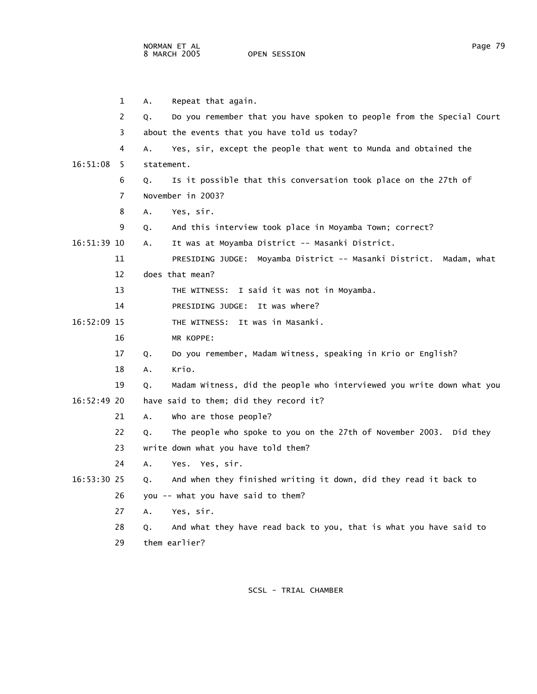1 A. Repeat that again. 2 Q. Do you remember that you have spoken to people from the Special Court 3 about the events that you have told us today? 4 A. Yes, sir, except the people that went to Munda and obtained the 16:51:08 5 statement. 6 Q. Is it possible that this conversation took place on the 27th of 7 November in 2003? 8 A. Yes, sir. 9 Q. And this interview took place in Moyamba Town; correct? 16:51:39 10 A. It was at Moyamba District -- Masanki District. 11 PRESIDING JUDGE: Moyamba District -- Masanki District. Madam, what 12 does that mean? 13 THE WITNESS: I said it was not in Moyamba. 14 PRESIDING JUDGE: It was where? 16:52:09 15 THE WITNESS: It was in Masanki. 16 MR KOPPE: 17 Q. Do you remember, Madam Witness, speaking in Krio or English? 18 A. Krio.

 19 Q. Madam Witness, did the people who interviewed you write down what you 16:52:49 20 have said to them; did they record it?

- 21 A. Who are those people?
	- 22 Q. The people who spoke to you on the 27th of November 2003. Did they
	- 23 write down what you have told them?
- 24 A. Yes. Yes, sir.
- 16:53:30 25 Q. And when they finished writing it down, did they read it back to 26 you -- what you have said to them?
	- 27 A. Yes, sir.
	- 28 Q. And what they have read back to you, that is what you have said to 29 them earlier?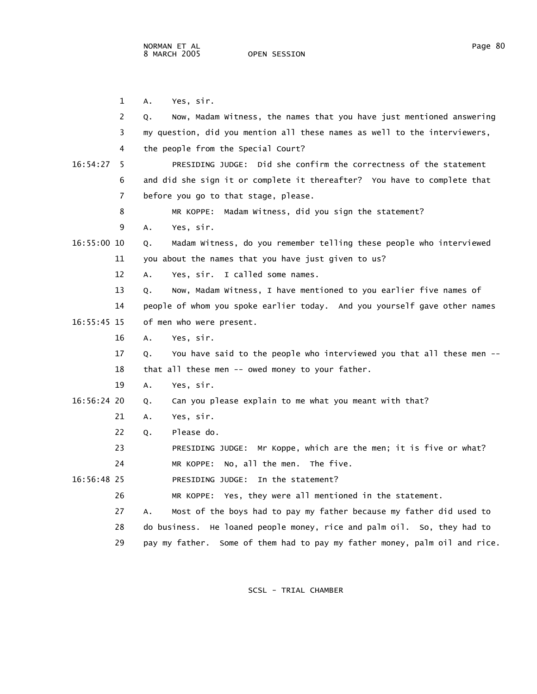1 A. Yes, sir. 2 Q. Now, Madam Witness, the names that you have just mentioned answering 3 my question, did you mention all these names as well to the interviewers, 4 the people from the Special Court? 16:54:27 5 PRESIDING JUDGE: Did she confirm the correctness of the statement 6 and did she sign it or complete it thereafter? You have to complete that 7 before you go to that stage, please. 8 MR KOPPE: Madam Witness, did you sign the statement? 9 A. Yes, sir. 16:55:00 10 Q. Madam Witness, do you remember telling these people who interviewed 11 you about the names that you have just given to us? 12 A. Yes, sir. I called some names. 13 Q. Now, Madam Witness, I have mentioned to you earlier five names of 14 people of whom you spoke earlier today. And you yourself gave other names 16:55:45 15 of men who were present. 16 A. Yes, sir. 17 Q. You have said to the people who interviewed you that all these men -- 18 that all these men -- owed money to your father. 19 A. Yes, sir. 16:56:24 20 Q. Can you please explain to me what you meant with that? 21 A. Yes, sir. 22 Q. Please do. 23 PRESIDING JUDGE: Mr Koppe, which are the men; it is five or what? 24 MR KOPPE: No, all the men. The five. 16:56:48 25 PRESIDING JUDGE: In the statement? 26 MR KOPPE: Yes, they were all mentioned in the statement. 27 A. Most of the boys had to pay my father because my father did used to 28 do business. He loaned people money, rice and palm oil. So, they had to 29 pay my father. Some of them had to pay my father money, palm oil and rice.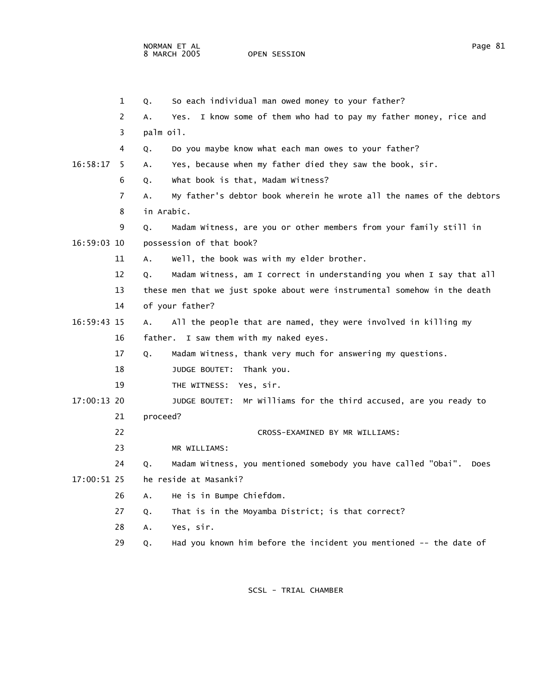|             | 1  | So each individual man owed money to your father?<br>Q.                     |
|-------------|----|-----------------------------------------------------------------------------|
|             | 2  | I know some of them who had to pay my father money, rice and<br>Yes.<br>А.  |
|             | 3  | palm oil.                                                                   |
|             | 4  | Do you maybe know what each man owes to your father?<br>Q.                  |
| 16:58:17    | -5 | Yes, because when my father died they saw the book, sir.<br>А.              |
|             | 6  | What book is that, Madam Witness?<br>Q.                                     |
|             | 7  | My father's debtor book wherein he wrote all the names of the debtors<br>А. |
|             | 8  | in Arabic.                                                                  |
|             | 9  | Madam Witness, are you or other members from your family still in<br>Q.     |
| 16:59:03 10 |    | possession of that book?                                                    |
|             | 11 | Well, the book was with my elder brother.<br>Α.                             |
|             | 12 | Madam Witness, am I correct in understanding you when I say that all<br>Q.  |
|             | 13 | these men that we just spoke about were instrumental somehow in the death   |
|             | 14 | of your father?                                                             |
| 16:59:43 15 |    | All the people that are named, they were involved in killing my<br>А.       |
|             | 16 | father. I saw them with my naked eyes.                                      |
|             | 17 | Madam Witness, thank very much for answering my questions.<br>Q.            |
|             | 18 | JUDGE BOUTET: Thank you.                                                    |
|             | 19 | Yes, sir.<br>THE WITNESS:                                                   |
| 17:00:13 20 |    | JUDGE BOUTET: Mr Williams for the third accused, are you ready to           |
|             | 21 | proceed?                                                                    |
|             | 22 | CROSS-EXAMINED BY MR WILLIAMS:                                              |
|             | 23 | MR WILLIAMS:                                                                |
|             | 24 | Madam Witness, you mentioned somebody you have called "Obai".<br>Does<br>Q. |
| 17:00:51 25 |    | he reside at Masanki?                                                       |
|             | 26 | He is in Bumpe Chiefdom.<br>А.                                              |
|             | 27 | That is in the Moyamba District; is that correct?<br>Q.                     |
|             | 28 | Yes, sir.<br>А.                                                             |
|             | 29 | Had you known him before the incident you mentioned -- the date of<br>Q.    |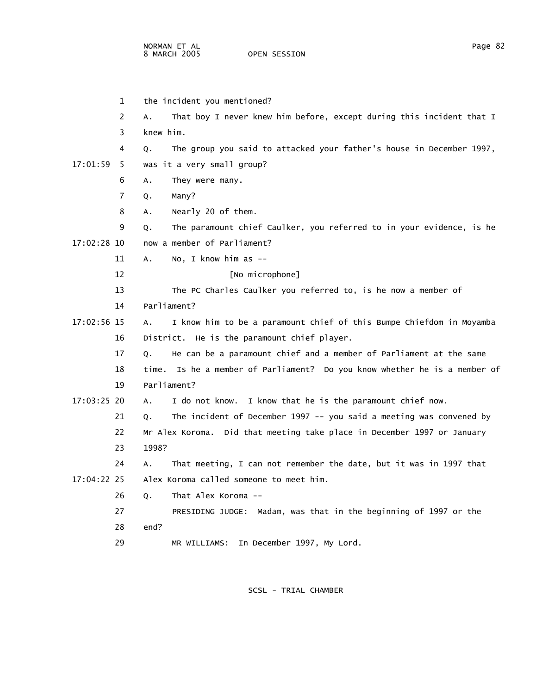|               | 1   | the incident you mentioned?                                                |
|---------------|-----|----------------------------------------------------------------------------|
|               | 2   | That boy I never knew him before, except during this incident that I<br>А. |
|               | 3   | knew him.                                                                  |
|               | 4   | The group you said to attacked your father's house in December 1997,<br>Q. |
| 17:01:59      | - 5 | was it a very small group?                                                 |
|               | 6   | They were many.<br>А.                                                      |
|               | 7   | Q.<br>Many?                                                                |
|               | 8   | Nearly 20 of them.<br>А.                                                   |
|               | 9   | The paramount chief Caulker, you referred to in your evidence, is he<br>Q. |
| 17:02:28 10   |     | now a member of Parliament?                                                |
|               | 11  | No, I know him as --<br>Α.                                                 |
|               | 12  | [No microphone]                                                            |
|               | 13  | The PC Charles Caulker you referred to, is he now a member of              |
|               | 14  | Parliament?                                                                |
| 17:02:56 15   |     | I know him to be a paramount chief of this Bumpe Chiefdom in Moyamba<br>А. |
|               | 16  | District. He is the paramount chief player.                                |
|               | 17  | He can be a paramount chief and a member of Parliament at the same<br>0.   |
|               | 18  | time. Is he a member of Parliament? Do you know whether he is a member of  |
|               | 19  | Parliament?                                                                |
| 17:03:25 20   |     | I do not know. I know that he is the paramount chief now.<br>A.            |
|               | 21  | The incident of December 1997 -- you said a meeting was convened by<br>Q.  |
|               | 22  | Mr Alex Koroma. Did that meeting take place in December 1997 or January    |
|               | 23  | 1998?                                                                      |
|               | 24  | That meeting, I can not remember the date, but it was in 1997 that<br>А.   |
| $17:04:22$ 25 |     | Alex Koroma called someone to meet him.                                    |
|               | 26  | That Alex Koroma --<br>Q.                                                  |
|               | 27  | PRESIDING JUDGE: Madam, was that in the beginning of 1997 or the           |
|               | 28  | end?                                                                       |
|               | 29  | In December 1997, My Lord.<br>MR WILLIAMS:                                 |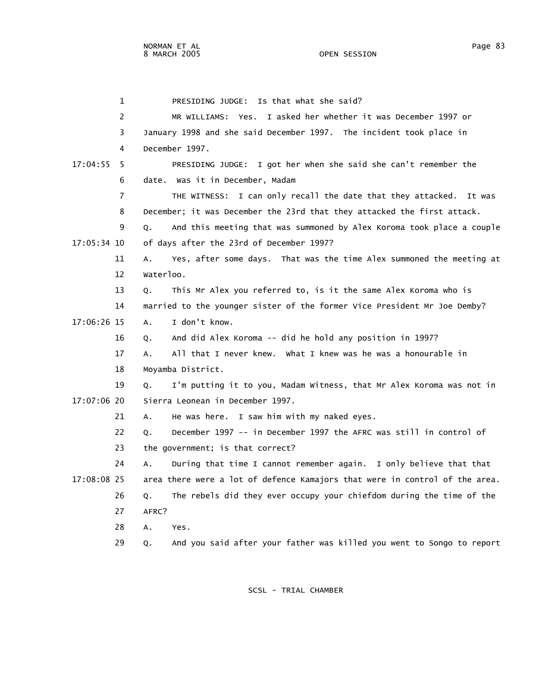|             | 1  | PRESIDING JUDGE: Is that what she said?                                     |
|-------------|----|-----------------------------------------------------------------------------|
|             | 2  | MR WILLIAMS: Yes. I asked her whether it was December 1997 or               |
|             | 3  | January 1998 and she said December 1997. The incident took place in         |
|             | 4  | December 1997.                                                              |
| 17:04:55    | -5 | PRESIDING JUDGE: I got her when she said she can't remember the             |
|             | 6  | date. Was it in December, Madam                                             |
|             | 7  | THE WITNESS: I can only recall the date that they attacked. It was          |
|             | 8  | December; it was December the 23rd that they attacked the first attack.     |
|             | 9  | And this meeting that was summoned by Alex Koroma took place a couple<br>Q. |
| 17:05:34 10 |    | of days after the 23rd of December 1997?                                    |
|             | 11 | Yes, after some days. That was the time Alex summoned the meeting at<br>А.  |
|             | 12 | waterloo.                                                                   |
|             | 13 | This Mr Alex you referred to, is it the same Alex Koroma who is<br>Q.       |
|             | 14 | married to the younger sister of the former Vice President Mr Joe Demby?    |
| 17:06:26 15 |    | I don't know.<br>A.                                                         |
|             | 16 | And did Alex Koroma -- did he hold any position in 1997?<br>0.              |
|             | 17 | All that I never knew. What I knew was he was a honourable in<br>А.         |
|             | 18 | Moyamba District.                                                           |
|             | 19 | I'm putting it to you, Madam Witness, that Mr Alex Koroma was not in<br>Q.  |
| 17:07:06 20 |    | Sierra Leonean in December 1997.                                            |
|             | 21 | He was here. I saw him with my naked eyes.<br>A.                            |
|             | 22 | December 1997 -- in December 1997 the AFRC was still in control of<br>Q.    |
|             | 23 | the government; is that correct?                                            |
|             | 24 | During that time I cannot remember again. I only believe that that<br>А.    |
| 17:08:08 25 |    | area there were a lot of defence Kamajors that were in control of the area. |
|             | 26 | The rebels did they ever occupy your chiefdom during the time of the<br>Q.  |
|             | 27 | AFRC?                                                                       |
|             | 28 | А.<br>Yes.                                                                  |
|             | 29 | And you said after your father was killed you went to Songo to report<br>Q. |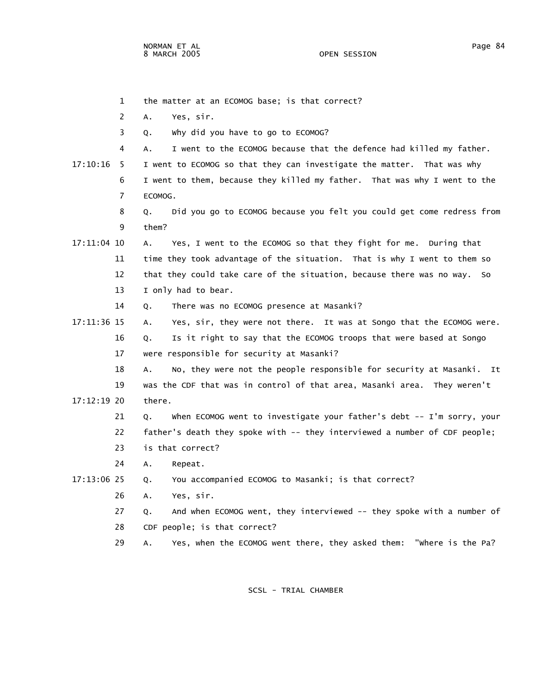1 the matter at an ECOMOG base; is that correct?

 2 A. Yes, sir. 3 Q. Why did you have to go to ECOMOG? 4 A. I went to the ECOMOG because that the defence had killed my father. 17:10:16 5 I went to ECOMOG so that they can investigate the matter. That was why 6 I went to them, because they killed my father. That was why I went to the 7 ECOMOG. 8 Q. Did you go to ECOMOG because you felt you could get come redress from 9 them? 17:11:04 10 A. Yes, I went to the ECOMOG so that they fight for me. During that 11 time they took advantage of the situation. That is why I went to them so 12 that they could take care of the situation, because there was no way. So 13 I only had to bear. 14 Q. There was no ECOMOG presence at Masanki? 17:11:36 15 A. Yes, sir, they were not there. It was at Songo that the ECOMOG were. 16 Q. Is it right to say that the ECOMOG troops that were based at Songo 17 were responsible for security at Masanki? 18 A. No, they were not the people responsible for security at Masanki. It 19 was the CDF that was in control of that area, Masanki area. They weren't 17:12:19 20 there. 21 Q. When ECOMOG went to investigate your father's debt -- I'm sorry, your 22 father's death they spoke with -- they interviewed a number of CDF people; 23 is that correct? 24 A. Repeat. 17:13:06 25 Q. You accompanied ECOMOG to Masanki; is that correct? 26 A. Yes, sir. 27 Q. And when ECOMOG went, they interviewed -- they spoke with a number of 28 CDF people; is that correct? 29 A. Yes, when the ECOMOG went there, they asked them: "Where is the Pa?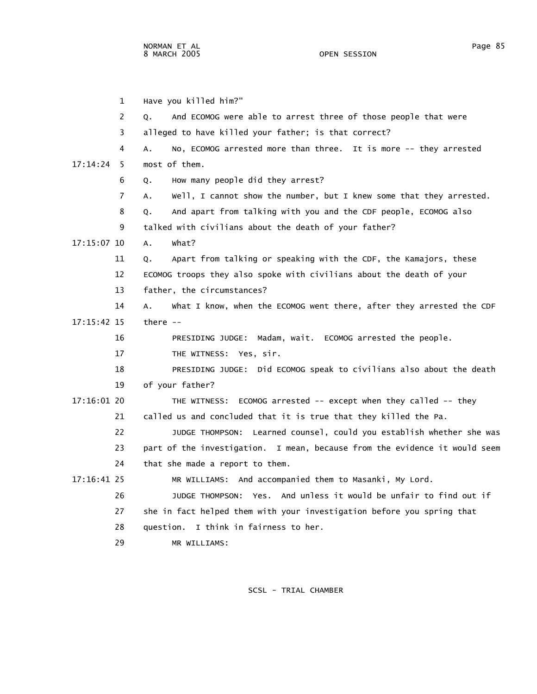1 Have you killed him?" 2 Q. And ECOMOG were able to arrest three of those people that were 3 alleged to have killed your father; is that correct? 4 A. No, ECOMOG arrested more than three. It is more -- they arrested 17:14:24 5 most of them. 6 Q. How many people did they arrest? 7 A. Well, I cannot show the number, but I knew some that they arrested. 8 Q. And apart from talking with you and the CDF people, ECOMOG also 9 talked with civilians about the death of your father? 17:15:07 10 A. What? 11 Q. Apart from talking or speaking with the CDF, the Kamajors, these 12 ECOMOG troops they also spoke with civilians about the death of your 13 father, the circumstances? 14 A. What I know, when the ECOMOG went there, after they arrested the CDF 17:15:42 15 there -- 16 PRESIDING JUDGE: Madam, wait. ECOMOG arrested the people. 17 THE WITNESS: Yes, sir. 18 PRESIDING JUDGE: Did ECOMOG speak to civilians also about the death 19 of your father? 17:16:01 20 THE WITNESS: ECOMOG arrested -- except when they called -- they 21 called us and concluded that it is true that they killed the Pa. 22 JUDGE THOMPSON: Learned counsel, could you establish whether she was 23 part of the investigation. I mean, because from the evidence it would seem 24 that she made a report to them. 17:16:41 25 MR WILLIAMS: And accompanied them to Masanki, My Lord. 26 JUDGE THOMPSON: Yes. And unless it would be unfair to find out if 27 she in fact helped them with your investigation before you spring that 28 question. I think in fairness to her. 29 MR WILLIAMS: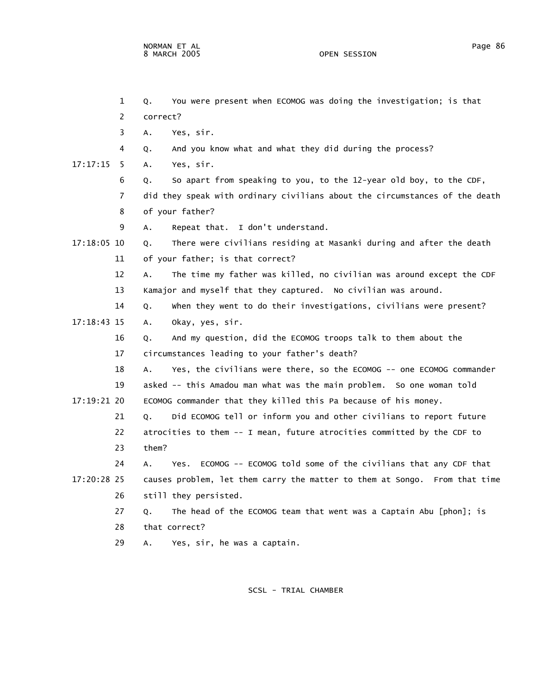|               | 1              | You were present when ECOMOG was doing the investigation; is that<br>Q.     |
|---------------|----------------|-----------------------------------------------------------------------------|
|               | 2              | correct?                                                                    |
|               | 3              | Yes, sir.<br>А.                                                             |
|               | 4              | And you know what and what they did during the process?<br>Q.               |
| 17:17:15      | -5             | Yes, sir.<br>Α.                                                             |
|               | 6              | So apart from speaking to you, to the 12-year old boy, to the CDF,<br>Q.    |
|               | $\overline{7}$ | did they speak with ordinary civilians about the circumstances of the death |
|               | 8              | of your father?                                                             |
|               | 9              | Repeat that. I don't understand.<br>А.                                      |
| 17:18:05 10   |                | There were civilians residing at Masanki during and after the death<br>Q.   |
|               | 11             | of your father; is that correct?                                            |
|               | 12             | The time my father was killed, no civilian was around except the CDF<br>Α.  |
|               | 13             | Kamajor and myself that they captured. No civilian was around.              |
|               | 14             | when they went to do their investigations, civilians were present?<br>Q.    |
| $17:18:43$ 15 |                | Okay, yes, sir.<br>А.                                                       |
|               | 16             | And my question, did the ECOMOG troops talk to them about the<br>Q.         |
|               | 17             | circumstances leading to your father's death?                               |
|               | 18             | Yes, the civilians were there, so the ECOMOG -- one ECOMOG commander<br>Α.  |
|               | 19             | asked -- this Amadou man what was the main problem. So one woman told       |
| 17:19:21 20   |                | ECOMOG commander that they killed this Pa because of his money.             |
|               | 21             | Did ECOMOG tell or inform you and other civilians to report future<br>Q.    |
|               | 22             | atrocities to them -- I mean, future atrocities committed by the CDF to     |
|               | 23             | them?                                                                       |
|               | 24             | Yes. ECOMOG -- ECOMOG told some of the civilians that any CDF that<br>Α.    |
| 17:20:28 25   |                | causes problem, let them carry the matter to them at Songo. From that time  |
|               | 26             | still they persisted.                                                       |
|               | 27             | The head of the ECOMOG team that went was a Captain Abu [phon]; is<br>Q.    |
|               | 28             | that correct?                                                               |
|               | 29             | Yes, sir, he was a captain.<br>Α.                                           |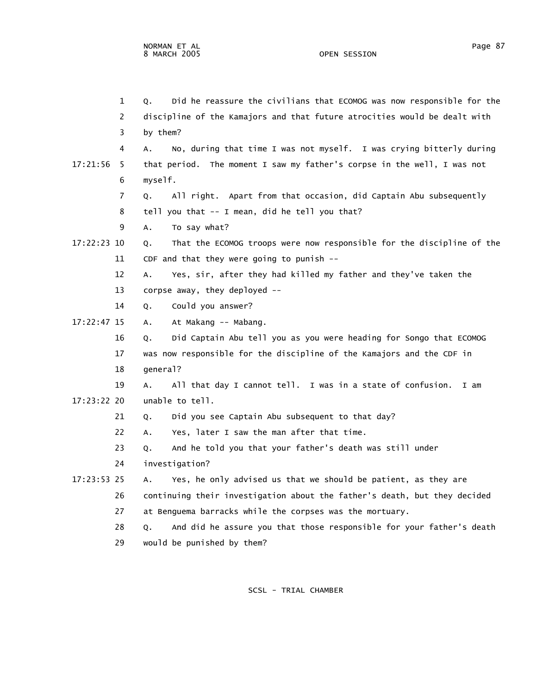|             | 1   | Did he reassure the civilians that ECOMOG was now responsible for the<br>Q. |
|-------------|-----|-----------------------------------------------------------------------------|
|             | 2   | discipline of the Kamajors and that future atrocities would be dealt with   |
|             | 3   | by them?                                                                    |
|             | 4   | No, during that time I was not myself. I was crying bitterly during<br>А.   |
| 17:21:56    | - 5 | that period. The moment I saw my father's corpse in the well, I was not     |
|             | 6   | myself.                                                                     |
|             | 7   | All right. Apart from that occasion, did Captain Abu subsequently<br>Q.     |
|             | 8   | tell you that -- I mean, did he tell you that?                              |
|             | 9   | To say what?<br>Α.                                                          |
| 17:22:23 10 |     | That the ECOMOG troops were now responsible for the discipline of the<br>Q. |
|             | 11  | CDF and that they were going to punish $-$ -                                |
|             | 12  | Yes, sir, after they had killed my father and they've taken the<br>А.       |
|             | 13  | corpse away, they deployed --                                               |
|             | 14  | Could you answer?<br>Q.                                                     |
| 17:22:47 15 |     | At Makang -- Mabang.<br>A.                                                  |
|             | 16  | Did Captain Abu tell you as you were heading for Songo that ECOMOG<br>Q.    |
|             | 17  | was now responsible for the discipline of the Kamajors and the CDF in       |
|             | 18  | general?                                                                    |
|             | 19  | All that day I cannot tell. I was in a state of confusion.<br>A.<br>I am    |
| 17:23:22 20 |     | unable to tell.                                                             |
|             | 21  | Did you see Captain Abu subsequent to that day?<br>Q.                       |
|             | 22  | Yes, later I saw the man after that time.<br>Α.                             |
|             | 23  | And he told you that your father's death was still under<br>Q.              |
|             | 24  | investigation?                                                              |
| 17:23:53 25 |     | Yes, he only advised us that we should be patient, as they are<br>А.        |
|             | 26  | continuing their investigation about the father's death, but they decided   |
|             | 27  | at Benguema barracks while the corpses was the mortuary.                    |
|             | 28  | And did he assure you that those responsible for your father's death<br>Q.  |
|             | 29  | would be punished by them?                                                  |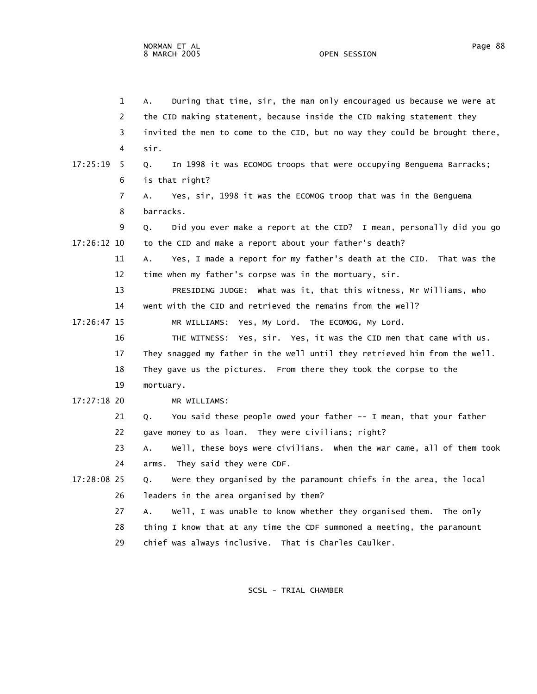|              | 1  | During that time, sir, the man only encouraged us because we were at<br>Α.  |
|--------------|----|-----------------------------------------------------------------------------|
|              | 2  | the CID making statement, because inside the CID making statement they      |
|              | 3  | invited the men to come to the CID, but no way they could be brought there, |
|              | 4  | sir.                                                                        |
| $17:25:19$ 5 |    | In 1998 it was ECOMOG troops that were occupying Benguema Barracks;<br>Q.   |
|              | 6  | is that right?                                                              |
|              | 7  | Yes, sir, 1998 it was the ECOMOG troop that was in the Benguema<br>А.       |
|              | 8  | barracks.                                                                   |
|              | 9  | Did you ever make a report at the CID? I mean, personally did you go<br>Q.  |
| 17:26:12 10  |    | to the CID and make a report about your father's death?                     |
|              | 11 | Yes, I made a report for my father's death at the CID. That was the<br>Α.   |
|              | 12 | time when my father's corpse was in the mortuary, sir.                      |
|              | 13 | PRESIDING JUDGE: What was it, that this witness, Mr Williams, who           |
|              | 14 | went with the CID and retrieved the remains from the well?                  |
| 17:26:47 15  |    | MR WILLIAMS: Yes, My Lord. The ECOMOG, My Lord.                             |
|              | 16 | THE WITNESS: Yes, sir. Yes, it was the CID men that came with us.           |
|              | 17 | They snagged my father in the well until they retrieved him from the well.  |
|              | 18 | They gave us the pictures. From there they took the corpse to the           |
|              | 19 | mortuary.                                                                   |
| 17:27:18 20  |    | MR WILLIAMS:                                                                |
|              | 21 | You said these people owed your father -- I mean, that your father<br>Q.    |
|              | 22 | gave money to as loan. They were civilians; right?                          |
|              | 23 | well, these boys were civilians. When the war came, all of them took<br>А.  |
|              | 24 | arms. They said they were CDF.                                              |
| 17:28:08 25  |    | Were they organised by the paramount chiefs in the area, the local<br>Q.    |
|              | 26 | leaders in the area organised by them?                                      |
|              | 27 | well, I was unable to know whether they organised them. The only<br>A.      |
|              | 28 | thing I know that at any time the CDF summoned a meeting, the paramount     |
|              | 29 | chief was always inclusive. That is Charles Caulker.                        |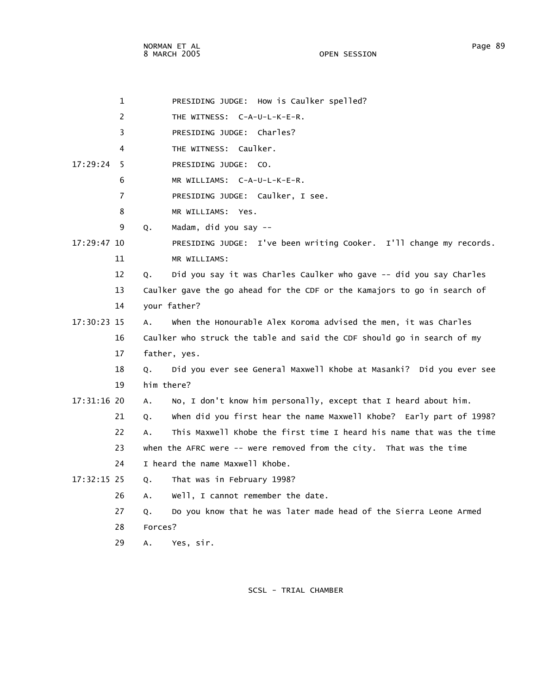OPEN SESSION

|               | $\mathbf{1}$ | PRESIDING JUDGE: How is Caulker spelled?                                   |
|---------------|--------------|----------------------------------------------------------------------------|
|               | 2            | THE WITNESS: C-A-U-L-K-E-R.                                                |
|               | 3            | PRESIDING JUDGE: Charles?                                                  |
|               | 4            | THE WITNESS: Caulker.                                                      |
| 17:29:24      | -5           | PRESIDING JUDGE: CO.                                                       |
|               | 6            | MR WILLIAMS: C-A-U-L-K-E-R.                                                |
|               | 7            | PRESIDING JUDGE: Caulker, I see.                                           |
|               | 8            | MR WILLIAMS: Yes.                                                          |
|               | 9            | Madam, did you say --<br>Q.                                                |
| $17:29:47$ 10 |              | PRESIDING JUDGE: I've been writing Cooker. I'll change my records.         |
|               | 11           | MR WILLIAMS:                                                               |
|               | 12           | Did you say it was Charles Caulker who gave -- did you say Charles<br>Q.   |
|               | 13           | Caulker gave the go ahead for the CDF or the Kamajors to go in search of   |
|               | 14           | your father?                                                               |
| 17:30:23 15   |              | when the Honourable Alex Koroma advised the men, it was Charles<br>Α.      |
|               | 16           | Caulker who struck the table and said the CDF should go in search of my    |
|               | 17           | father, yes.                                                               |
|               | 18           | Did you ever see General Maxwell Khobe at Masanki? Did you ever see<br>О.  |
|               | 19           | him there?                                                                 |
| 17:31:16 20   |              | No, I don't know him personally, except that I heard about him.<br>А.      |
|               | 21           | when did you first hear the name Maxwell Khobe? Early part of 1998?<br>0.  |
|               | 22           | This Maxwell Khobe the first time I heard his name that was the time<br>A. |
|               | 23           | when the AFRC were -- were removed from the city. That was the time        |
|               | 24           | I heard the name Maxwell Khobe.                                            |
| 17:32:15 25   |              | That was in February 1998?<br>Q.                                           |
|               | 26           | well, I cannot remember the date.<br>Α.                                    |
|               | 27           | Do you know that he was later made head of the Sierra Leone Armed<br>Q.    |
|               | 28           | Forces?                                                                    |
|               | 29           | Yes, sir.<br>Α.                                                            |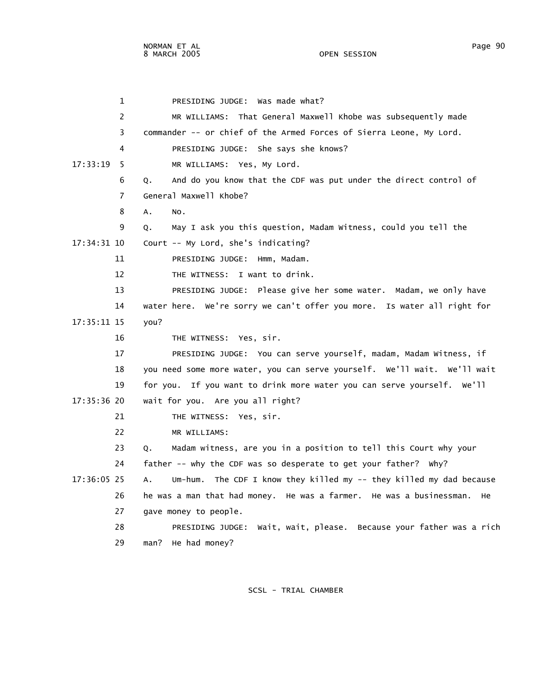1 PRESIDING JUDGE: Was made what? 2 MR WILLIAMS: That General Maxwell Khobe was subsequently made 3 commander -- or chief of the Armed Forces of Sierra Leone, My Lord. 4 PRESIDING JUDGE: She says she knows? 17:33:19 5 MR WILLIAMS: Yes, My Lord. 6 Q. And do you know that the CDF was put under the direct control of 7 General Maxwell Khobe? 8 A. No. 9 Q. May I ask you this question, Madam Witness, could you tell the 17:34:31 10 Court -- My Lord, she's indicating? 11 PRESIDING JUDGE: Hmm, Madam. 12 THE WITNESS: I want to drink. 13 PRESIDING JUDGE: Please give her some water. Madam, we only have 14 water here. We're sorry we can't offer you more. Is water all right for 17:35:11 15 you? 16 THE WITNESS: Yes, sir. 17 PRESIDING JUDGE: You can serve yourself, madam, Madam Witness, if 18 you need some more water, you can serve yourself. We'll wait. We'll wait 19 for you. If you want to drink more water you can serve yourself. We'll 17:35:36 20 wait for you. Are you all right? 21 THE WITNESS: Yes, sir. 22 MR WILLIAMS: 23 Q. Madam witness, are you in a position to tell this Court why your 24 father -- why the CDF was so desperate to get your father? Why? 17:36:05 25 A. Um-hum. The CDF I know they killed my -- they killed my dad because 26 he was a man that had money. He was a farmer. He was a businessman. He 27 gave money to people. 28 PRESIDING JUDGE: Wait, wait, please. Because your father was a rich 29 man? He had money?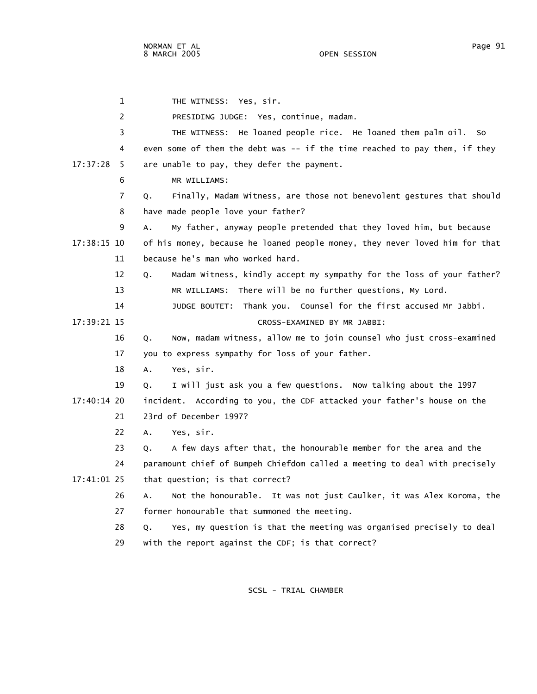1 THE WITNESS: Yes, sir. 2 PRESIDING JUDGE: Yes, continue, madam. 3 THE WITNESS: He loaned people rice. He loaned them palm oil. So 4 even some of them the debt was -- if the time reached to pay them, if they 17:37:28 5 are unable to pay, they defer the payment. 6 MR WILLIAMS: 7 Q. Finally, Madam Witness, are those not benevolent gestures that should 8 have made people love your father? 9 A. My father, anyway people pretended that they loved him, but because 17:38:15 10 of his money, because he loaned people money, they never loved him for that 11 because he's man who worked hard. 12 Q. Madam Witness, kindly accept my sympathy for the loss of your father? 13 MR WILLIAMS: There will be no further questions, My Lord. 14 JUDGE BOUTET: Thank you. Counsel for the first accused Mr Jabbi. 17:39:21 15 CROSS-EXAMINED BY MR JABBI: 16 Q. Now, madam witness, allow me to join counsel who just cross-examined 17 you to express sympathy for loss of your father. 18 A. Yes, sir. 19 Q. I will just ask you a few questions. Now talking about the 1997 17:40:14 20 incident. According to you, the CDF attacked your father's house on the 21 23rd of December 1997? 22 A. Yes, sir. 23 Q. A few days after that, the honourable member for the area and the 24 paramount chief of Bumpeh Chiefdom called a meeting to deal with precisely 17:41:01 25 that question; is that correct? 26 A. Not the honourable. It was not just Caulker, it was Alex Koroma, the 27 former honourable that summoned the meeting. 28 Q. Yes, my question is that the meeting was organised precisely to deal 29 with the report against the CDF; is that correct?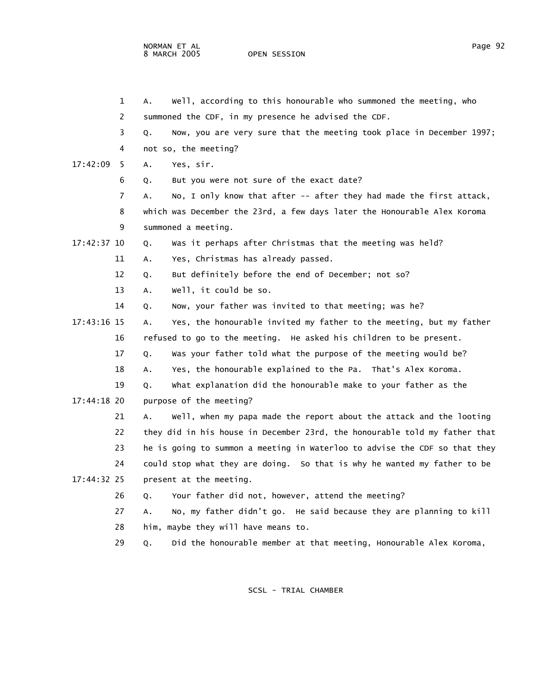|             | 1  | well, according to this honourable who summoned the meeting, who           |  |
|-------------|----|----------------------------------------------------------------------------|--|
|             | 2  | summoned the CDF, in my presence he advised the CDF.                       |  |
|             | 3  | Now, you are very sure that the meeting took place in December 1997;       |  |
|             | 4  | not so, the meeting?                                                       |  |
| 17:42:09    | -5 | Yes, sir.                                                                  |  |
|             | 6  | But you were not sure of the exact date?                                   |  |
|             | 7  | No, I only know that after -- after they had made the first attack,        |  |
|             | 8  | which was December the 23rd, a few days later the Honourable Alex Koroma   |  |
|             | 9  | summoned a meeting.                                                        |  |
| 17:42:37 10 |    | Was it perhaps after Christmas that the meeting was held?                  |  |
|             | 11 | Yes, Christmas has already passed.                                         |  |
|             | 12 | But definitely before the end of December; not so?                         |  |
|             | 13 | well, it could be so.                                                      |  |
|             | 14 | Now, your father was invited to that meeting; was he?                      |  |
| 17:43:16 15 |    | Yes, the honourable invited my father to the meeting, but my father        |  |
|             | 16 | refused to go to the meeting. He asked his children to be present.         |  |
|             | 17 | Was your father told what the purpose of the meeting would be?             |  |
|             | 18 | Yes, the honourable explained to the Pa. That's Alex Koroma.               |  |
|             | 19 | what explanation did the honourable make to your father as the             |  |
| 17:44:18 20 |    | purpose of the meeting?                                                    |  |
|             | 21 | well, when my papa made the report about the attack and the looting        |  |
|             | 22 | they did in his house in December 23rd, the honourable told my father that |  |
|             | 23 | he is going to summon a meeting in Waterloo to advise the CDF so that they |  |
|             | 24 | could stop what they are doing. So that is why he wanted my father to be   |  |
| 17:44:32 25 |    | present at the meeting.                                                    |  |
|             | 26 | Your father did not, however, attend the meeting?                          |  |
|             | 27 | No, my father didn't go. He said because they are planning to kill         |  |
|             | 28 | him, maybe they will have means to.                                        |  |
|             | 29 | Did the honourable member at that meeting, Honourable Alex Koroma,         |  |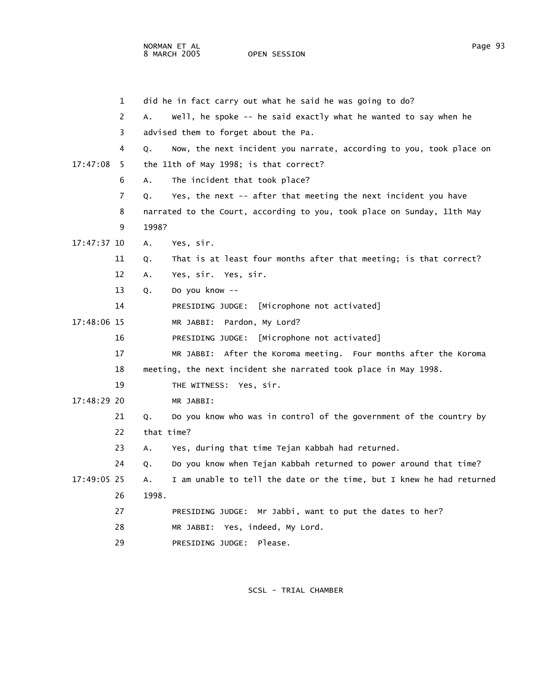NORMAN ET AL PAGE AND THE SERVICE SERVICE SERVICE SERVICE SERVICE SERVICE SERVICE SERVICE SERVICE SERVICE SERVICE SERVICE SERVICE SERVICE SERVICE SERVICE SERVICE SERVICE SERVICE SERVICE SERVICE SERVICE SERVICE SERVICE SERV 8 MARCH 2005 OPEN SESSION

|             | $\mathbf 1$ |            | did he in fact carry out what he said he was going to do?               |
|-------------|-------------|------------|-------------------------------------------------------------------------|
|             | 2           | А.         | well, he spoke -- he said exactly what he wanted to say when he         |
|             | 3           |            | advised them to forget about the Pa.                                    |
|             | 4           | Q.         | Now, the next incident you narrate, according to you, took place on     |
| 17:47:08    | - 5         |            | the 11th of May 1998; is that correct?                                  |
|             | 6           | Α.         | The incident that took place?                                           |
|             | 7           | Q.         | Yes, the next -- after that meeting the next incident you have          |
|             | 8           |            | narrated to the Court, according to you, took place on Sunday, 11th May |
|             | 9           | 1998?      |                                                                         |
| 17:47:37 10 |             | Α.         | Yes, sir.                                                               |
|             | 11          | Q.         | That is at least four months after that meeting; is that correct?       |
|             | 12          | А.         | Yes, sir. Yes, sir.                                                     |
|             | 13          | Q.         | Do you know --                                                          |
|             | 14          |            | [Microphone not activated]<br>PRESIDING JUDGE:                          |
| 17:48:06 15 |             |            | MR JABBI: Pardon, My Lord?                                              |
|             | 16          |            | PRESIDING JUDGE: [Microphone not activated]                             |
|             | 17          |            | MR JABBI: After the Koroma meeting. Four months after the Koroma        |
|             | 18          |            | meeting, the next incident she narrated took place in May 1998.         |
|             | 19          |            | THE WITNESS: Yes, sir.                                                  |
| 17:48:29 20 |             |            | MR JABBI:                                                               |
|             | 21          | Q.         | Do you know who was in control of the government of the country by      |
|             | 22          | that time? |                                                                         |
|             | 23          | А.         | Yes, during that time Tejan Kabbah had returned.                        |
|             | 24          | Q.         | Do you know when Tejan Kabbah returned to power around that time?       |
| 17:49:05 25 |             | А.         | I am unable to tell the date or the time, but I knew he had returned    |
|             | 26          | 1998.      |                                                                         |
|             | 27          |            | PRESIDING JUDGE:<br>Mr Jabbi, want to put the dates to her?             |
|             | 28          |            | MR JABBI: Yes, indeed, My Lord.                                         |
|             | 29          |            | Please.<br>PRESIDING JUDGE:                                             |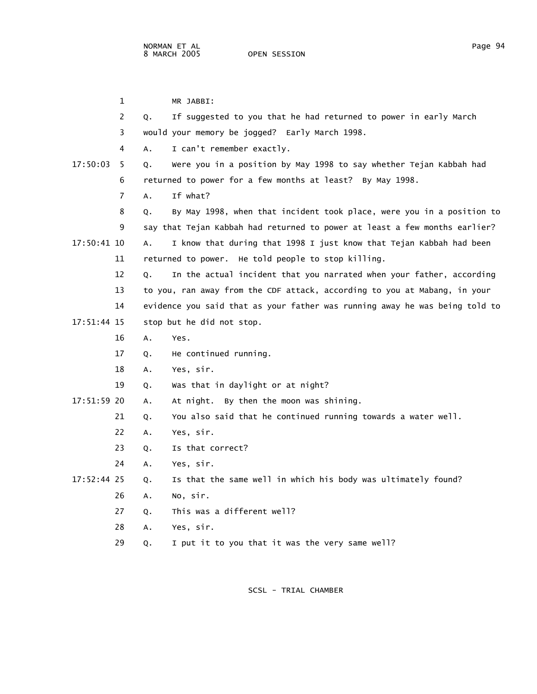|             | 1  | MR JABBI:                                                                   |
|-------------|----|-----------------------------------------------------------------------------|
|             | 2  | If suggested to you that he had returned to power in early March<br>Q.      |
|             | 3  | would your memory be jogged? Early March 1998.                              |
|             | 4  | I can't remember exactly.<br>А.                                             |
| 17:50:03    | -5 | Were you in a position by May 1998 to say whether Tejan Kabbah had<br>Q.    |
|             | 6  | returned to power for a few months at least? By May 1998.                   |
|             | 7  | If what?<br>А.                                                              |
|             | 8  | By May 1998, when that incident took place, were you in a position to<br>Q. |
|             | 9  | say that Tejan Kabbah had returned to power at least a few months earlier?  |
| 17:50:41 10 |    | I know that during that 1998 I just know that Tejan Kabbah had been<br>А.   |
|             | 11 | returned to power. He told people to stop killing.                          |
|             | 12 | In the actual incident that you narrated when your father, according<br>Q.  |
|             | 13 | to you, ran away from the CDF attack, according to you at Mabang, in your   |
|             | 14 | evidence you said that as your father was running away he was being told to |
| 17:51:44 15 |    | stop but he did not stop.                                                   |
|             | 16 | Yes.<br>А.                                                                  |
|             | 17 | He continued running.<br>Q.                                                 |
|             | 18 | Yes, sir.<br>А.                                                             |
|             | 19 | Was that in daylight or at night?<br>Q.                                     |
| 17:51:59 20 |    | At night. By then the moon was shining.<br>Α.                               |
|             | 21 | You also said that he continued running towards a water well.<br>Q.         |
|             | 22 | Yes, sir.<br>Α.                                                             |
|             | 23 | Is that correct?<br>Q.                                                      |
|             | 24 | Yes, sir.<br>А.                                                             |
| 17:52:44 25 |    | Is that the same well in which his body was ultimately found?<br>Q.         |
|             | 26 | No, sir.<br>A.                                                              |
|             | 27 | This was a different well?<br>Q.                                            |
|             | 28 | Yes, sir.<br>Α.                                                             |
|             | 29 | I put it to you that it was the very same well?<br>Q.                       |
|             |    |                                                                             |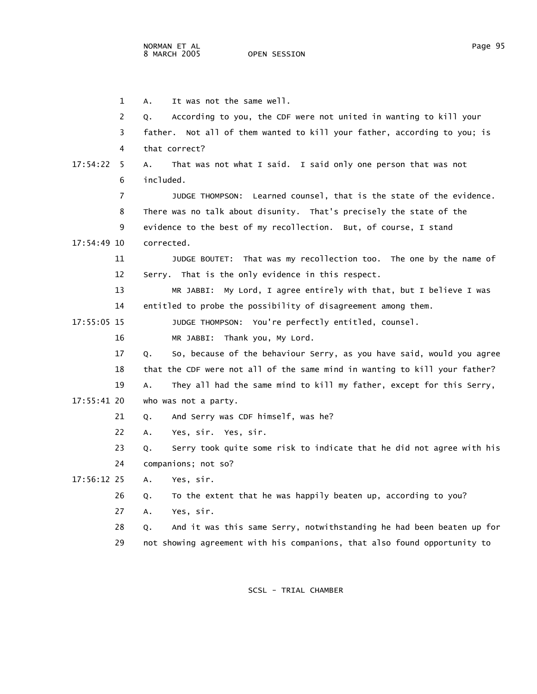OPEN SESSION

|             | 1              | It was not the same well.<br>А.                                             |
|-------------|----------------|-----------------------------------------------------------------------------|
|             | 2              | According to you, the CDF were not united in wanting to kill your<br>Q.     |
|             | 3              | father. Not all of them wanted to kill your father, according to you; is    |
|             | 4              | that correct?                                                               |
| 17:54:22    | - 5            | That was not what I said. I said only one person that was not<br>А.         |
|             | 6              | included.                                                                   |
|             | $\overline{7}$ | JUDGE THOMPSON: Learned counsel, that is the state of the evidence.         |
|             | 8              | There was no talk about disunity. That's precisely the state of the         |
|             | 9              | evidence to the best of my recollection. But, of course, I stand            |
| 17:54:49 10 |                | corrected.                                                                  |
|             | 11             | JUDGE BOUTET: That was my recollection too. The one by the name of          |
|             | 12             | Serry. That is the only evidence in this respect.                           |
|             | 13             | MR JABBI: My Lord, I agree entirely with that, but I believe I was          |
|             | 14             | entitled to probe the possibility of disagreement among them.               |
| 17:55:05 15 |                | JUDGE THOMPSON: You're perfectly entitled, counsel.                         |
|             | 16             | MR JABBI: Thank you, My Lord.                                               |
|             | 17             | So, because of the behaviour Serry, as you have said, would you agree<br>Q. |
|             | 18             | that the CDF were not all of the same mind in wanting to kill your father?  |
|             | 19             | They all had the same mind to kill my father, except for this Serry,<br>А.  |
| 17:55:41 20 |                | who was not a party.                                                        |
|             | 21             | And Serry was CDF himself, was he?<br>Q.                                    |
|             | 22             | Yes, sir. Yes, sir.<br>А.                                                   |
|             | 23             | Serry took quite some risk to indicate that he did not agree with his<br>Q. |
|             | 24             | companions; not so?                                                         |
| 17:56:12 25 |                | Yes, sir.<br>A.                                                             |
|             | 26             | To the extent that he was happily beaten up, according to you?<br>Q.        |
|             | 27             | Yes, sir.<br>Α.                                                             |
|             | 28             | And it was this same Serry, notwithstanding he had been beaten up for<br>Q. |
|             | 29             | not showing agreement with his companions, that also found opportunity to   |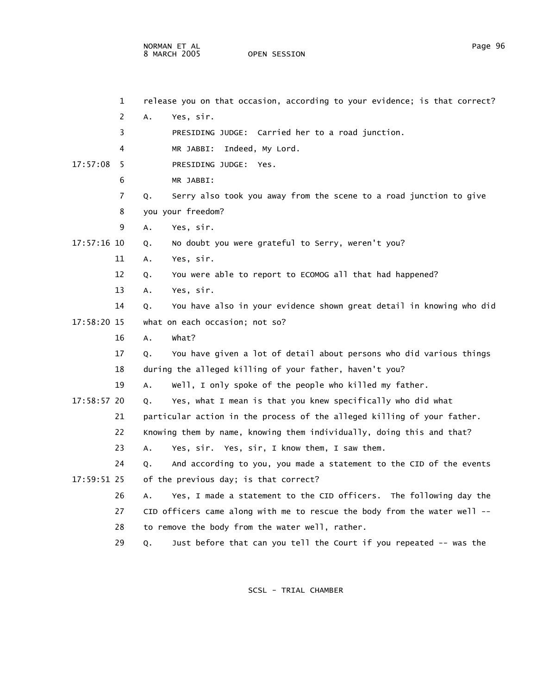NORMAN ET AL Page 96 8 MARCH 2005

 1 release you on that occasion, according to your evidence; is that correct? 2 A. Yes, sir. 3 PRESIDING JUDGE: Carried her to a road junction. 4 MR JABBI: Indeed, My Lord. 17:57:08 5 PRESIDING JUDGE: Yes. 6 MR JABBI: 7 Q. Serry also took you away from the scene to a road junction to give 8 you your freedom? 9 A. Yes, sir. 17:57:16 10 Q. No doubt you were grateful to Serry, weren't you? 11 A. Yes, sir. 12 Q. You were able to report to ECOMOG all that had happened? 13 A. Yes, sir. 14 Q. You have also in your evidence shown great detail in knowing who did 17:58:20 15 what on each occasion; not so? 16 A. What? 17 Q. You have given a lot of detail about persons who did various things 18 during the alleged killing of your father, haven't you? 19 A. Well, I only spoke of the people who killed my father. 17:58:57 20 Q. Yes, what I mean is that you knew specifically who did what 21 particular action in the process of the alleged killing of your father. 22 Knowing them by name, knowing them individually, doing this and that? 23 A. Yes, sir. Yes, sir, I know them, I saw them. 24 Q. And according to you, you made a statement to the CID of the events 17:59:51 25 of the previous day; is that correct? 26 A. Yes, I made a statement to the CID officers. The following day the 27 CID officers came along with me to rescue the body from the water well -- 28 to remove the body from the water well, rather. 29 Q. Just before that can you tell the Court if you repeated -- was the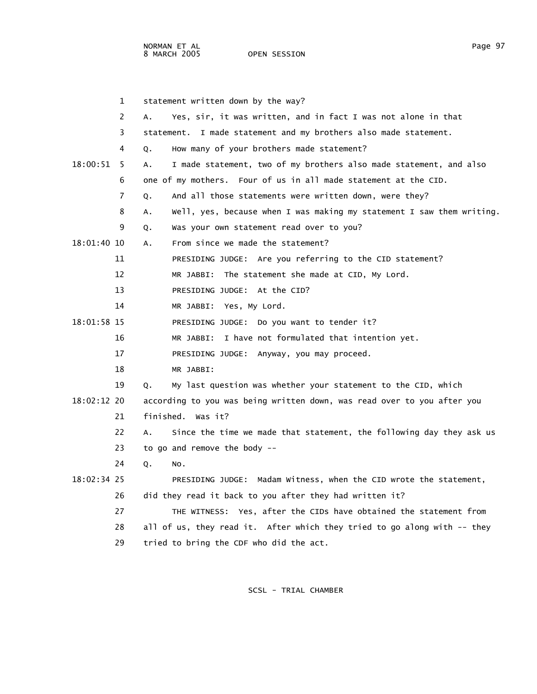NORMAN ET AL Page 97

OPEN SESSION

|               | $\mathbf{1}$ | statement written down by the way?                                          |
|---------------|--------------|-----------------------------------------------------------------------------|
|               | 2            | Yes, sir, it was written, and in fact I was not alone in that<br>А.         |
|               | 3            | statement. I made statement and my brothers also made statement.            |
|               | 4            | How many of your brothers made statement?<br>Q.                             |
| $18:00:51$ 5  |              | I made statement, two of my brothers also made statement, and also<br>Α.    |
|               | 6            | one of my mothers. Four of us in all made statement at the CID.             |
|               | 7            | And all those statements were written down, were they?<br>Q.                |
|               | 8            | Well, yes, because when I was making my statement I saw them writing.<br>Α. |
|               | 9            | Was your own statement read over to you?<br>Q.                              |
| 18:01:40 10   |              | From since we made the statement?<br>А.                                     |
|               | 11           | PRESIDING JUDGE: Are you referring to the CID statement?                    |
|               | 12           | MR JABBI: The statement she made at CID, My Lord.                           |
|               | 13           | PRESIDING JUDGE: At the CID?                                                |
|               | 14           | MR JABBI: Yes, My Lord.                                                     |
| 18:01:58 15   |              | PRESIDING JUDGE: Do you want to tender it?                                  |
|               | 16           | I have not formulated that intention yet.<br>MR JABBI:                      |
|               | 17           | PRESIDING JUDGE: Anyway, you may proceed.                                   |
|               | 18           | MR JABBI:                                                                   |
|               | 19           | My last question was whether your statement to the CID, which<br>0.         |
| $18:02:12$ 20 |              | according to you was being written down, was read over to you after you     |
|               | 21           | finished. Was it?                                                           |
|               | 22           | Since the time we made that statement, the following day they ask us<br>A.  |
|               | 23           | to go and remove the body --                                                |
|               | 24           | Q.<br>NO.                                                                   |
| 18:02:34 25   |              | PRESIDING JUDGE: Madam Witness, when the CID wrote the statement,           |
|               | 26           | did they read it back to you after they had written it?                     |
|               | 27           | THE WITNESS: Yes, after the CIDs have obtained the statement from           |
|               | 28           | all of us, they read it. After which they tried to go along with -- they    |
|               | 29           | tried to bring the CDF who did the act.                                     |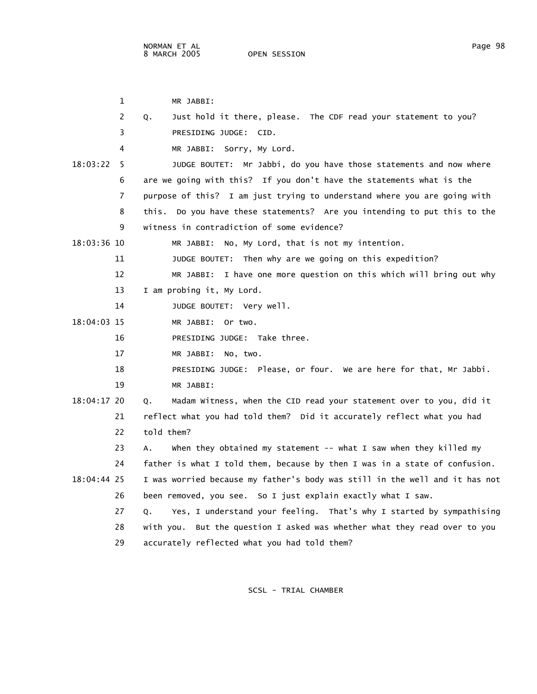1 MR JABBI: 2 Q. Just hold it there, please. The CDF read your statement to you? 3 PRESIDING JUDGE: CID. 4 MR JABBI: Sorry, My Lord. 18:03:22 5 JUDGE BOUTET: Mr Jabbi, do you have those statements and now where 6 are we going with this? If you don't have the statements what is the 7 purpose of this? I am just trying to understand where you are going with 8 this. Do you have these statements? Are you intending to put this to the 9 witness in contradiction of some evidence? 18:03:36 10 MR JABBI: No, My Lord, that is not my intention. 11 JUDGE BOUTET: Then why are we going on this expedition? 12 MR JABBI: I have one more question on this which will bring out why 13 I am probing it, My Lord. 14 JUDGE BOUTET: Very well. 18:04:03 15 MR JABBI: Or two. 16 PRESIDING JUDGE: Take three. 17 MR JABBI: No, two. 18 PRESIDING JUDGE: Please, or four. We are here for that, Mr Jabbi. 19 MR JABBI: 18:04:17 20 Q. Madam Witness, when the CID read your statement over to you, did it 21 reflect what you had told them? Did it accurately reflect what you had 22 told them? 23 A. When they obtained my statement -- what I saw when they killed my 24 father is what I told them, because by then I was in a state of confusion. 18:04:44 25 I was worried because my father's body was still in the well and it has not 26 been removed, you see. So I just explain exactly what I saw. 27 Q. Yes, I understand your feeling. That's why I started by sympathising 28 with you. But the question I asked was whether what they read over to you 29 accurately reflected what you had told them?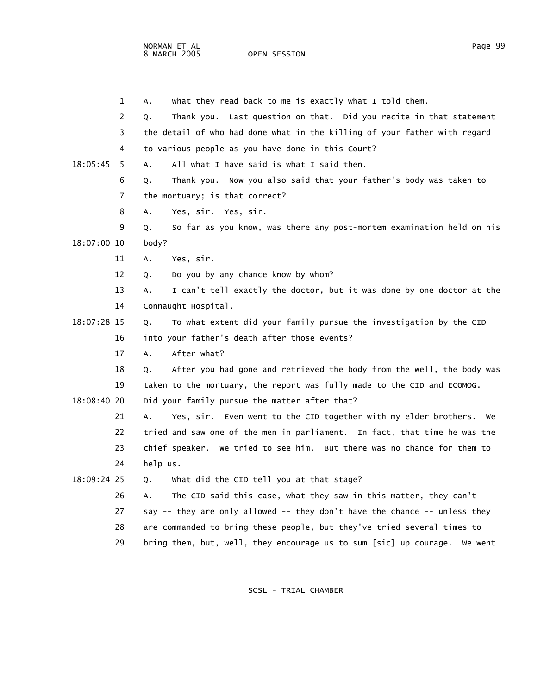OPEN SESSION

|             | 1   | what they read back to me is exactly what I told them.<br>А.                 |
|-------------|-----|------------------------------------------------------------------------------|
|             | 2   | Thank you. Last question on that. Did you recite in that statement<br>Q.     |
|             | 3   | the detail of who had done what in the killing of your father with regard    |
|             | 4   | to various people as you have done in this Court?                            |
| 18:05:45    | - 5 | All what I have said is what I said then.<br>А.                              |
|             | 6   | Thank you. Now you also said that your father's body was taken to<br>Q.      |
|             | 7   | the mortuary; is that correct?                                               |
|             | 8   | Yes, sir. Yes, sir.<br>А.                                                    |
|             | 9   | So far as you know, was there any post-mortem examination held on his<br>Q.  |
| 18:07:00 10 |     | body?                                                                        |
|             | 11  | Yes, sir.<br>А.                                                              |
|             | 12  | Do you by any chance know by whom?<br>Q.                                     |
|             | 13  | I can't tell exactly the doctor, but it was done by one doctor at the<br>А.  |
|             | 14  | Connaught Hospital.                                                          |
| 18:07:28 15 |     | To what extent did your family pursue the investigation by the CID<br>Q.     |
|             | 16  | into your father's death after those events?                                 |
|             | 17  | After what?<br>А.                                                            |
|             | 18  | After you had gone and retrieved the body from the well, the body was<br>Q.  |
|             | 19  | taken to the mortuary, the report was fully made to the CID and ECOMOG.      |
| 18:08:40 20 |     | Did your family pursue the matter after that?                                |
|             | 21  | Yes, sir. Even went to the CID together with my elder brothers. We<br>А.     |
|             | 22  | tried and saw one of the men in parliament. In fact, that time he was the    |
|             | 23  | chief speaker. We tried to see him. But there was no chance for them to      |
|             | 24  | help us.                                                                     |
| 18:09:24 25 |     | what did the CID tell you at that stage?<br>Q.                               |
|             | 26  | The CID said this case, what they saw in this matter, they can't<br>А.       |
|             | 27  | say -- they are only allowed -- they don't have the chance -- unless they    |
|             | 28  | are commanded to bring these people, but they've tried several times to      |
|             | 29  | bring them, but, well, they encourage us to sum [sic] up courage.<br>We went |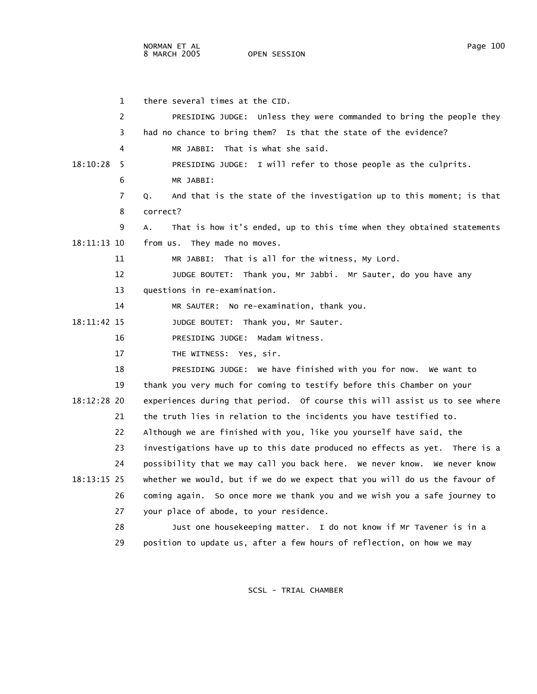1 there several times at the CID. 2 PRESIDING JUDGE: Unless they were commanded to bring the people they 3 had no chance to bring them? Is that the state of the evidence? 4 MR JABBI: That is what she said. 18:10:28 5 PRESIDING JUDGE: I will refer to those people as the culprits. 6 MR JABBI: 7 Q. And that is the state of the investigation up to this moment; is that 8 correct? 9 A. That is how it's ended, up to this time when they obtained statements 18:11:13 10 from us. They made no moves. 11 MR JABBI: That is all for the witness, My Lord. 12 JUDGE BOUTET: Thank you, Mr Jabbi. Mr Sauter, do you have any 13 questions in re-examination. 14 MR SAUTER: No re-examination, thank you. 18:11:42 15 JUDGE BOUTET: Thank you, Mr Sauter. 16 PRESIDING JUDGE: Madam Witness. 17 THE WITNESS: Yes, sir. 18 PRESIDING JUDGE: We have finished with you for now. We want to 19 thank you very much for coming to testify before this Chamber on your 18:12:28 20 experiences during that period. Of course this will assist us to see where 21 the truth lies in relation to the incidents you have testified to. 22 Although we are finished with you, like you yourself have said, the 23 investigations have up to this date produced no effects as yet. There is a 24 possibility that we may call you back here. We never know. We never know 18:13:15 25 whether we would, but if we do we expect that you will do us the favour of 26 coming again. So once more we thank you and we wish you a safe journey to 27 your place of abode, to your residence. 28 Just one housekeeping matter. I do not know if Mr Tavener is in a 29 position to update us, after a few hours of reflection, on how we may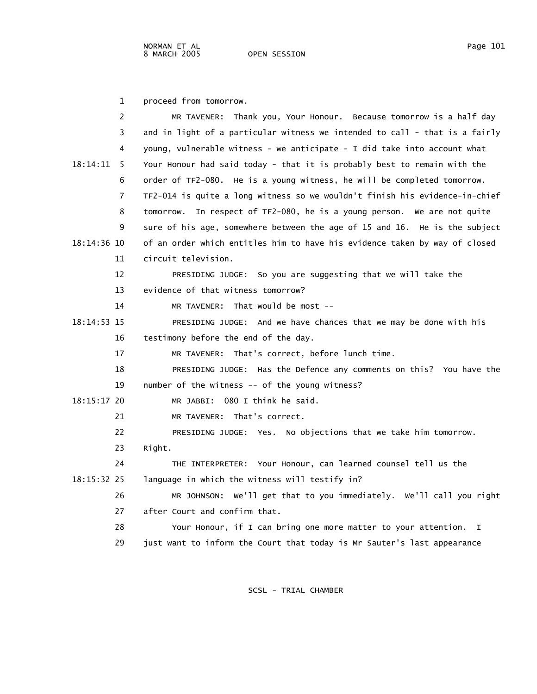1 proceed from tomorrow.

| 2               | MR TAVENER: Thank you, Your Honour. Because tomorrow is a half day          |
|-----------------|-----------------------------------------------------------------------------|
| 3               | and in light of a particular witness we intended to call - that is a fairly |
| 4               | young, vulnerable witness - we anticipate - I did take into account what    |
| 18:14:11<br>- 5 | Your Honour had said today - that it is probably best to remain with the    |
| 6               | order of TF2-080. He is a young witness, he will be completed tomorrow.     |
| 7               | TF2-014 is quite a long witness so we wouldn't finish his evidence-in-chief |
| 8               | tomorrow. In respect of TF2-080, he is a young person. We are not quite     |
| 9               | sure of his age, somewhere between the age of 15 and 16. He is the subject  |
| 18:14:36 10     | of an order which entitles him to have his evidence taken by way of closed  |
| 11              | circuit television.                                                         |
| 12              | PRESIDING JUDGE: So you are suggesting that we will take the                |
| 13              | evidence of that witness tomorrow?                                          |
| 14              | MR TAVENER: That would be most $-$                                          |
| 18:14:53 15     | PRESIDING JUDGE: And we have chances that we may be done with his           |
| 16              | testimony before the end of the day.                                        |
| 17              | MR TAVENER: That's correct, before lunch time.                              |
| 18              | PRESIDING JUDGE: Has the Defence any comments on this? You have the         |
| 19              | number of the witness -- of the young witness?                              |
| 18:15:17 20     | MR JABBI: 080 I think he said.                                              |
| 21              | MR TAVENER: That's correct.                                                 |
| 22              | PRESIDING JUDGE: Yes. No objections that we take him tomorrow.              |
| 23              | Right.                                                                      |
| 24              | THE INTERPRETER: Your Honour, can learned counsel tell us the               |
| $18:15:32$ 25   | language in which the witness will testify in?                              |
| 26              | MR JOHNSON: We'll get that to you immediately. We'll call you right         |
| 27              | after Court and confirm that.                                               |
| 28              | Your Honour, if I can bring one more matter to your attention. I            |
| 29              | just want to inform the Court that today is Mr Sauter's last appearance     |
|                 |                                                                             |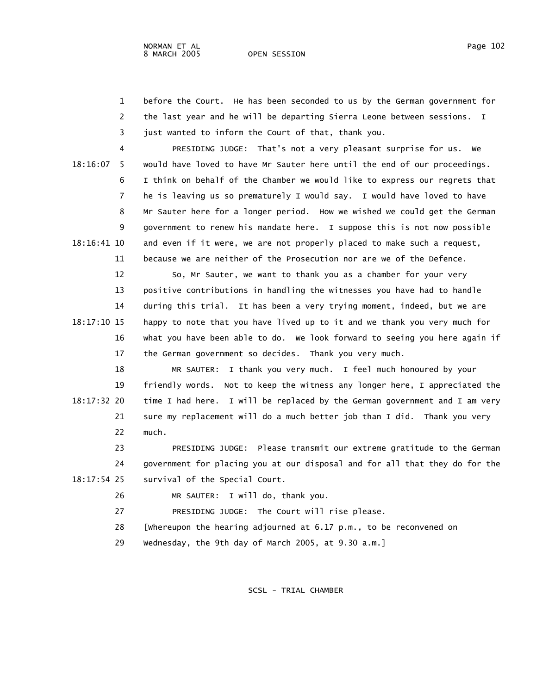- 1 before the Court. He has been seconded to us by the German government for 2 the last year and he will be departing Sierra Leone between sessions. I
- 3 just wanted to inform the Court of that, thank you.

 4 PRESIDING JUDGE: That's not a very pleasant surprise for us. We 18:16:07 5 would have loved to have Mr Sauter here until the end of our proceedings. 6 I think on behalf of the Chamber we would like to express our regrets that 7 he is leaving us so prematurely I would say. I would have loved to have 8 Mr Sauter here for a longer period. How we wished we could get the German 9 government to renew his mandate here. I suppose this is not now possible 18:16:41 10 and even if it were, we are not properly placed to make such a request, 11 because we are neither of the Prosecution nor are we of the Defence.

 12 So, Mr Sauter, we want to thank you as a chamber for your very 13 positive contributions in handling the witnesses you have had to handle 14 during this trial. It has been a very trying moment, indeed, but we are 18:17:10 15 happy to note that you have lived up to it and we thank you very much for 16 what you have been able to do. We look forward to seeing you here again if 17 the German government so decides. Thank you very much.

 18 MR SAUTER: I thank you very much. I feel much honoured by your 19 friendly words. Not to keep the witness any longer here, I appreciated the 18:17:32 20 time I had here. I will be replaced by the German government and I am very 21 sure my replacement will do a much better job than I did. Thank you very 22 much.

 23 PRESIDING JUDGE: Please transmit our extreme gratitude to the German 24 government for placing you at our disposal and for all that they do for the 18:17:54 25 survival of the Special Court.

26 MR SAUTER: I will do, thank you.

27 PRESIDING JUDGE: The Court will rise please.

28 [Whereupon the hearing adjourned at 6.17 p.m., to be reconvened on

29 Wednesday, the 9th day of March 2005, at 9.30 a.m.]